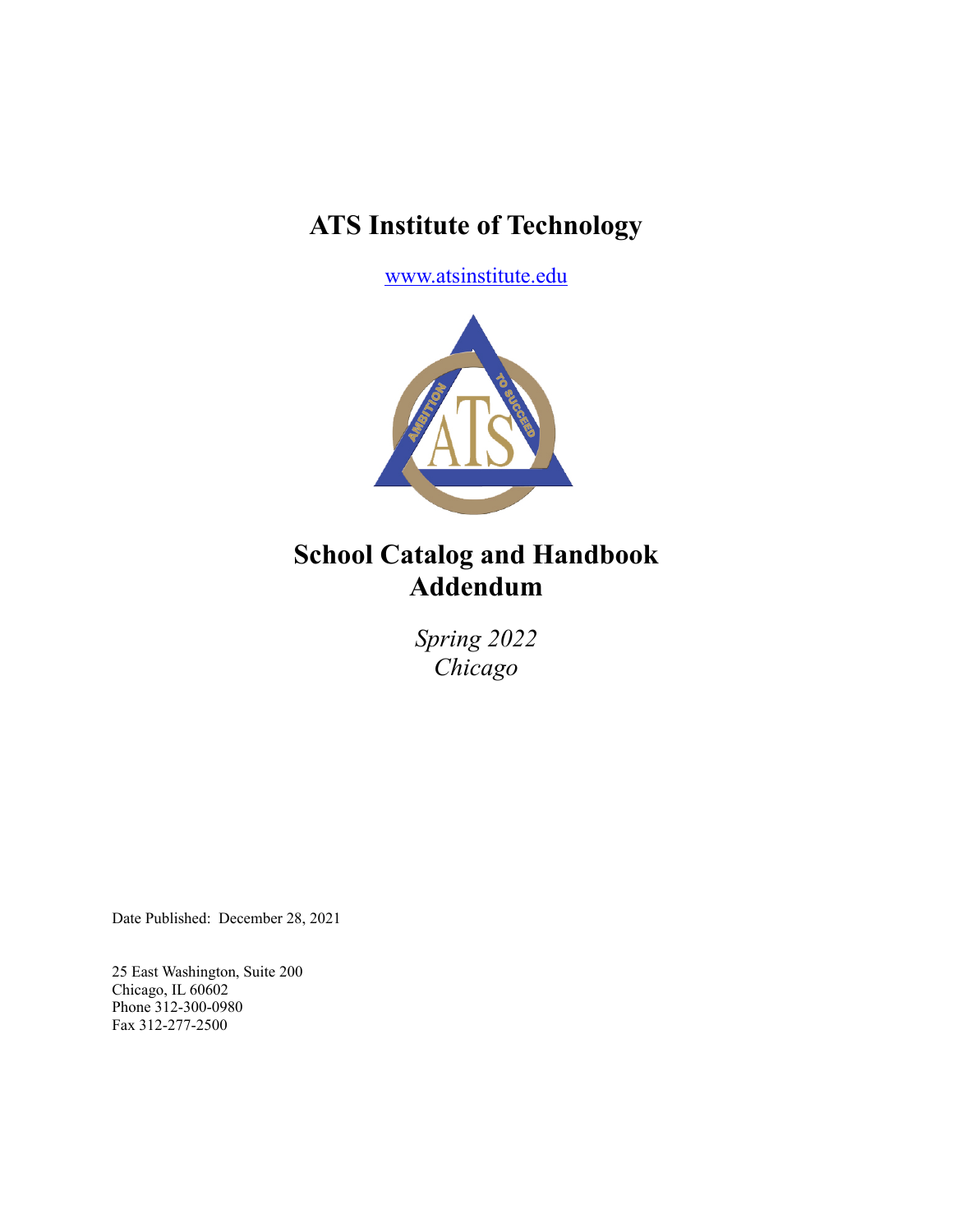# **ATS Institute of Technology**

[www.atsinstitute.edu](http://www.atsinstitute.edu)



# **School Catalog and Handbook Addendum**

*Spring 2022 Chicago*

Date Published: December 28, 2021

25 East Washington, Suite 200 Chicago, IL 60602 Phone 312-300-0980 Fax 312-277-2500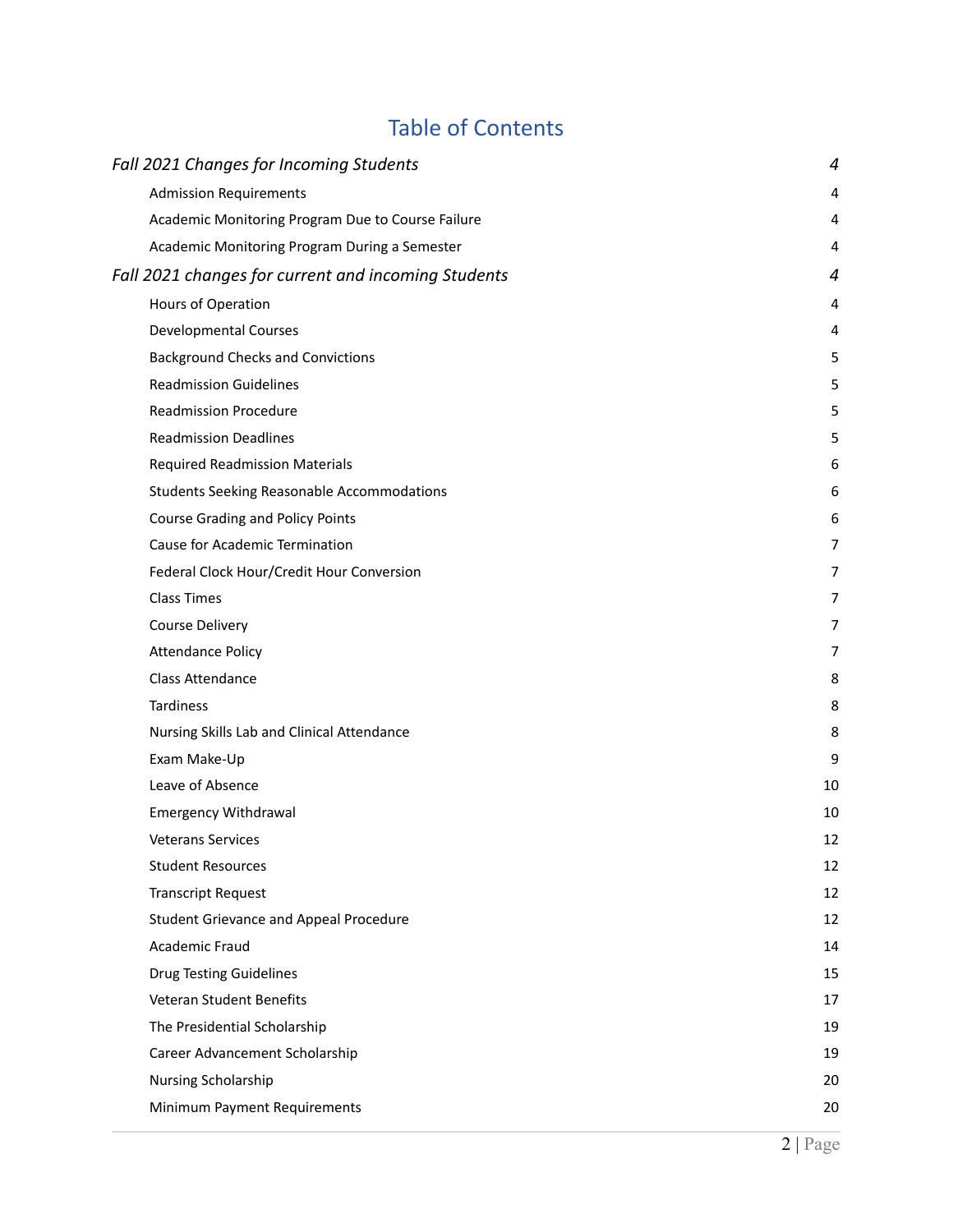# Table of Contents

| Fall 2021 Changes for Incoming Students             | 4              |
|-----------------------------------------------------|----------------|
| <b>Admission Requirements</b>                       | 4              |
| Academic Monitoring Program Due to Course Failure   | 4              |
| Academic Monitoring Program During a Semester       | 4              |
| Fall 2021 changes for current and incoming Students | 4              |
| Hours of Operation                                  | 4              |
| <b>Developmental Courses</b>                        | 4              |
| <b>Background Checks and Convictions</b>            | 5              |
| <b>Readmission Guidelines</b>                       | 5              |
| <b>Readmission Procedure</b>                        | 5              |
| <b>Readmission Deadlines</b>                        | 5              |
| <b>Required Readmission Materials</b>               | 6              |
| <b>Students Seeking Reasonable Accommodations</b>   | 6              |
| <b>Course Grading and Policy Points</b>             | 6              |
| Cause for Academic Termination                      | 7              |
| Federal Clock Hour/Credit Hour Conversion           | 7              |
| <b>Class Times</b>                                  | 7              |
| Course Delivery                                     | 7              |
| <b>Attendance Policy</b>                            | $\overline{7}$ |
| Class Attendance                                    | 8              |
| Tardiness                                           | 8              |
| Nursing Skills Lab and Clinical Attendance          | 8              |
| Exam Make-Up                                        | 9              |
| Leave of Absence                                    | 10             |
| <b>Emergency Withdrawal</b>                         | 10             |
| <b>Veterans Services</b>                            | 12             |
| <b>Student Resources</b>                            | 12             |
| <b>Transcript Request</b>                           | 12             |
| <b>Student Grievance and Appeal Procedure</b>       | 12             |
| Academic Fraud                                      | 14             |
| <b>Drug Testing Guidelines</b>                      | 15             |
| Veteran Student Benefits                            | 17             |
| The Presidential Scholarship                        | 19             |
| Career Advancement Scholarship                      | 19             |
| Nursing Scholarship                                 | 20             |
| Minimum Payment Requirements                        | 20             |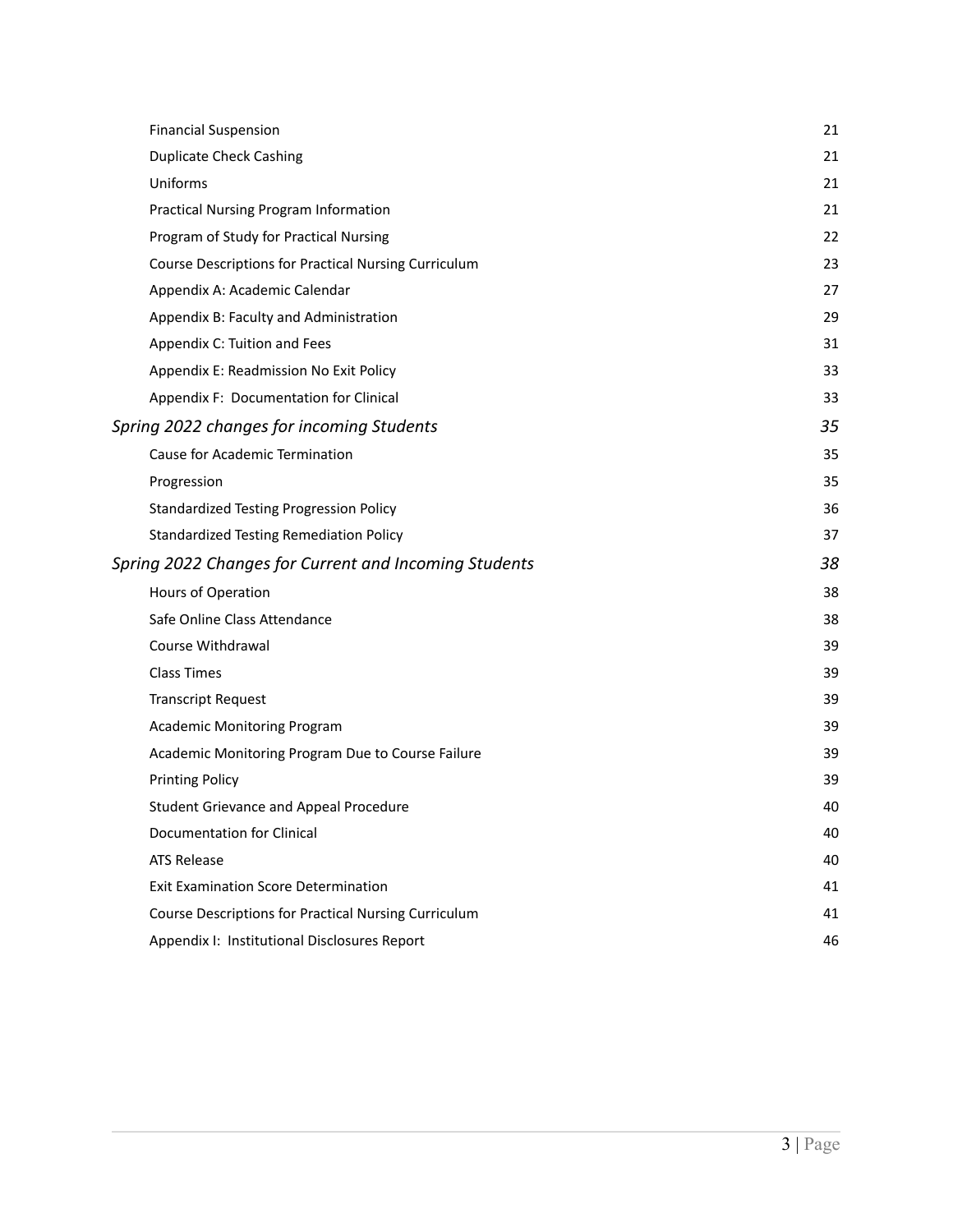| <b>Financial Suspension</b>                           | 21 |
|-------------------------------------------------------|----|
| <b>Duplicate Check Cashing</b>                        | 21 |
| Uniforms                                              | 21 |
| <b>Practical Nursing Program Information</b>          | 21 |
| Program of Study for Practical Nursing                | 22 |
| Course Descriptions for Practical Nursing Curriculum  | 23 |
| Appendix A: Academic Calendar                         | 27 |
| Appendix B: Faculty and Administration                | 29 |
| Appendix C: Tuition and Fees                          | 31 |
| Appendix E: Readmission No Exit Policy                | 33 |
| Appendix F: Documentation for Clinical                | 33 |
| Spring 2022 changes for incoming Students             | 35 |
| <b>Cause for Academic Termination</b>                 | 35 |
| Progression                                           | 35 |
| <b>Standardized Testing Progression Policy</b>        | 36 |
| <b>Standardized Testing Remediation Policy</b>        | 37 |
| Spring 2022 Changes for Current and Incoming Students | 38 |
| Hours of Operation                                    | 38 |
| Safe Online Class Attendance                          | 38 |
| Course Withdrawal                                     | 39 |
| <b>Class Times</b>                                    | 39 |
| <b>Transcript Request</b>                             | 39 |
| <b>Academic Monitoring Program</b>                    | 39 |
| Academic Monitoring Program Due to Course Failure     | 39 |
| <b>Printing Policy</b>                                | 39 |
| <b>Student Grievance and Appeal Procedure</b>         | 40 |
| Documentation for Clinical                            | 40 |
| <b>ATS Release</b>                                    | 40 |
| <b>Exit Examination Score Determination</b>           | 41 |
| Course Descriptions for Practical Nursing Curriculum  | 41 |
| Appendix I: Institutional Disclosures Report          | 46 |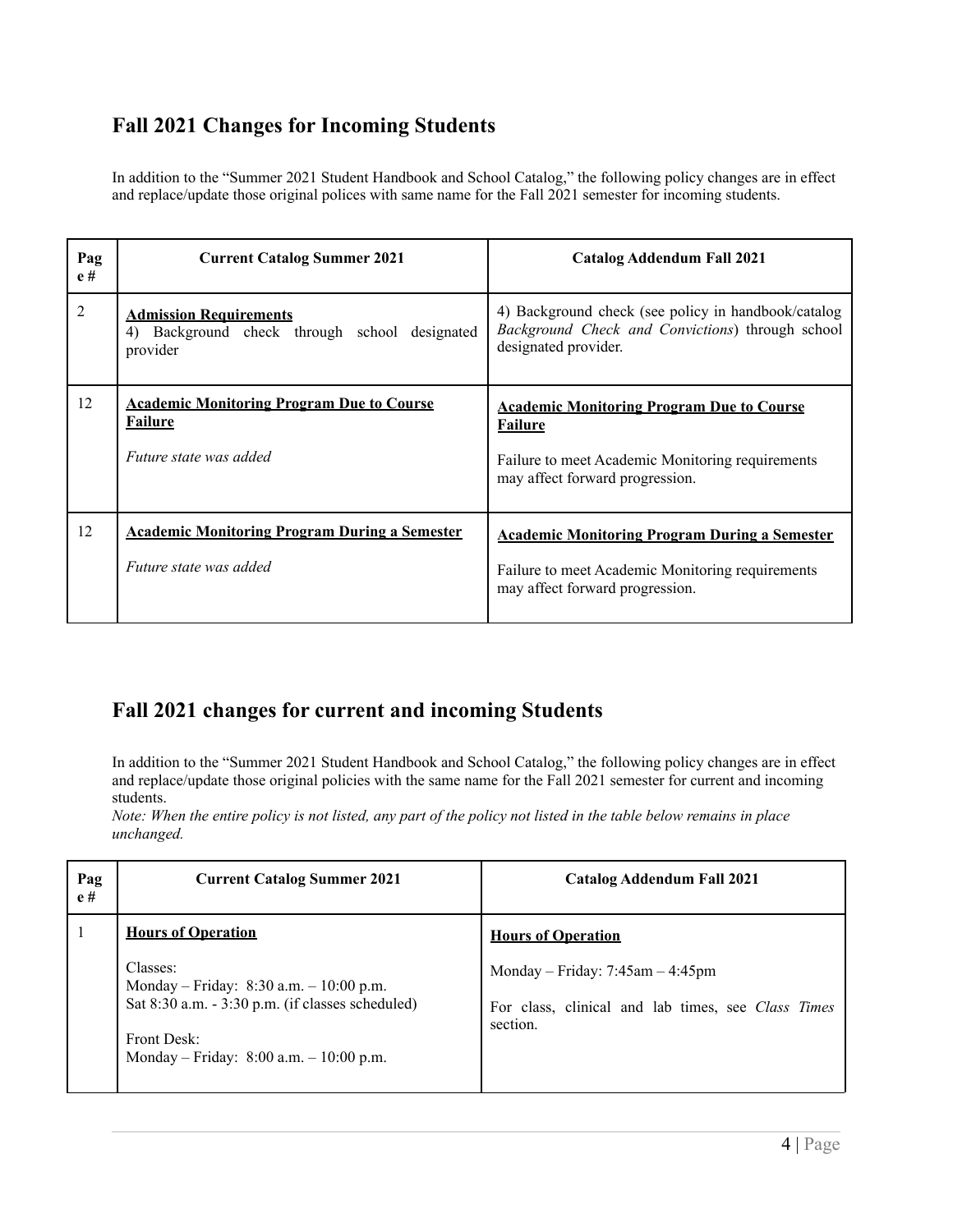# <span id="page-3-0"></span>**Fall 2021 Changes for Incoming Students**

<span id="page-3-2"></span>In addition to the "Summer 2021 Student Handbook and School Catalog," the following policy changes are in effect and replace/update those original polices with same name for the Fall 2021 semester for incoming students.

<span id="page-3-1"></span>

| Pag<br>e# | <b>Current Catalog Summer 2021</b>                                                            | <b>Catalog Addendum Fall 2021</b>                                                                                                                         |
|-----------|-----------------------------------------------------------------------------------------------|-----------------------------------------------------------------------------------------------------------------------------------------------------------|
| 2         | <b>Admission Requirements</b><br>Background check through school designated<br>4)<br>provider | 4) Background check (see policy in handbook/catalog<br>Background Check and Convictions) through school<br>designated provider.                           |
| 12        | <b>Academic Monitoring Program Due to Course</b><br><b>Failure</b><br>Future state was added  | <b>Academic Monitoring Program Due to Course</b><br><b>Failure</b><br>Failure to meet Academic Monitoring requirements<br>may affect forward progression. |
| 12        | <b>Academic Monitoring Program During a Semester</b><br>Future state was added                | <b>Academic Monitoring Program During a Semester</b><br>Failure to meet Academic Monitoring requirements<br>may affect forward progression.               |

# <span id="page-3-4"></span><span id="page-3-3"></span>**Fall 2021 changes for current and incoming Students**

In addition to the "Summer 2021 Student Handbook and School Catalog," the following policy changes are in effect and replace/update those original policies with the same name for the Fall 2021 semester for current and incoming students.

<span id="page-3-5"></span>Note: When the entire policy is not listed, any part of the policy not listed in the table below remains in place *unchanged.*

| Pag<br>e# | <b>Current Catalog Summer 2021</b>                                                                                                                                               | <b>Catalog Addendum Fall 2021</b>                                                                        |
|-----------|----------------------------------------------------------------------------------------------------------------------------------------------------------------------------------|----------------------------------------------------------------------------------------------------------|
|           | <b>Hours of Operation</b>                                                                                                                                                        | <b>Hours of Operation</b>                                                                                |
|           | Classes:<br>Monday – Friday: 8:30 a.m. – 10:00 p.m.<br>Sat $8:30$ a.m. $-3:30$ p.m. (if classes scheduled)<br>Front Desk <sup>-</sup><br>Monday - Friday: 8:00 a.m. - 10:00 p.m. | Monday – Friday: $7:45$ am – $4:45$ pm<br>For class, clinical and lab times, see Class Times<br>section. |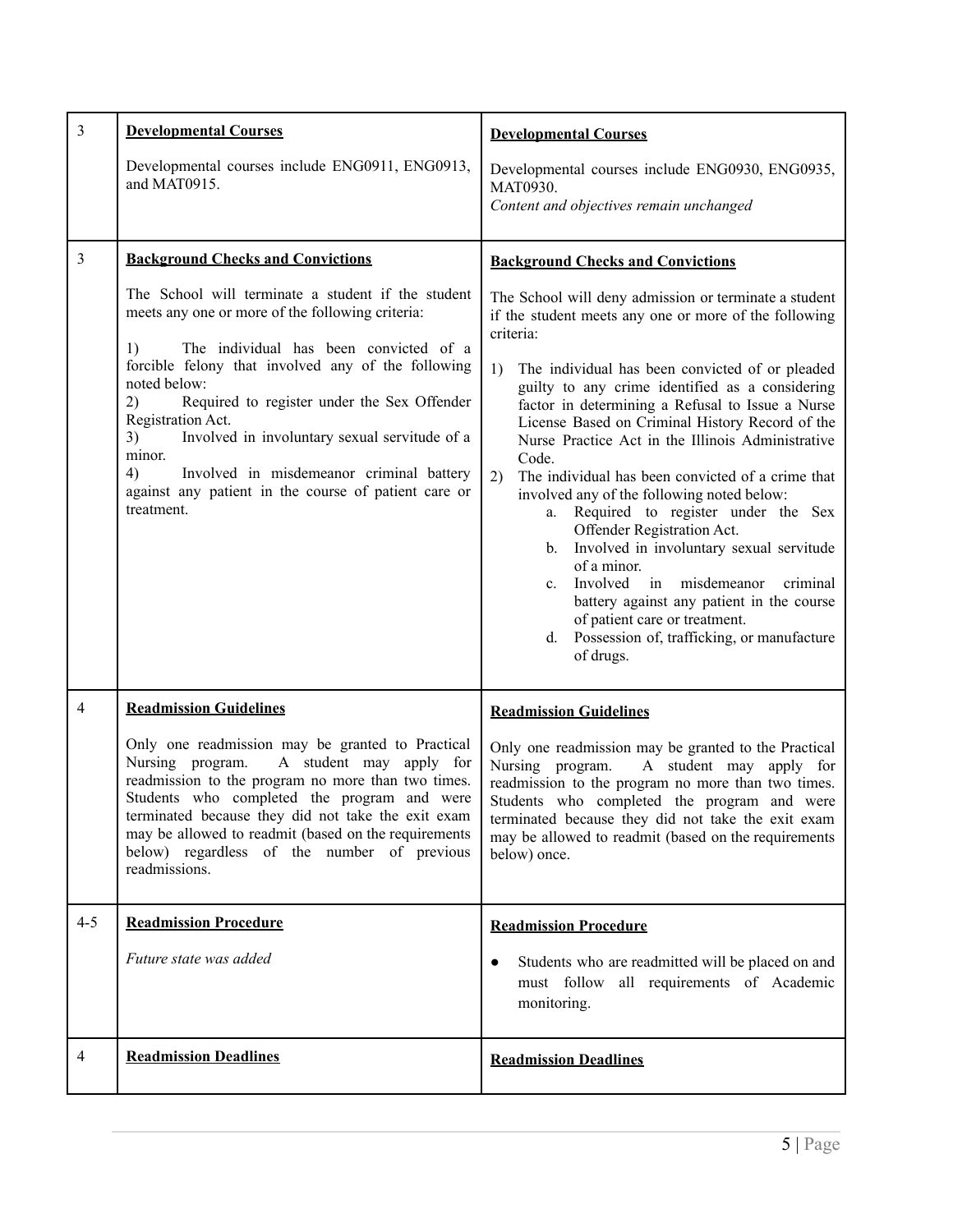<span id="page-4-4"></span><span id="page-4-3"></span><span id="page-4-2"></span><span id="page-4-1"></span><span id="page-4-0"></span>

| $\mathfrak{Z}$ | <b>Developmental Courses</b>                                                                                                                                                                                                                                                                                                                                                                                                                                                                    | <b>Developmental Courses</b>                                                                                                                                                                                                                                                                                                                                                                                                                                                                                                                                                                                                                                                                                                                                                                                                                                          |
|----------------|-------------------------------------------------------------------------------------------------------------------------------------------------------------------------------------------------------------------------------------------------------------------------------------------------------------------------------------------------------------------------------------------------------------------------------------------------------------------------------------------------|-----------------------------------------------------------------------------------------------------------------------------------------------------------------------------------------------------------------------------------------------------------------------------------------------------------------------------------------------------------------------------------------------------------------------------------------------------------------------------------------------------------------------------------------------------------------------------------------------------------------------------------------------------------------------------------------------------------------------------------------------------------------------------------------------------------------------------------------------------------------------|
|                | Developmental courses include ENG0911, ENG0913,<br>and MAT0915.                                                                                                                                                                                                                                                                                                                                                                                                                                 | Developmental courses include ENG0930, ENG0935,<br>MAT0930.<br>Content and objectives remain unchanged                                                                                                                                                                                                                                                                                                                                                                                                                                                                                                                                                                                                                                                                                                                                                                |
| $\overline{3}$ | <b>Background Checks and Convictions</b>                                                                                                                                                                                                                                                                                                                                                                                                                                                        | <b>Background Checks and Convictions</b>                                                                                                                                                                                                                                                                                                                                                                                                                                                                                                                                                                                                                                                                                                                                                                                                                              |
|                | The School will terminate a student if the student<br>meets any one or more of the following criteria:<br>The individual has been convicted of a<br>1)<br>forcible felony that involved any of the following<br>noted below:<br>2)<br>Required to register under the Sex Offender<br>Registration Act.<br>Involved in involuntary sexual servitude of a<br>3)<br>minor.<br>4)<br>Involved in misdemeanor criminal battery<br>against any patient in the course of patient care or<br>treatment. | The School will deny admission or terminate a student<br>if the student meets any one or more of the following<br>criteria:<br>1)<br>The individual has been convicted of or pleaded<br>guilty to any crime identified as a considering<br>factor in determining a Refusal to Issue a Nurse<br>License Based on Criminal History Record of the<br>Nurse Practice Act in the Illinois Administrative<br>Code.<br>2)<br>The individual has been convicted of a crime that<br>involved any of the following noted below:<br>Required to register under the Sex<br>a.<br>Offender Registration Act.<br>Involved in involuntary sexual servitude<br>b.<br>of a minor.<br>Involved in misdemeanor<br>criminal<br>$c_{\cdot}$<br>battery against any patient in the course<br>of patient care or treatment.<br>Possession of, trafficking, or manufacture<br>d.<br>of drugs. |
| $\overline{4}$ | <b>Readmission Guidelines</b>                                                                                                                                                                                                                                                                                                                                                                                                                                                                   | <b>Readmission Guidelines</b>                                                                                                                                                                                                                                                                                                                                                                                                                                                                                                                                                                                                                                                                                                                                                                                                                                         |
|                | Only one readmission may be granted to Practical<br>Nursing program.<br>A student may apply for<br>readmission to the program no more than two times.<br>Students who completed the program and were<br>terminated because they did not take the exit exam<br>may be allowed to readmit (based on the requirements<br>below) regardless of the number of previous<br>readmissions.                                                                                                              | Only one readmission may be granted to the Practical<br>Nursing program.<br>A student may apply for<br>readmission to the program no more than two times.<br>Students who completed the program and were<br>terminated because they did not take the exit exam<br>may be allowed to readmit (based on the requirements<br>below) once.                                                                                                                                                                                                                                                                                                                                                                                                                                                                                                                                |
| $4 - 5$        | <b>Readmission Procedure</b>                                                                                                                                                                                                                                                                                                                                                                                                                                                                    | <b>Readmission Procedure</b>                                                                                                                                                                                                                                                                                                                                                                                                                                                                                                                                                                                                                                                                                                                                                                                                                                          |
|                | Future state was added                                                                                                                                                                                                                                                                                                                                                                                                                                                                          | Students who are readmitted will be placed on and<br>$\bullet$<br>must follow all requirements of Academic<br>monitoring.                                                                                                                                                                                                                                                                                                                                                                                                                                                                                                                                                                                                                                                                                                                                             |
| $\overline{4}$ | <b>Readmission Deadlines</b>                                                                                                                                                                                                                                                                                                                                                                                                                                                                    | <b>Readmission Deadlines</b>                                                                                                                                                                                                                                                                                                                                                                                                                                                                                                                                                                                                                                                                                                                                                                                                                                          |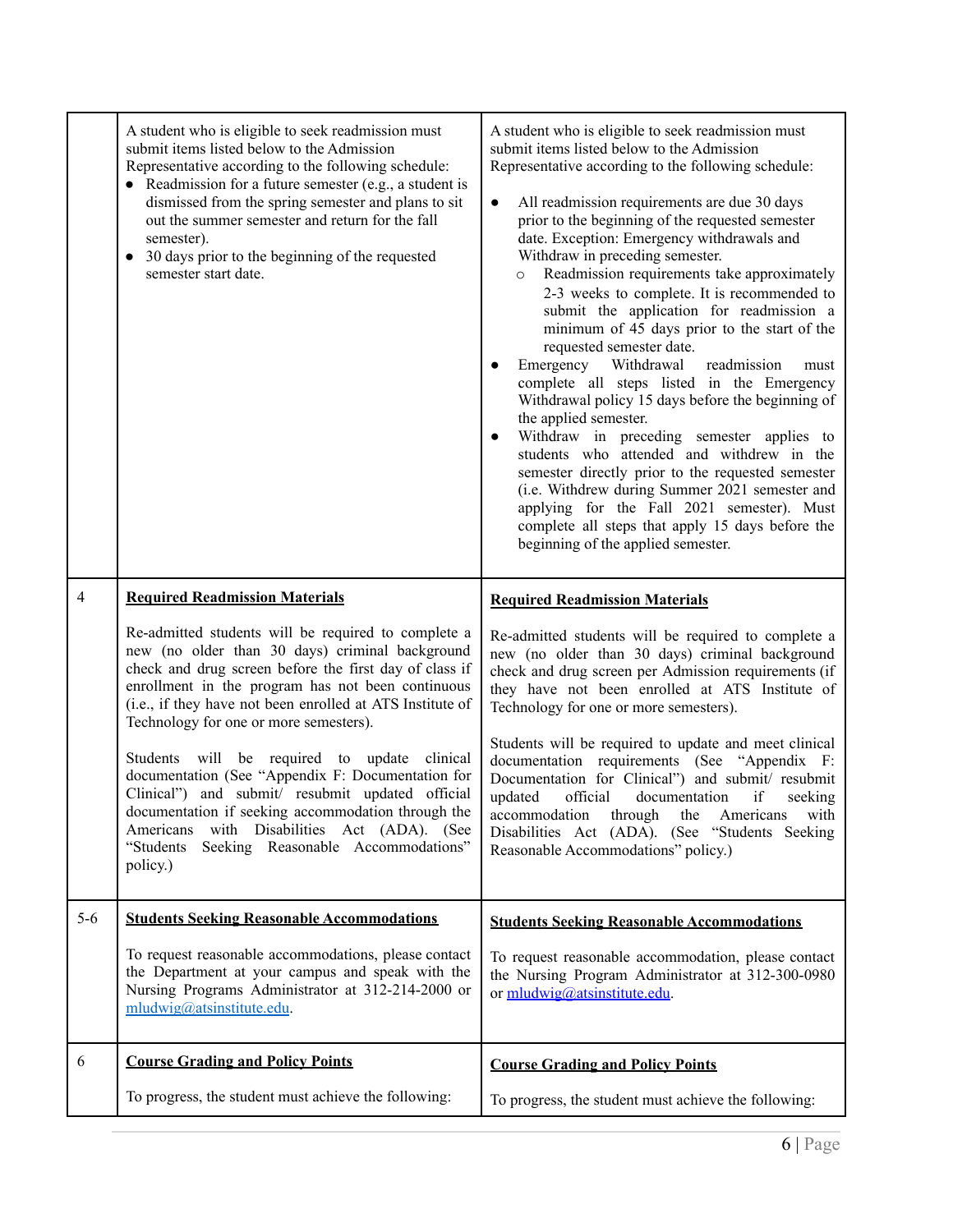<span id="page-5-2"></span><span id="page-5-1"></span><span id="page-5-0"></span>

|                | A student who is eligible to seek readmission must<br>submit items listed below to the Admission<br>Representative according to the following schedule:<br>• Readmission for a future semester (e.g., a student is<br>dismissed from the spring semester and plans to sit<br>out the summer semester and return for the fall<br>semester).<br>30 days prior to the beginning of the requested<br>$\bullet$<br>semester start date. | A student who is eligible to seek readmission must<br>submit items listed below to the Admission<br>Representative according to the following schedule:<br>All readmission requirements are due 30 days<br>$\bullet$<br>prior to the beginning of the requested semester<br>date. Exception: Emergency withdrawals and<br>Withdraw in preceding semester.<br>Readmission requirements take approximately<br>$\circ$<br>2-3 weeks to complete. It is recommended to<br>submit the application for readmission a<br>minimum of 45 days prior to the start of the<br>requested semester date.<br>Emergency Withdrawal<br>readmission<br>must<br>complete all steps listed in the Emergency<br>Withdrawal policy 15 days before the beginning of<br>the applied semester.<br>Withdraw in preceding semester applies to<br>students who attended and withdrew in the<br>semester directly prior to the requested semester<br>(i.e. Withdrew during Summer 2021 semester and<br>applying for the Fall 2021 semester). Must<br>complete all steps that apply 15 days before the<br>beginning of the applied semester. |
|----------------|------------------------------------------------------------------------------------------------------------------------------------------------------------------------------------------------------------------------------------------------------------------------------------------------------------------------------------------------------------------------------------------------------------------------------------|----------------------------------------------------------------------------------------------------------------------------------------------------------------------------------------------------------------------------------------------------------------------------------------------------------------------------------------------------------------------------------------------------------------------------------------------------------------------------------------------------------------------------------------------------------------------------------------------------------------------------------------------------------------------------------------------------------------------------------------------------------------------------------------------------------------------------------------------------------------------------------------------------------------------------------------------------------------------------------------------------------------------------------------------------------------------------------------------------------------|
| $\overline{4}$ | <b>Required Readmission Materials</b>                                                                                                                                                                                                                                                                                                                                                                                              | <b>Required Readmission Materials</b>                                                                                                                                                                                                                                                                                                                                                                                                                                                                                                                                                                                                                                                                                                                                                                                                                                                                                                                                                                                                                                                                          |
|                | Re-admitted students will be required to complete a<br>new (no older than 30 days) criminal background<br>check and drug screen before the first day of class if<br>enrollment in the program has not been continuous<br>(i.e., if they have not been enrolled at ATS Institute of<br>Technology for one or more semesters).                                                                                                       | Re-admitted students will be required to complete a<br>new (no older than 30 days) criminal background<br>check and drug screen per Admission requirements (if<br>they have not been enrolled at ATS Institute of<br>Technology for one or more semesters).<br>Students will be required to update and meet clinical                                                                                                                                                                                                                                                                                                                                                                                                                                                                                                                                                                                                                                                                                                                                                                                           |
|                | will be required to update<br>clinical<br>Students<br>documentation (See "Appendix F: Documentation for<br>Clinical") and submit/ resubmit updated official<br>documentation if seeking accommodation through the<br>with Disabilities Act (ADA). (See<br>Americans<br>"Students<br>Seeking Reasonable Accommodations"<br>policy.)                                                                                                 | documentation requirements (See "Appendix F:<br>Documentation for Clinical") and submit/resubmit<br>updated<br>official<br>if<br>documentation<br>seeking<br>accommodation<br>through<br>Americans<br>with<br>the<br>Disabilities Act (ADA). (See<br>"Students Seeking<br>Reasonable Accommodations" policy.)                                                                                                                                                                                                                                                                                                                                                                                                                                                                                                                                                                                                                                                                                                                                                                                                  |
| $5-6$          | <b>Students Seeking Reasonable Accommodations</b>                                                                                                                                                                                                                                                                                                                                                                                  | <b>Students Seeking Reasonable Accommodations</b>                                                                                                                                                                                                                                                                                                                                                                                                                                                                                                                                                                                                                                                                                                                                                                                                                                                                                                                                                                                                                                                              |
|                | To request reasonable accommodations, please contact<br>the Department at your campus and speak with the<br>Nursing Programs Administrator at 312-214-2000 or<br>$m$ ludwig@atsinstitute.edu.                                                                                                                                                                                                                                      | To request reasonable accommodation, please contact<br>the Nursing Program Administrator at 312-300-0980<br>or mludwig@atsinstitute.edu.                                                                                                                                                                                                                                                                                                                                                                                                                                                                                                                                                                                                                                                                                                                                                                                                                                                                                                                                                                       |
| 6              | <b>Course Grading and Policy Points</b>                                                                                                                                                                                                                                                                                                                                                                                            | <b>Course Grading and Policy Points</b>                                                                                                                                                                                                                                                                                                                                                                                                                                                                                                                                                                                                                                                                                                                                                                                                                                                                                                                                                                                                                                                                        |
|                |                                                                                                                                                                                                                                                                                                                                                                                                                                    |                                                                                                                                                                                                                                                                                                                                                                                                                                                                                                                                                                                                                                                                                                                                                                                                                                                                                                                                                                                                                                                                                                                |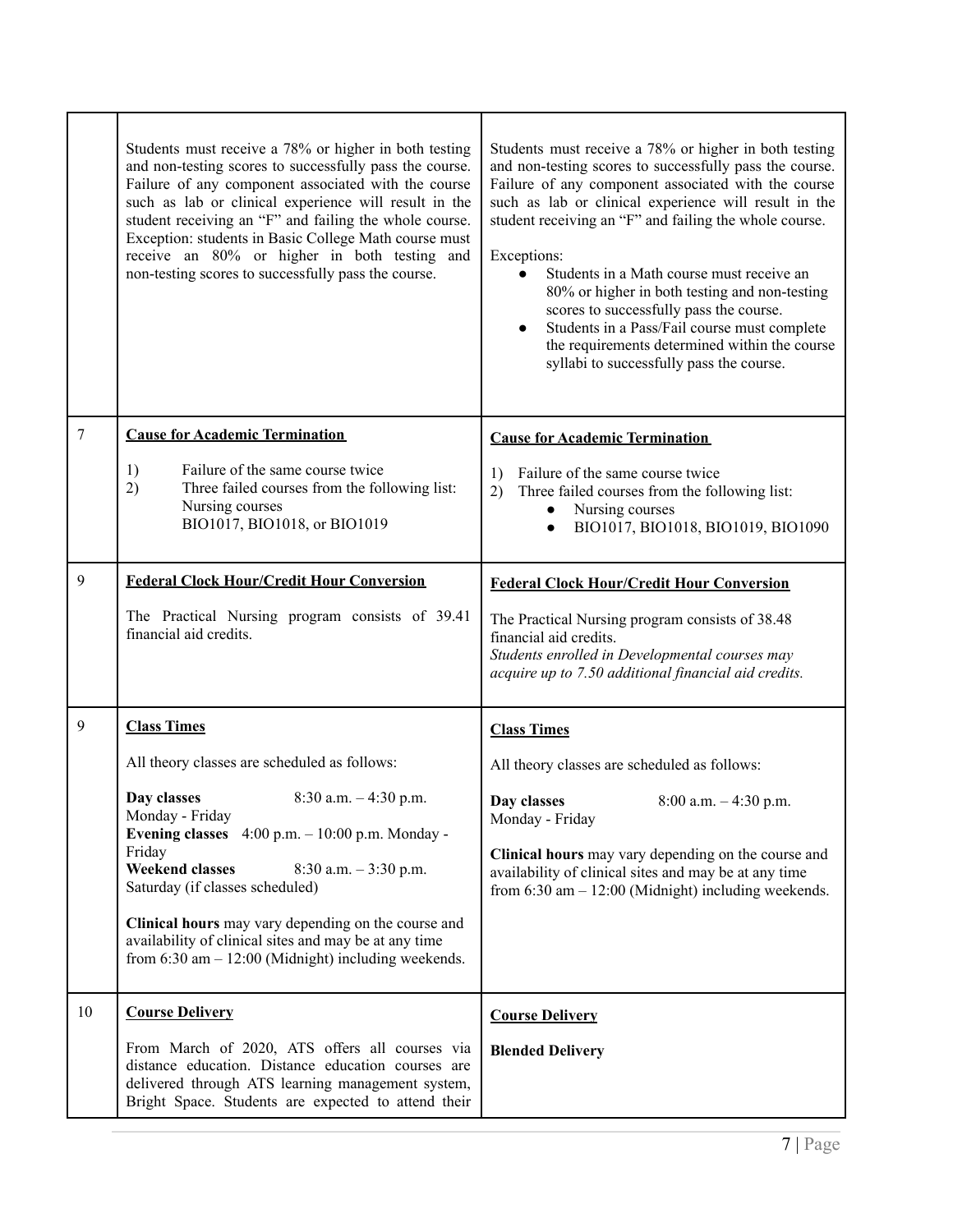<span id="page-6-3"></span><span id="page-6-2"></span><span id="page-6-1"></span><span id="page-6-0"></span>

|    | Students must receive a 78% or higher in both testing<br>and non-testing scores to successfully pass the course.<br>Failure of any component associated with the course<br>such as lab or clinical experience will result in the<br>student receiving an "F" and failing the whole course.<br>Exception: students in Basic College Math course must<br>receive an 80% or higher in both testing and<br>non-testing scores to successfully pass the course. | Students must receive a 78% or higher in both testing<br>and non-testing scores to successfully pass the course.<br>Failure of any component associated with the course<br>such as lab or clinical experience will result in the<br>student receiving an "F" and failing the whole course.<br>Exceptions:<br>Students in a Math course must receive an<br>80% or higher in both testing and non-testing<br>scores to successfully pass the course.<br>Students in a Pass/Fail course must complete<br>the requirements determined within the course<br>syllabi to successfully pass the course. |
|----|------------------------------------------------------------------------------------------------------------------------------------------------------------------------------------------------------------------------------------------------------------------------------------------------------------------------------------------------------------------------------------------------------------------------------------------------------------|-------------------------------------------------------------------------------------------------------------------------------------------------------------------------------------------------------------------------------------------------------------------------------------------------------------------------------------------------------------------------------------------------------------------------------------------------------------------------------------------------------------------------------------------------------------------------------------------------|
| 7  | <b>Cause for Academic Termination</b>                                                                                                                                                                                                                                                                                                                                                                                                                      | <b>Cause for Academic Termination</b>                                                                                                                                                                                                                                                                                                                                                                                                                                                                                                                                                           |
|    | Failure of the same course twice<br>1)<br>2)<br>Three failed courses from the following list:<br>Nursing courses<br>BIO1017, BIO1018, or BIO1019                                                                                                                                                                                                                                                                                                           | Failure of the same course twice<br>1)<br>Three failed courses from the following list:<br>2)<br>Nursing courses<br>$\bullet$<br>BIO1017, BIO1018, BIO1019, BIO1090<br>$\bullet$                                                                                                                                                                                                                                                                                                                                                                                                                |
| 9  | <b>Federal Clock Hour/Credit Hour Conversion</b>                                                                                                                                                                                                                                                                                                                                                                                                           | <b>Federal Clock Hour/Credit Hour Conversion</b>                                                                                                                                                                                                                                                                                                                                                                                                                                                                                                                                                |
|    | The Practical Nursing program consists of 39.41<br>financial aid credits.                                                                                                                                                                                                                                                                                                                                                                                  | The Practical Nursing program consists of 38.48<br>financial aid credits.<br>Students enrolled in Developmental courses may<br>acquire up to 7.50 additional financial aid credits.                                                                                                                                                                                                                                                                                                                                                                                                             |
| 9  | <b>Class Times</b>                                                                                                                                                                                                                                                                                                                                                                                                                                         | <b>Class Times</b>                                                                                                                                                                                                                                                                                                                                                                                                                                                                                                                                                                              |
|    | All theory classes are scheduled as follows:                                                                                                                                                                                                                                                                                                                                                                                                               | All theory classes are scheduled as follows:                                                                                                                                                                                                                                                                                                                                                                                                                                                                                                                                                    |
|    | Day classes<br>$8:30$ a.m. $-4:30$ p.m.<br>Monday - Friday<br>Evening classes $4:00 \text{ p.m.} - 10:00 \text{ p.m.}$ Monday -                                                                                                                                                                                                                                                                                                                            | Day classes<br>$8:00$ a.m. $-4:30$ p.m.<br>Monday - Friday                                                                                                                                                                                                                                                                                                                                                                                                                                                                                                                                      |
|    | Friday<br><b>Weekend classes</b><br>$8:30$ a.m. $-3:30$ p.m.<br>Saturday (if classes scheduled)                                                                                                                                                                                                                                                                                                                                                            | Clinical hours may vary depending on the course and<br>availability of clinical sites and may be at any time<br>from $6:30$ am $-12:00$ (Midnight) including weekends.                                                                                                                                                                                                                                                                                                                                                                                                                          |
|    | Clinical hours may vary depending on the course and<br>availability of clinical sites and may be at any time<br>from $6:30$ am $-12:00$ (Midnight) including weekends.                                                                                                                                                                                                                                                                                     |                                                                                                                                                                                                                                                                                                                                                                                                                                                                                                                                                                                                 |
| 10 | <b>Course Delivery</b>                                                                                                                                                                                                                                                                                                                                                                                                                                     | <b>Course Delivery</b>                                                                                                                                                                                                                                                                                                                                                                                                                                                                                                                                                                          |
|    | From March of 2020, ATS offers all courses via<br>distance education. Distance education courses are<br>delivered through ATS learning management system,<br>Bright Space. Students are expected to attend their                                                                                                                                                                                                                                           | <b>Blended Delivery</b>                                                                                                                                                                                                                                                                                                                                                                                                                                                                                                                                                                         |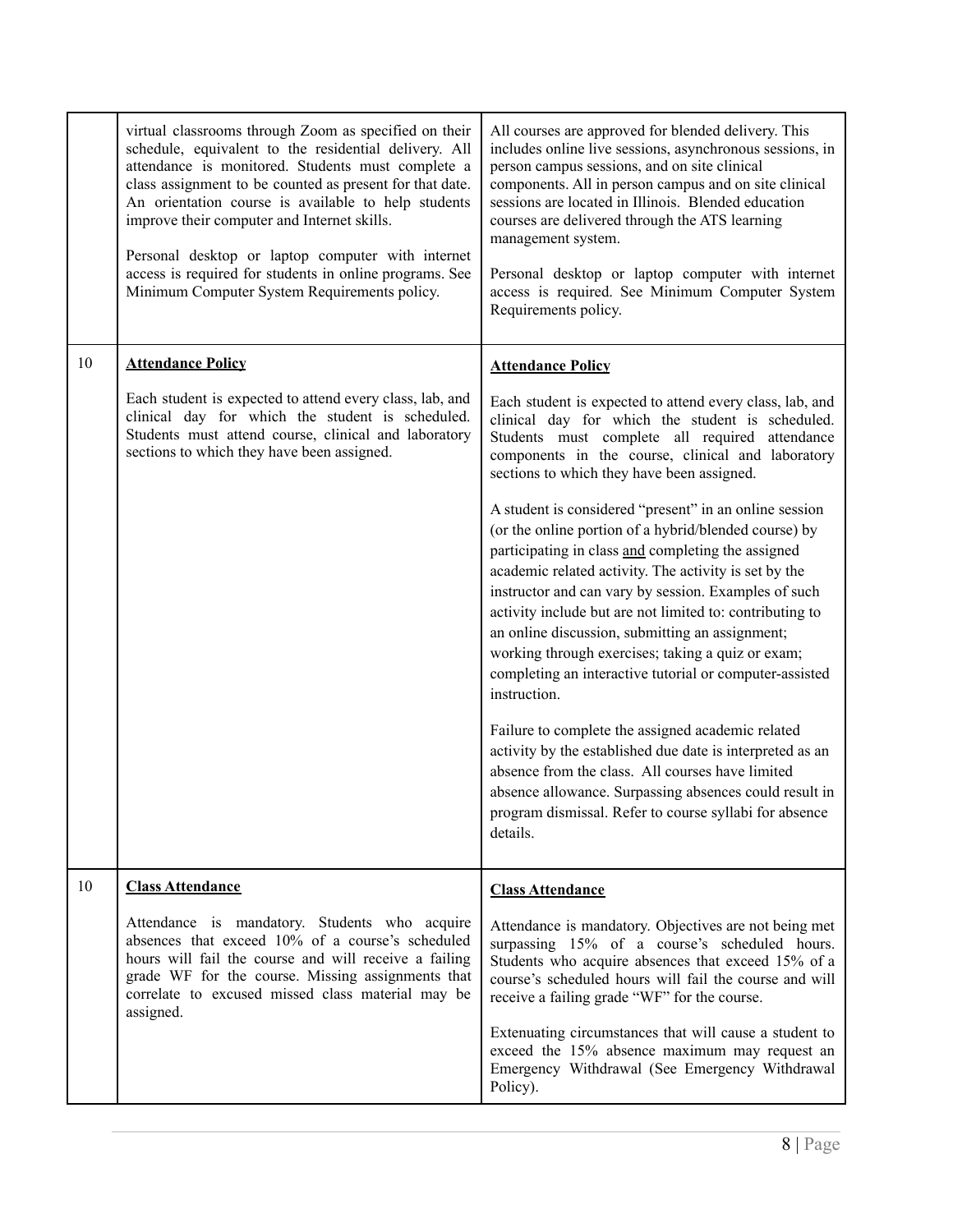<span id="page-7-1"></span><span id="page-7-0"></span>

|    | virtual classrooms through Zoom as specified on their<br>schedule, equivalent to the residential delivery. All<br>attendance is monitored. Students must complete a<br>class assignment to be counted as present for that date.<br>An orientation course is available to help students<br>improve their computer and Internet skills.<br>Personal desktop or laptop computer with internet<br>access is required for students in online programs. See<br>Minimum Computer System Requirements policy. | All courses are approved for blended delivery. This<br>includes online live sessions, asynchronous sessions, in<br>person campus sessions, and on site clinical<br>components. All in person campus and on site clinical<br>sessions are located in Illinois. Blended education<br>courses are delivered through the ATS learning<br>management system.<br>Personal desktop or laptop computer with internet<br>access is required. See Minimum Computer System<br>Requirements policy.                                               |
|----|-------------------------------------------------------------------------------------------------------------------------------------------------------------------------------------------------------------------------------------------------------------------------------------------------------------------------------------------------------------------------------------------------------------------------------------------------------------------------------------------------------|---------------------------------------------------------------------------------------------------------------------------------------------------------------------------------------------------------------------------------------------------------------------------------------------------------------------------------------------------------------------------------------------------------------------------------------------------------------------------------------------------------------------------------------|
| 10 | <b>Attendance Policy</b>                                                                                                                                                                                                                                                                                                                                                                                                                                                                              | <b>Attendance Policy</b>                                                                                                                                                                                                                                                                                                                                                                                                                                                                                                              |
|    | Each student is expected to attend every class, lab, and<br>clinical day for which the student is scheduled.<br>Students must attend course, clinical and laboratory<br>sections to which they have been assigned.                                                                                                                                                                                                                                                                                    | Each student is expected to attend every class, lab, and<br>clinical day for which the student is scheduled.<br>Students must complete all required attendance<br>components in the course, clinical and laboratory<br>sections to which they have been assigned.                                                                                                                                                                                                                                                                     |
|    |                                                                                                                                                                                                                                                                                                                                                                                                                                                                                                       | A student is considered "present" in an online session<br>(or the online portion of a hybrid/blended course) by<br>participating in class and completing the assigned<br>academic related activity. The activity is set by the<br>instructor and can vary by session. Examples of such<br>activity include but are not limited to: contributing to<br>an online discussion, submitting an assignment;<br>working through exercises; taking a quiz or exam;<br>completing an interactive tutorial or computer-assisted<br>instruction. |
|    |                                                                                                                                                                                                                                                                                                                                                                                                                                                                                                       | Failure to complete the assigned academic related<br>activity by the established due date is interpreted as an<br>absence from the class. All courses have limited<br>absence allowance. Surpassing absences could result in<br>program dismissal. Refer to course syllabi for absence<br>details.                                                                                                                                                                                                                                    |
| 10 | <b>Class Attendance</b>                                                                                                                                                                                                                                                                                                                                                                                                                                                                               | <b>Class Attendance</b>                                                                                                                                                                                                                                                                                                                                                                                                                                                                                                               |
|    | Attendance is mandatory. Students who acquire<br>absences that exceed 10% of a course's scheduled<br>hours will fail the course and will receive a failing<br>grade WF for the course. Missing assignments that<br>correlate to excused missed class material may be<br>assigned.                                                                                                                                                                                                                     | Attendance is mandatory. Objectives are not being met<br>surpassing 15% of a course's scheduled hours.<br>Students who acquire absences that exceed 15% of a<br>course's scheduled hours will fail the course and will<br>receive a failing grade "WF" for the course.                                                                                                                                                                                                                                                                |
|    |                                                                                                                                                                                                                                                                                                                                                                                                                                                                                                       | Extenuating circumstances that will cause a student to<br>exceed the 15% absence maximum may request an<br>Emergency Withdrawal (See Emergency Withdrawal<br>Policy).                                                                                                                                                                                                                                                                                                                                                                 |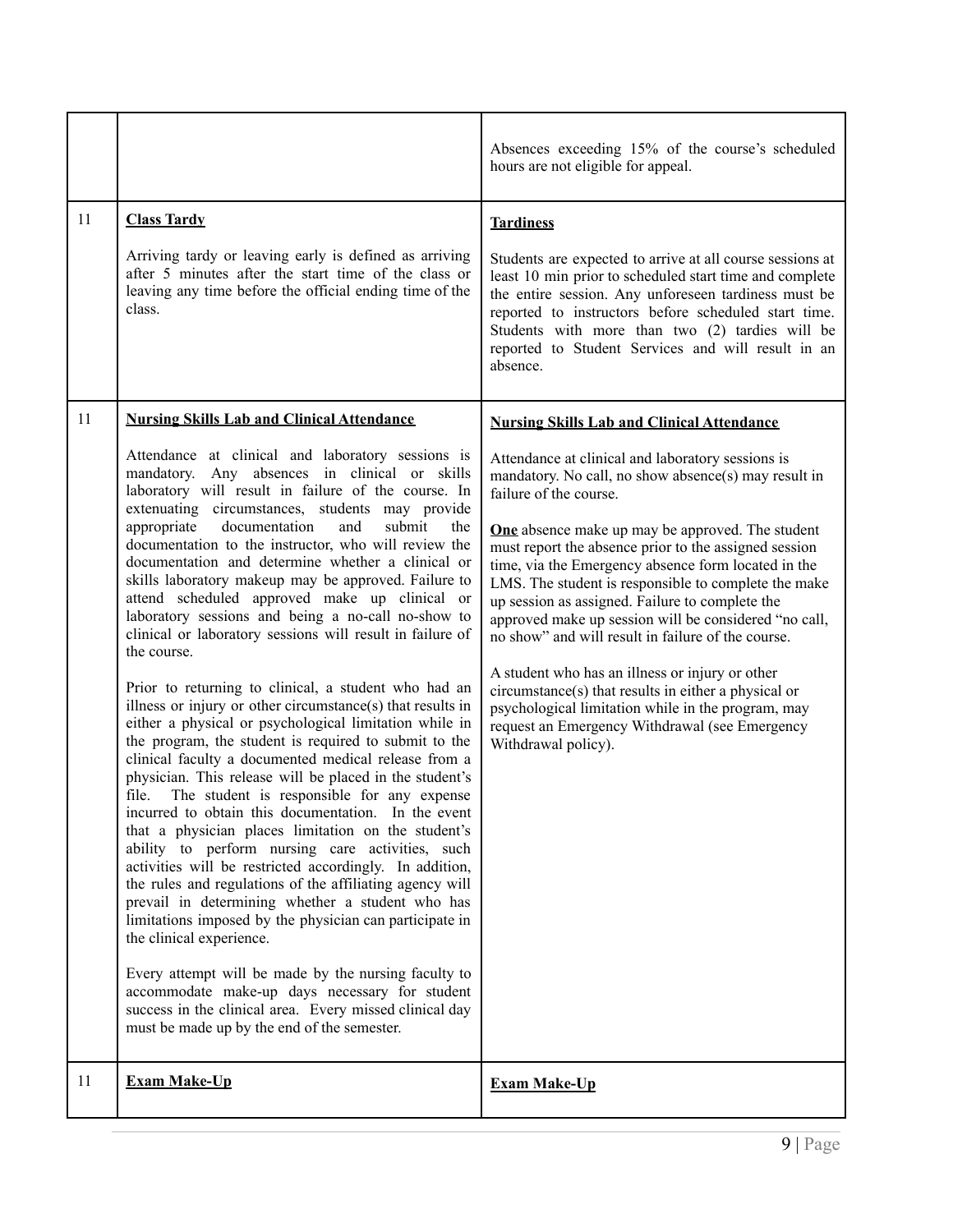<span id="page-8-2"></span><span id="page-8-1"></span><span id="page-8-0"></span>

|    |                                                                                                                                                                                                                                                                                                                                                                                                                                                                                                                                                                                                                                                                                                                                                                                                                                                                                                                                                                                                                                                                                                                                                                                                                                                                                                                                                                                                                                                                                                                                                                                                                                                                                                                                                              | Absences exceeding 15% of the course's scheduled<br>hours are not eligible for appeal.                                                                                                                                                                                                                                                                                                                                                                                                                                                                                                                                                                                                                                                                                                                                                  |
|----|--------------------------------------------------------------------------------------------------------------------------------------------------------------------------------------------------------------------------------------------------------------------------------------------------------------------------------------------------------------------------------------------------------------------------------------------------------------------------------------------------------------------------------------------------------------------------------------------------------------------------------------------------------------------------------------------------------------------------------------------------------------------------------------------------------------------------------------------------------------------------------------------------------------------------------------------------------------------------------------------------------------------------------------------------------------------------------------------------------------------------------------------------------------------------------------------------------------------------------------------------------------------------------------------------------------------------------------------------------------------------------------------------------------------------------------------------------------------------------------------------------------------------------------------------------------------------------------------------------------------------------------------------------------------------------------------------------------------------------------------------------------|-----------------------------------------------------------------------------------------------------------------------------------------------------------------------------------------------------------------------------------------------------------------------------------------------------------------------------------------------------------------------------------------------------------------------------------------------------------------------------------------------------------------------------------------------------------------------------------------------------------------------------------------------------------------------------------------------------------------------------------------------------------------------------------------------------------------------------------------|
| 11 | <b>Class Tardy</b><br>Arriving tardy or leaving early is defined as arriving<br>after 5 minutes after the start time of the class or<br>leaving any time before the official ending time of the<br>class.                                                                                                                                                                                                                                                                                                                                                                                                                                                                                                                                                                                                                                                                                                                                                                                                                                                                                                                                                                                                                                                                                                                                                                                                                                                                                                                                                                                                                                                                                                                                                    | <b>Tardiness</b><br>Students are expected to arrive at all course sessions at<br>least 10 min prior to scheduled start time and complete<br>the entire session. Any unforeseen tardiness must be<br>reported to instructors before scheduled start time.<br>Students with more than two (2) tardies will be<br>reported to Student Services and will result in an<br>absence.                                                                                                                                                                                                                                                                                                                                                                                                                                                           |
| 11 | <b>Nursing Skills Lab and Clinical Attendance</b><br>Attendance at clinical and laboratory sessions is<br>mandatory. Any absences in clinical or skills<br>laboratory will result in failure of the course. In<br>extenuating circumstances, students may provide<br>appropriate<br>documentation<br>and<br>submit<br>the<br>documentation to the instructor, who will review the<br>documentation and determine whether a clinical or<br>skills laboratory makeup may be approved. Failure to<br>attend scheduled approved make up clinical or<br>laboratory sessions and being a no-call no-show to<br>clinical or laboratory sessions will result in failure of<br>the course.<br>Prior to returning to clinical, a student who had an<br>illness or injury or other circumstance(s) that results in<br>either a physical or psychological limitation while in<br>the program, the student is required to submit to the<br>clinical faculty a documented medical release from a<br>physician. This release will be placed in the student's<br>file.<br>The student is responsible for any expense<br>incurred to obtain this documentation. In the event<br>that a physician places limitation on the student's<br>ability to perform nursing care activities, such<br>activities will be restricted accordingly. In addition,<br>the rules and regulations of the affiliating agency will<br>prevail in determining whether a student who has<br>limitations imposed by the physician can participate in<br>the clinical experience.<br>Every attempt will be made by the nursing faculty to<br>accommodate make-up days necessary for student<br>success in the clinical area. Every missed clinical day<br>must be made up by the end of the semester. | <b>Nursing Skills Lab and Clinical Attendance</b><br>Attendance at clinical and laboratory sessions is<br>mandatory. No call, no show absence(s) may result in<br>failure of the course.<br><b>One</b> absence make up may be approved. The student<br>must report the absence prior to the assigned session<br>time, via the Emergency absence form located in the<br>LMS. The student is responsible to complete the make<br>up session as assigned. Failure to complete the<br>approved make up session will be considered "no call,<br>no show" and will result in failure of the course.<br>A student who has an illness or injury or other<br>circumstance(s) that results in either a physical or<br>psychological limitation while in the program, may<br>request an Emergency Withdrawal (see Emergency<br>Withdrawal policy). |
| 11 | <b>Exam Make-Up</b>                                                                                                                                                                                                                                                                                                                                                                                                                                                                                                                                                                                                                                                                                                                                                                                                                                                                                                                                                                                                                                                                                                                                                                                                                                                                                                                                                                                                                                                                                                                                                                                                                                                                                                                                          | <b>Exam Make-Up</b>                                                                                                                                                                                                                                                                                                                                                                                                                                                                                                                                                                                                                                                                                                                                                                                                                     |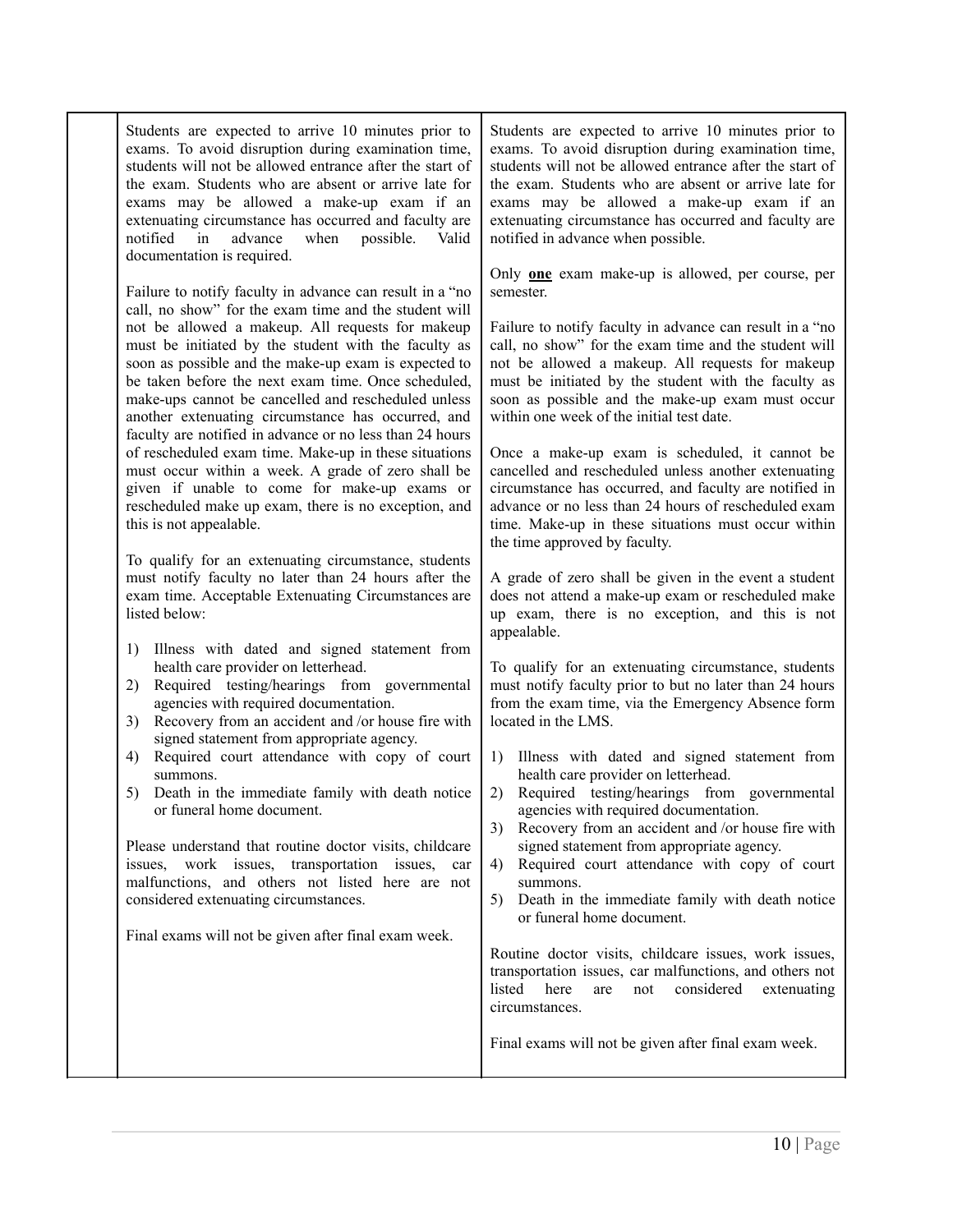| semester.<br>Failure to notify faculty in advance can result in a "no<br>call, no show" for the exam time and the student will<br>not be allowed a makeup. All requests for makeup<br>must be initiated by the student with the faculty as<br>call, no show" for the exam time and the student will<br>soon as possible and the make-up exam is expected to<br>not be allowed a makeup. All requests for makeup<br>be taken before the next exam time. Once scheduled,<br>must be initiated by the student with the faculty as<br>make-ups cannot be cancelled and rescheduled unless<br>within one week of the initial test date.<br>another extenuating circumstance has occurred, and<br>faculty are notified in advance or no less than 24 hours<br>of rescheduled exam time. Make-up in these situations<br>Once a make-up exam is scheduled, it cannot be<br>must occur within a week. A grade of zero shall be<br>cancelled and rescheduled unless another extenuating<br>given if unable to come for make-up exams or<br>rescheduled make up exam, there is no exception, and<br>this is not appealable.<br>the time approved by faculty.<br>To qualify for an extenuating circumstance, students<br>must notify faculty no later than 24 hours after the<br>exam time. Acceptable Extenuating Circumstances are<br>listed below:<br>appealable.<br>Illness with dated and signed statement from<br>1)<br>health care provider on letterhead.<br>To qualify for an extenuating circumstance, students<br>must notify faculty prior to but no later than 24 hours<br>Required testing/hearings from governmental<br>2)<br>agencies with required documentation.<br>from the exam time, via the Emergency Absence form<br>Recovery from an accident and /or house fire with<br>located in the LMS.<br>3)<br>signed statement from appropriate agency.<br>Required court attendance with copy of court<br>4)<br>1)<br>health care provider on letterhead.<br>summons.<br>Death in the immediate family with death notice<br>5)<br>2)<br>agencies with required documentation.<br>or funeral home document.<br>3)<br>signed statement from appropriate agency.<br>Please understand that routine doctor visits, childcare<br>work issues, transportation issues,<br>issues.<br>car<br>4)<br>malfunctions, and others not listed here are not<br>summons.<br>considered extenuating circumstances.<br>5)<br>or funeral home document.<br>Final exams will not be given after final exam week. | Students are expected to arrive 10 minutes prior to<br>exams. To avoid disruption during examination time,<br>students will not be allowed entrance after the start of<br>the exam. Students who are absent or arrive late for<br>exams may be allowed a make-up exam if an<br>extenuating circumstance has occurred and faculty are<br>advance<br>when<br>notified<br>in<br>possible.<br>Valid<br>documentation is required. | Students are expected to arrive 10 minutes prior to<br>exams. To avoid disruption during examination time,<br>students will not be allowed entrance after the start of<br>the exam. Students who are absent or arrive late for<br>exams may be allowed a make-up exam if an<br>extenuating circumstance has occurred and faculty are<br>notified in advance when possible.                                                                                                                                                                                                                                                                                                                                                                                                                                                                                                                                                                                  |
|--------------------------------------------------------------------------------------------------------------------------------------------------------------------------------------------------------------------------------------------------------------------------------------------------------------------------------------------------------------------------------------------------------------------------------------------------------------------------------------------------------------------------------------------------------------------------------------------------------------------------------------------------------------------------------------------------------------------------------------------------------------------------------------------------------------------------------------------------------------------------------------------------------------------------------------------------------------------------------------------------------------------------------------------------------------------------------------------------------------------------------------------------------------------------------------------------------------------------------------------------------------------------------------------------------------------------------------------------------------------------------------------------------------------------------------------------------------------------------------------------------------------------------------------------------------------------------------------------------------------------------------------------------------------------------------------------------------------------------------------------------------------------------------------------------------------------------------------------------------------------------------------------------------------------------------------------------------------------------------------------------------------------------------------------------------------------------------------------------------------------------------------------------------------------------------------------------------------------------------------------------------------------------------------------------------------------------------------------------------------------------------------------------------------------------------------------------------------------------------------------|-------------------------------------------------------------------------------------------------------------------------------------------------------------------------------------------------------------------------------------------------------------------------------------------------------------------------------------------------------------------------------------------------------------------------------|-------------------------------------------------------------------------------------------------------------------------------------------------------------------------------------------------------------------------------------------------------------------------------------------------------------------------------------------------------------------------------------------------------------------------------------------------------------------------------------------------------------------------------------------------------------------------------------------------------------------------------------------------------------------------------------------------------------------------------------------------------------------------------------------------------------------------------------------------------------------------------------------------------------------------------------------------------------|
| circumstances.<br>Final exams will not be given after final exam week.                                                                                                                                                                                                                                                                                                                                                                                                                                                                                                                                                                                                                                                                                                                                                                                                                                                                                                                                                                                                                                                                                                                                                                                                                                                                                                                                                                                                                                                                                                                                                                                                                                                                                                                                                                                                                                                                                                                                                                                                                                                                                                                                                                                                                                                                                                                                                                                                                           |                                                                                                                                                                                                                                                                                                                                                                                                                               | Only <b>one</b> exam make-up is allowed, per course, per<br>Failure to notify faculty in advance can result in a "no<br>soon as possible and the make-up exam must occur<br>circumstance has occurred, and faculty are notified in<br>advance or no less than 24 hours of rescheduled exam<br>time. Make-up in these situations must occur within<br>A grade of zero shall be given in the event a student<br>does not attend a make-up exam or rescheduled make<br>up exam, there is no exception, and this is not<br>Illness with dated and signed statement from<br>Required testing/hearings from governmental<br>Recovery from an accident and /or house fire with<br>Required court attendance with copy of court<br>Death in the immediate family with death notice<br>Routine doctor visits, childcare issues, work issues,<br>transportation issues, car malfunctions, and others not<br>listed<br>considered<br>here<br>not<br>extenuating<br>are |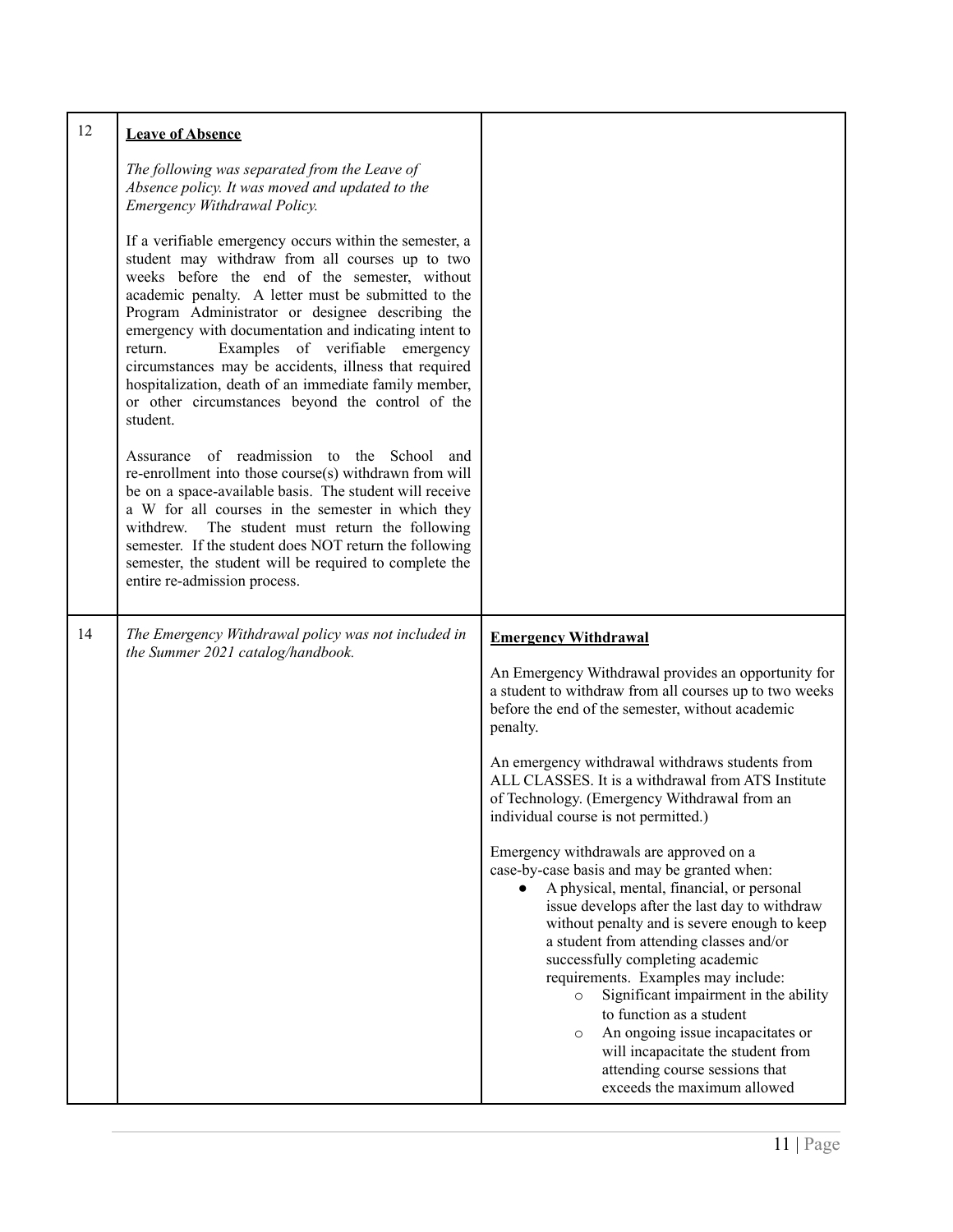<span id="page-10-1"></span><span id="page-10-0"></span>

| 12 | <b>Leave of Absence</b>                                                                                                                                                                                                                                                                                                                                                                                                                                                                                                                                                                                                                                                                                                                                                                                                                                                                                                                                                                                                                                                                                                                      |                                                                                                                                                                                                                                                                                                                                                                                                                                                                                                                                                                                                                                                                                                                                                                                                                                                                                                                                                                                                                     |
|----|----------------------------------------------------------------------------------------------------------------------------------------------------------------------------------------------------------------------------------------------------------------------------------------------------------------------------------------------------------------------------------------------------------------------------------------------------------------------------------------------------------------------------------------------------------------------------------------------------------------------------------------------------------------------------------------------------------------------------------------------------------------------------------------------------------------------------------------------------------------------------------------------------------------------------------------------------------------------------------------------------------------------------------------------------------------------------------------------------------------------------------------------|---------------------------------------------------------------------------------------------------------------------------------------------------------------------------------------------------------------------------------------------------------------------------------------------------------------------------------------------------------------------------------------------------------------------------------------------------------------------------------------------------------------------------------------------------------------------------------------------------------------------------------------------------------------------------------------------------------------------------------------------------------------------------------------------------------------------------------------------------------------------------------------------------------------------------------------------------------------------------------------------------------------------|
|    | The following was separated from the Leave of<br>Absence policy. It was moved and updated to the<br>Emergency Withdrawal Policy.<br>If a verifiable emergency occurs within the semester, a<br>student may withdraw from all courses up to two<br>weeks before the end of the semester, without<br>academic penalty. A letter must be submitted to the<br>Program Administrator or designee describing the<br>emergency with documentation and indicating intent to<br>Examples of verifiable<br>emergency<br>return.<br>circumstances may be accidents, illness that required<br>hospitalization, death of an immediate family member,<br>or other circumstances beyond the control of the<br>student.<br>Assurance of readmission to the School<br>and<br>re-enrollment into those course(s) withdrawn from will<br>be on a space-available basis. The student will receive<br>a W for all courses in the semester in which they<br>The student must return the following<br>withdrew.<br>semester. If the student does NOT return the following<br>semester, the student will be required to complete the<br>entire re-admission process. |                                                                                                                                                                                                                                                                                                                                                                                                                                                                                                                                                                                                                                                                                                                                                                                                                                                                                                                                                                                                                     |
| 14 | The Emergency Withdrawal policy was not included in<br>the Summer 2021 catalog/handbook.                                                                                                                                                                                                                                                                                                                                                                                                                                                                                                                                                                                                                                                                                                                                                                                                                                                                                                                                                                                                                                                     | <b>Emergency Withdrawal</b><br>An Emergency Withdrawal provides an opportunity for<br>a student to withdraw from all courses up to two weeks<br>before the end of the semester, without academic<br>penalty.<br>An emergency withdrawal withdraws students from<br>ALL CLASSES. It is a withdrawal from ATS Institute<br>of Technology. (Emergency Withdrawal from an<br>individual course is not permitted.)<br>Emergency withdrawals are approved on a<br>case-by-case basis and may be granted when:<br>A physical, mental, financial, or personal<br>issue develops after the last day to withdraw<br>without penalty and is severe enough to keep<br>a student from attending classes and/or<br>successfully completing academic<br>requirements. Examples may include:<br>Significant impairment in the ability<br>$\circ$<br>to function as a student<br>An ongoing issue incapacitates or<br>$\circ$<br>will incapacitate the student from<br>attending course sessions that<br>exceeds the maximum allowed |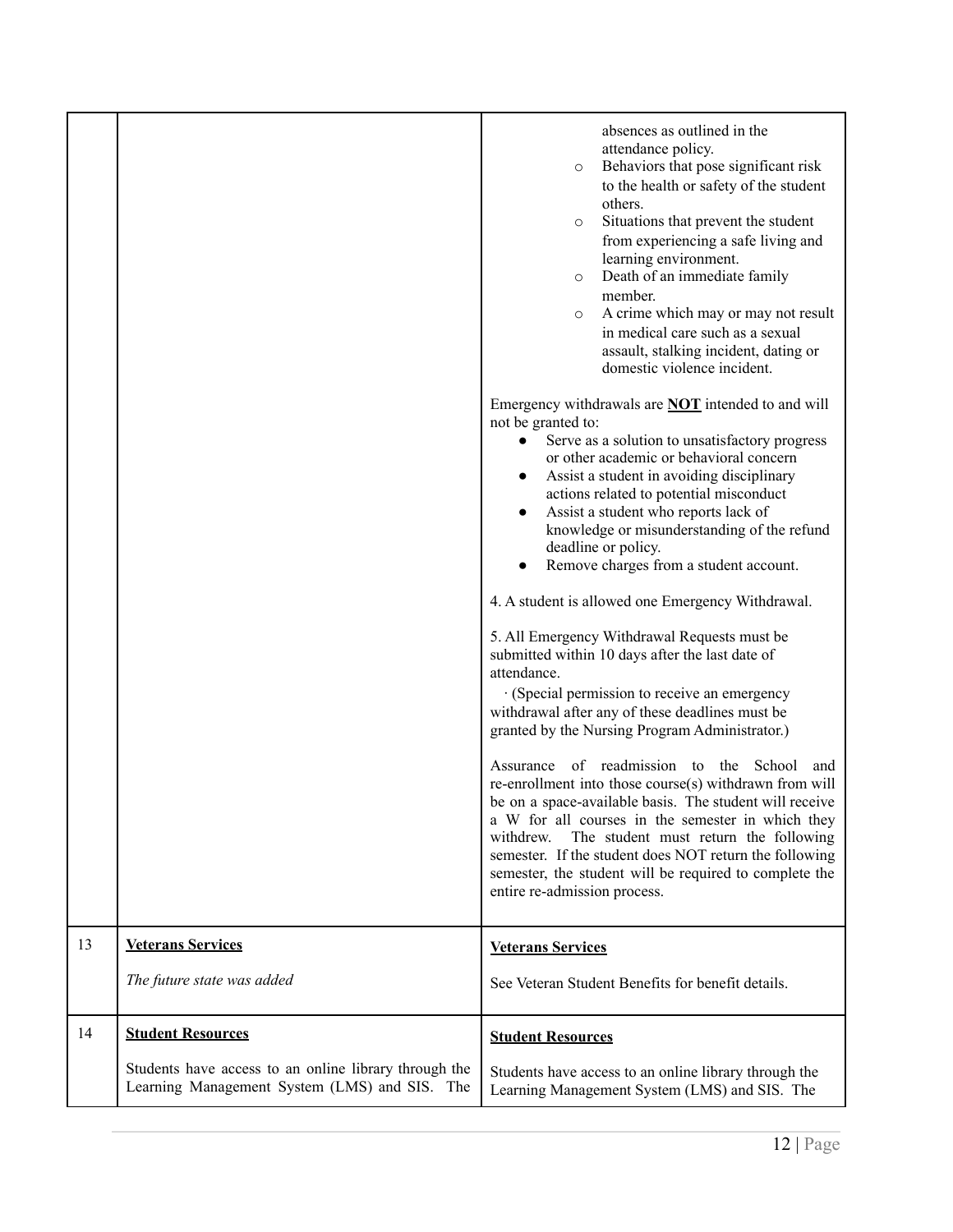<span id="page-11-1"></span><span id="page-11-0"></span>

|    |                                                                                                                                    | absences as outlined in the<br>attendance policy.<br>Behaviors that pose significant risk<br>$\circ$<br>to the health or safety of the student<br>others.<br>Situations that prevent the student<br>$\circ$<br>from experiencing a safe living and<br>learning environment.<br>Death of an immediate family<br>$\circ$<br>member.<br>A crime which may or may not result<br>$\circ$<br>in medical care such as a sexual<br>assault, stalking incident, dating or<br>domestic violence incident.<br>Emergency withdrawals are <b>NOT</b> intended to and will<br>not be granted to:<br>Serve as a solution to unsatisfactory progress<br>$\bullet$<br>or other academic or behavioral concern<br>Assist a student in avoiding disciplinary<br>$\bullet$<br>actions related to potential misconduct<br>Assist a student who reports lack of<br>knowledge or misunderstanding of the refund<br>deadline or policy.<br>Remove charges from a student account.<br>4. A student is allowed one Emergency Withdrawal.<br>5. All Emergency Withdrawal Requests must be<br>submitted within 10 days after the last date of<br>attendance.<br>· (Special permission to receive an emergency<br>withdrawal after any of these deadlines must be<br>granted by the Nursing Program Administrator.)<br>Assurance of readmission to the School<br>and<br>re-enrollment into those course(s) withdrawn from will<br>be on a space-available basis. The student will receive<br>a W for all courses in the semester in which they<br>The student must return the following<br>withdrew.<br>semester. If the student does NOT return the following<br>semester, the student will be required to complete the<br>entire re-admission process. |
|----|------------------------------------------------------------------------------------------------------------------------------------|-----------------------------------------------------------------------------------------------------------------------------------------------------------------------------------------------------------------------------------------------------------------------------------------------------------------------------------------------------------------------------------------------------------------------------------------------------------------------------------------------------------------------------------------------------------------------------------------------------------------------------------------------------------------------------------------------------------------------------------------------------------------------------------------------------------------------------------------------------------------------------------------------------------------------------------------------------------------------------------------------------------------------------------------------------------------------------------------------------------------------------------------------------------------------------------------------------------------------------------------------------------------------------------------------------------------------------------------------------------------------------------------------------------------------------------------------------------------------------------------------------------------------------------------------------------------------------------------------------------------------------------------------------------------------------------------------------------------------------|
| 13 | <b>Veterans Services</b>                                                                                                           | <b>Veterans Services</b>                                                                                                                                                                                                                                                                                                                                                                                                                                                                                                                                                                                                                                                                                                                                                                                                                                                                                                                                                                                                                                                                                                                                                                                                                                                                                                                                                                                                                                                                                                                                                                                                                                                                                                    |
|    | The future state was added                                                                                                         | See Veteran Student Benefits for benefit details.                                                                                                                                                                                                                                                                                                                                                                                                                                                                                                                                                                                                                                                                                                                                                                                                                                                                                                                                                                                                                                                                                                                                                                                                                                                                                                                                                                                                                                                                                                                                                                                                                                                                           |
| 14 | <b>Student Resources</b><br>Students have access to an online library through the<br>Learning Management System (LMS) and SIS. The | <b>Student Resources</b><br>Students have access to an online library through the<br>Learning Management System (LMS) and SIS. The                                                                                                                                                                                                                                                                                                                                                                                                                                                                                                                                                                                                                                                                                                                                                                                                                                                                                                                                                                                                                                                                                                                                                                                                                                                                                                                                                                                                                                                                                                                                                                                          |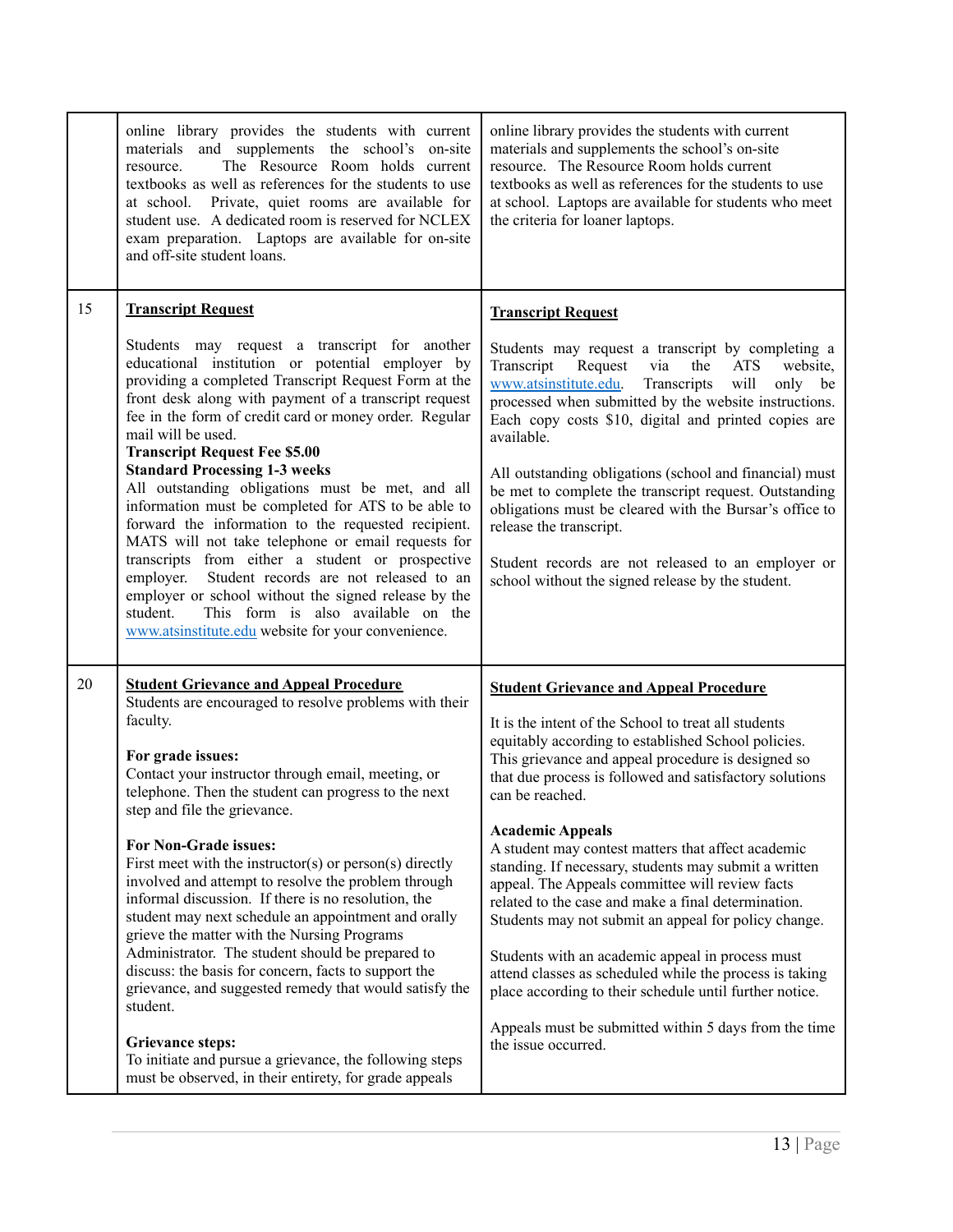<span id="page-12-1"></span><span id="page-12-0"></span>

|    | online library provides the students with current<br>materials and supplements the school's on-site<br>The Resource Room holds current<br>resource.<br>textbooks as well as references for the students to use<br>at school. Private, quiet rooms are available for<br>student use. A dedicated room is reserved for NCLEX<br>exam preparation. Laptops are available for on-site<br>and off-site student loans.                                                                                                                                                                                                                                                                                                                                                                                                                                                                                                                 | online library provides the students with current<br>materials and supplements the school's on-site<br>resource. The Resource Room holds current<br>textbooks as well as references for the students to use<br>at school. Laptops are available for students who meet<br>the criteria for loaner laptops.                                                                                                                                                                                                                                                                                                                                                                                                                                                                                                                                                              |
|----|----------------------------------------------------------------------------------------------------------------------------------------------------------------------------------------------------------------------------------------------------------------------------------------------------------------------------------------------------------------------------------------------------------------------------------------------------------------------------------------------------------------------------------------------------------------------------------------------------------------------------------------------------------------------------------------------------------------------------------------------------------------------------------------------------------------------------------------------------------------------------------------------------------------------------------|------------------------------------------------------------------------------------------------------------------------------------------------------------------------------------------------------------------------------------------------------------------------------------------------------------------------------------------------------------------------------------------------------------------------------------------------------------------------------------------------------------------------------------------------------------------------------------------------------------------------------------------------------------------------------------------------------------------------------------------------------------------------------------------------------------------------------------------------------------------------|
| 15 | <b>Transcript Request</b><br>Students may request a transcript for another<br>educational institution or potential employer by<br>providing a completed Transcript Request Form at the<br>front desk along with payment of a transcript request<br>fee in the form of credit card or money order. Regular<br>mail will be used.<br><b>Transcript Request Fee \$5.00</b><br><b>Standard Processing 1-3 weeks</b><br>All outstanding obligations must be met, and all<br>information must be completed for ATS to be able to<br>forward the information to the requested recipient.<br>MATS will not take telephone or email requests for<br>transcripts from either a student or prospective<br>Student records are not released to an<br>employer.<br>employer or school without the signed release by the<br>This form is also available on the<br>student.<br>www.atsinstitute.edu website for your convenience.               | <b>Transcript Request</b><br>Students may request a transcript by completing a<br>Transcript<br>Request<br>via<br>the<br><b>ATS</b><br>website.<br>www.atsinstitute.edu.<br>Transcripts<br>will<br>only be<br>processed when submitted by the website instructions.<br>Each copy costs \$10, digital and printed copies are<br>available.<br>All outstanding obligations (school and financial) must<br>be met to complete the transcript request. Outstanding<br>obligations must be cleared with the Bursar's office to<br>release the transcript.<br>Student records are not released to an employer or<br>school without the signed release by the student.                                                                                                                                                                                                        |
| 20 | <b>Student Grievance and Appeal Procedure</b><br>Students are encouraged to resolve problems with their<br>faculty.<br>For grade issues:<br>Contact your instructor through email, meeting, or<br>telephone. Then the student can progress to the next<br>step and file the grievance.<br>For Non-Grade issues:<br>First meet with the instructor(s) or person(s) directly<br>involved and attempt to resolve the problem through<br>informal discussion. If there is no resolution, the<br>student may next schedule an appointment and orally<br>grieve the matter with the Nursing Programs<br>Administrator. The student should be prepared to<br>discuss: the basis for concern, facts to support the<br>grievance, and suggested remedy that would satisfy the<br>student.<br><b>Grievance steps:</b><br>To initiate and pursue a grievance, the following steps<br>must be observed, in their entirety, for grade appeals | <b>Student Grievance and Appeal Procedure</b><br>It is the intent of the School to treat all students<br>equitably according to established School policies.<br>This grievance and appeal procedure is designed so<br>that due process is followed and satisfactory solutions<br>can be reached.<br><b>Academic Appeals</b><br>A student may contest matters that affect academic<br>standing. If necessary, students may submit a written<br>appeal. The Appeals committee will review facts<br>related to the case and make a final determination.<br>Students may not submit an appeal for policy change.<br>Students with an academic appeal in process must<br>attend classes as scheduled while the process is taking<br>place according to their schedule until further notice.<br>Appeals must be submitted within 5 days from the time<br>the issue occurred. |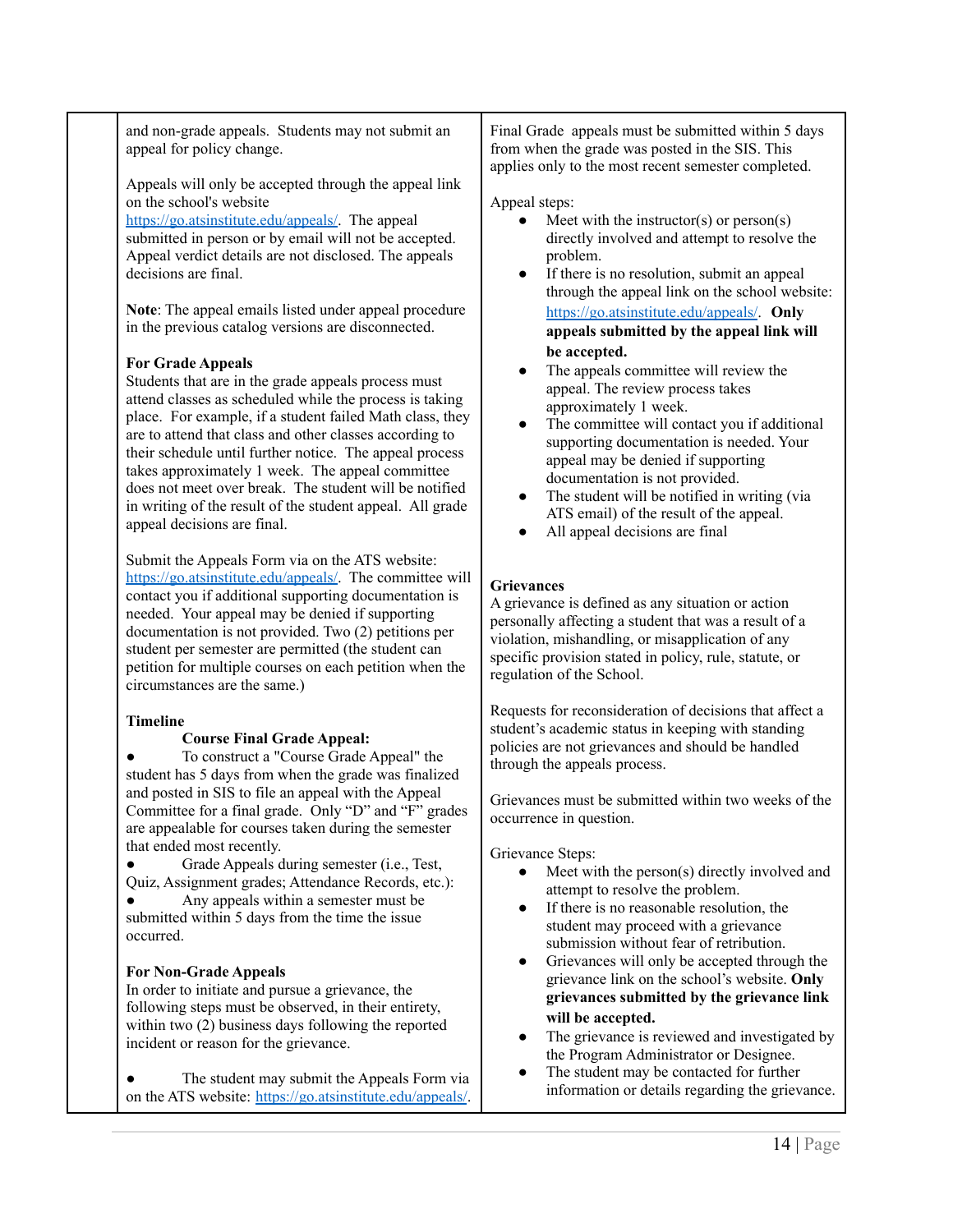and non-grade appeals. Students may not submit an appeal for policy change.

Appeals will only be accepted through the appeal link on the school's website

<https://go.atsinstitute.edu/appeals/>. The appeal submitted in person or by email will not be accepted. Appeal verdict details are not disclosed. The appeals decisions are final.

**Note**: The appeal emails listed under appeal procedure in the previous catalog versions are disconnected.

### **For Grade Appeals**

Students that are in the grade appeals process must attend classes as scheduled while the process is taking place. For example, if a student failed Math class, they are to attend that class and other classes according to their schedule until further notice. The appeal process takes approximately 1 week. The appeal committee does not meet over break. The student will be notified in writing of the result of the student appeal. All grade appeal decisions are final.

Submit the Appeals Form via on the ATS website: <https://go.atsinstitute.edu/appeals/>. The committee will contact you if additional supporting documentation is needed. Your appeal may be denied if supporting documentation is not provided. Two (2) petitions per student per semester are permitted (the student can petition for multiple courses on each petition when the circumstances are the same.)

### **Timeline**

### **Course Final Grade Appeal:**

● To construct a "Course Grade Appeal" the student has 5 days from when the grade was finalized and posted in SIS to file an appeal with the Appeal Committee for a final grade. Only "D" and "F" grades are appealable for courses taken during the semester that ended most recently.

● Grade Appeals during semester (i.e., Test, Quiz, Assignment grades; Attendance Records, etc.): Any appeals within a semester must be submitted within 5 days from the time the issue occurred.

### **For Non-Grade Appeals**

In order to initiate and pursue a grievance, the following steps must be observed, in their entirety, within two (2) business days following the reported incident or reason for the grievance.

• The student may submit the Appeals Form via on the ATS website: <https://go.atsinstitute.edu/appeals/>. Final Grade appeals must be submitted within 5 days from when the grade was posted in the SIS. This applies only to the most recent semester completed.

#### Appeal steps:

- Meet with the instructor(s) or person(s) directly involved and attempt to resolve the problem.
- If there is no resolution, submit an appeal through the appeal link on the school website: <https://go.atsinstitute.edu/appeals/>. **Only appeals submitted by the appeal link will be accepted.**
- The appeals committee will review the appeal. The review process takes approximately 1 week.
- The committee will contact you if additional supporting documentation is needed. Your appeal may be denied if supporting documentation is not provided.
- The student will be notified in writing (via ATS email) of the result of the appeal.
- All appeal decisions are final

### **Grievances**

A grievance is defined as any situation or action personally affecting a student that was a result of a violation, mishandling, or misapplication of any specific provision stated in policy, rule, statute, or regulation of the School.

Requests for reconsideration of decisions that affect a student's academic status in keeping with standing policies are not grievances and should be handled through the appeals process.

Grievances must be submitted within two weeks of the occurrence in question.

Grievance Steps:

- Meet with the person(s) directly involved and attempt to resolve the problem.
- If there is no reasonable resolution, the student may proceed with a grievance submission without fear of retribution.
- Grievances will only be accepted through the grievance link on the school's website. **Only grievances submitted by the grievance link will be accepted.**
- The grievance is reviewed and investigated by the Program Administrator or Designee.
- The student may be contacted for further information or details regarding the grievance.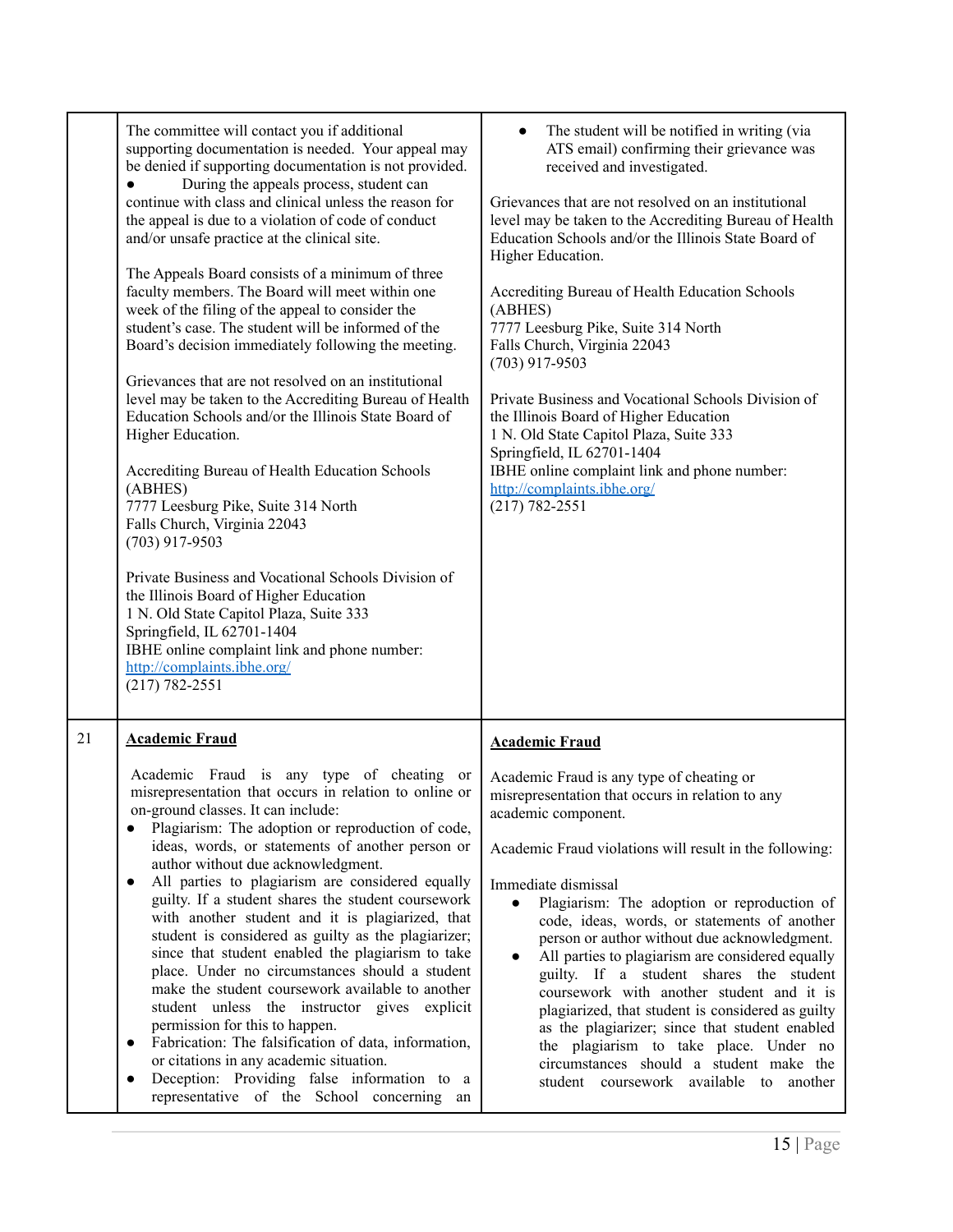<span id="page-14-0"></span>

|    | The committee will contact you if additional<br>supporting documentation is needed. Your appeal may<br>be denied if supporting documentation is not provided.<br>During the appeals process, student can<br>continue with class and clinical unless the reason for<br>the appeal is due to a violation of code of conduct<br>and/or unsafe practice at the clinical site.<br>The Appeals Board consists of a minimum of three<br>faculty members. The Board will meet within one<br>week of the filing of the appeal to consider the<br>student's case. The student will be informed of the<br>Board's decision immediately following the meeting.<br>Grievances that are not resolved on an institutional<br>level may be taken to the Accrediting Bureau of Health<br>Education Schools and/or the Illinois State Board of<br>Higher Education.<br>Accrediting Bureau of Health Education Schools<br>(ABHES)<br>7777 Leesburg Pike, Suite 314 North<br>Falls Church, Virginia 22043<br>$(703)$ 917-9503<br>Private Business and Vocational Schools Division of<br>the Illinois Board of Higher Education<br>1 N. Old State Capitol Plaza, Suite 333<br>Springfield, IL 62701-1404<br>IBHE online complaint link and phone number:<br>http://complaints.ibhe.org/<br>$(217) 782 - 2551$ | The student will be notified in writing (via<br>ATS email) confirming their grievance was<br>received and investigated.<br>Grievances that are not resolved on an institutional<br>level may be taken to the Accrediting Bureau of Health<br>Education Schools and/or the Illinois State Board of<br>Higher Education.<br>Accrediting Bureau of Health Education Schools<br>(ABHES)<br>7777 Leesburg Pike, Suite 314 North<br>Falls Church, Virginia 22043<br>$(703)$ 917-9503<br>Private Business and Vocational Schools Division of<br>the Illinois Board of Higher Education<br>1 N. Old State Capitol Plaza, Suite 333<br>Springfield, IL 62701-1404<br>IBHE online complaint link and phone number:<br>http://complaints.ibhe.org/<br>$(217) 782 - 2551$                               |
|----|------------------------------------------------------------------------------------------------------------------------------------------------------------------------------------------------------------------------------------------------------------------------------------------------------------------------------------------------------------------------------------------------------------------------------------------------------------------------------------------------------------------------------------------------------------------------------------------------------------------------------------------------------------------------------------------------------------------------------------------------------------------------------------------------------------------------------------------------------------------------------------------------------------------------------------------------------------------------------------------------------------------------------------------------------------------------------------------------------------------------------------------------------------------------------------------------------------------------------------------------------------------------------------------|---------------------------------------------------------------------------------------------------------------------------------------------------------------------------------------------------------------------------------------------------------------------------------------------------------------------------------------------------------------------------------------------------------------------------------------------------------------------------------------------------------------------------------------------------------------------------------------------------------------------------------------------------------------------------------------------------------------------------------------------------------------------------------------------|
| 21 | <b>Academic Fraud</b><br>Academic Fraud is any type of cheating or<br>misrepresentation that occurs in relation to online or<br>on-ground classes. It can include:<br>Plagiarism: The adoption or reproduction of code,<br>ideas, words, or statements of another person or<br>author without due acknowledgment.<br>All parties to plagiarism are considered equally<br>guilty. If a student shares the student coursework<br>with another student and it is plagiarized, that<br>student is considered as guilty as the plagiarizer;<br>since that student enabled the plagiarism to take<br>place. Under no circumstances should a student<br>make the student coursework available to another<br>student unless the instructor gives explicit<br>permission for this to happen.<br>Fabrication: The falsification of data, information,<br>or citations in any academic situation.<br>Deception: Providing false information to a<br>$\bullet$<br>representative of the School concerning an                                                                                                                                                                                                                                                                                         | <b>Academic Fraud</b><br>Academic Fraud is any type of cheating or<br>misrepresentation that occurs in relation to any<br>academic component.<br>Academic Fraud violations will result in the following:<br>Immediate dismissal<br>Plagiarism: The adoption or reproduction of<br>$\bullet$<br>code, ideas, words, or statements of another<br>person or author without due acknowledgment.<br>All parties to plagiarism are considered equally<br>$\bullet$<br>guilty. If a student shares the student<br>coursework with another student and it is<br>plagiarized, that student is considered as guilty<br>as the plagiarizer; since that student enabled<br>the plagiarism to take place. Under no<br>circumstances should a student make the<br>student coursework available to another |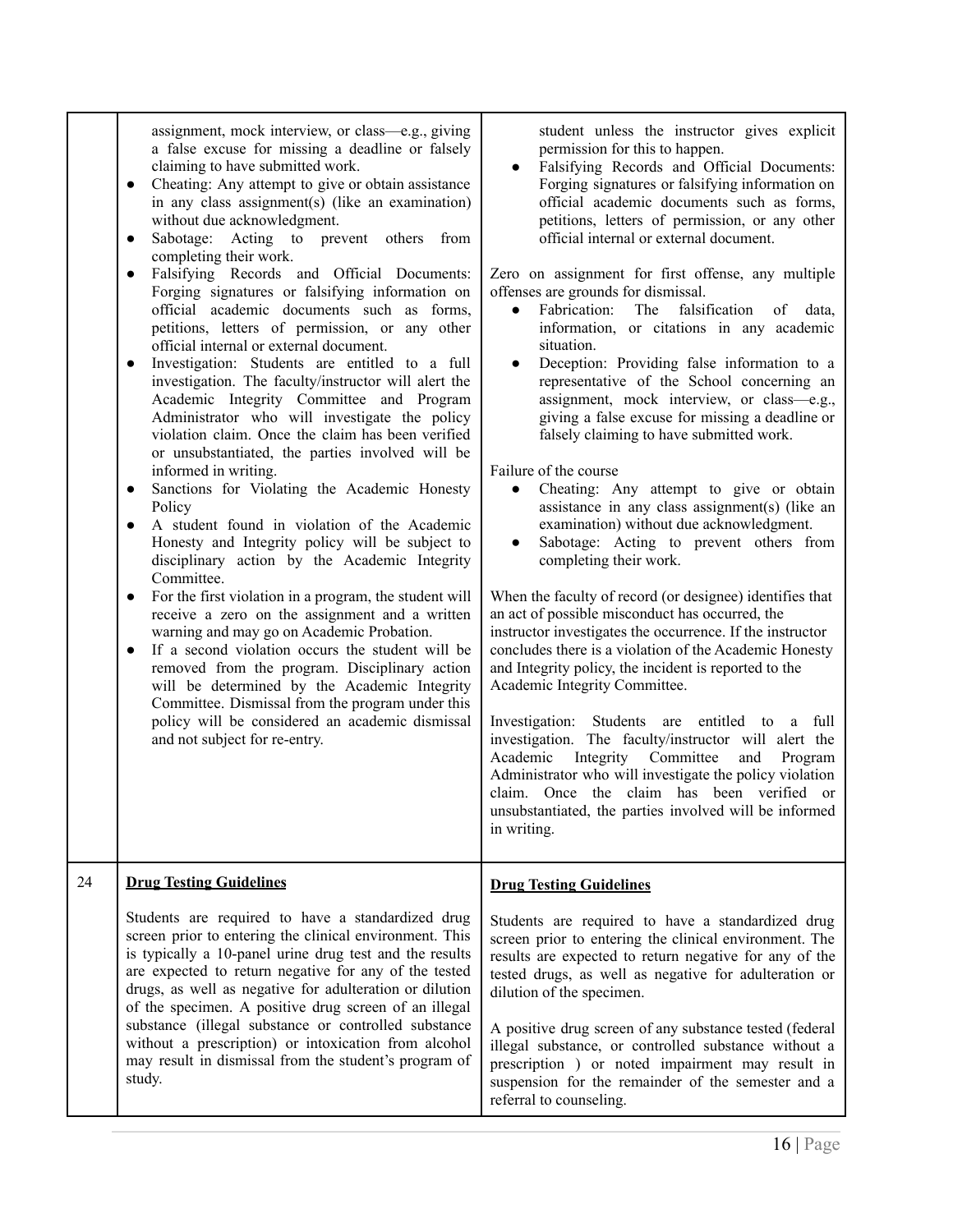<span id="page-15-0"></span>

|    | assignment, mock interview, or class—e.g., giving<br>a false excuse for missing a deadline or falsely<br>claiming to have submitted work.<br>Cheating: Any attempt to give or obtain assistance<br>$\bullet$<br>in any class assignment(s) (like an examination)<br>without due acknowledgment.<br>Sabotage: Acting to prevent others<br>from<br>$\bullet$<br>completing their work.<br>Falsifying Records and Official Documents:<br>$\bullet$<br>Forging signatures or falsifying information on<br>official academic documents such as forms,<br>petitions, letters of permission, or any other<br>official internal or external document.<br>Investigation: Students are entitled to a full<br>investigation. The faculty/instructor will alert the<br>Academic Integrity Committee and Program<br>Administrator who will investigate the policy<br>violation claim. Once the claim has been verified<br>or unsubstantiated, the parties involved will be<br>informed in writing.<br>Sanctions for Violating the Academic Honesty<br>$\bullet$<br>Policy<br>A student found in violation of the Academic<br>$\bullet$<br>Honesty and Integrity policy will be subject to<br>disciplinary action by the Academic Integrity<br>Committee.<br>For the first violation in a program, the student will<br>$\bullet$<br>receive a zero on the assignment and a written<br>warning and may go on Academic Probation.<br>If a second violation occurs the student will be<br>$\bullet$<br>removed from the program. Disciplinary action<br>will be determined by the Academic Integrity<br>Committee. Dismissal from the program under this<br>policy will be considered an academic dismissal<br>and not subject for re-entry. | student unless the instructor gives explicit<br>permission for this to happen.<br>Falsifying Records and Official Documents:<br>$\bullet$<br>Forging signatures or falsifying information on<br>official academic documents such as forms,<br>petitions, letters of permission, or any other<br>official internal or external document.<br>Zero on assignment for first offense, any multiple<br>offenses are grounds for dismissal.<br>Fabrication:<br>The<br>falsification<br>data,<br>$\bullet$<br>of<br>information, or citations in any academic<br>situation.<br>Deception: Providing false information to a<br>representative of the School concerning an<br>assignment, mock interview, or class-e.g.,<br>giving a false excuse for missing a deadline or<br>falsely claiming to have submitted work.<br>Failure of the course<br>Cheating: Any attempt to give or obtain<br>$\bullet$<br>assistance in any class assignment(s) (like an<br>examination) without due acknowledgment.<br>Sabotage: Acting to prevent others from<br>$\bullet$<br>completing their work.<br>When the faculty of record (or designee) identifies that<br>an act of possible misconduct has occurred, the<br>instructor investigates the occurrence. If the instructor<br>concludes there is a violation of the Academic Honesty<br>and Integrity policy, the incident is reported to the<br>Academic Integrity Committee.<br>Investigation: Students are entitled to a full<br>investigation. The faculty/instructor will alert the<br>Academic<br>Integrity Committee<br>Program<br>and<br>Administrator who will investigate the policy violation<br>claim. Once the claim has been verified or<br>unsubstantiated, the parties involved will be informed<br>in writing. |
|----|-----------------------------------------------------------------------------------------------------------------------------------------------------------------------------------------------------------------------------------------------------------------------------------------------------------------------------------------------------------------------------------------------------------------------------------------------------------------------------------------------------------------------------------------------------------------------------------------------------------------------------------------------------------------------------------------------------------------------------------------------------------------------------------------------------------------------------------------------------------------------------------------------------------------------------------------------------------------------------------------------------------------------------------------------------------------------------------------------------------------------------------------------------------------------------------------------------------------------------------------------------------------------------------------------------------------------------------------------------------------------------------------------------------------------------------------------------------------------------------------------------------------------------------------------------------------------------------------------------------------------------------------------------------------------------------------------------------------------------|-----------------------------------------------------------------------------------------------------------------------------------------------------------------------------------------------------------------------------------------------------------------------------------------------------------------------------------------------------------------------------------------------------------------------------------------------------------------------------------------------------------------------------------------------------------------------------------------------------------------------------------------------------------------------------------------------------------------------------------------------------------------------------------------------------------------------------------------------------------------------------------------------------------------------------------------------------------------------------------------------------------------------------------------------------------------------------------------------------------------------------------------------------------------------------------------------------------------------------------------------------------------------------------------------------------------------------------------------------------------------------------------------------------------------------------------------------------------------------------------------------------------------------------------------------------------------------------------------------------------------------------------------------------------------------------------------------------------------------------------------------------------|
| 24 | <b>Drug Testing Guidelines</b>                                                                                                                                                                                                                                                                                                                                                                                                                                                                                                                                                                                                                                                                                                                                                                                                                                                                                                                                                                                                                                                                                                                                                                                                                                                                                                                                                                                                                                                                                                                                                                                                                                                                                              | <b>Drug Testing Guidelines</b>                                                                                                                                                                                                                                                                                                                                                                                                                                                                                                                                                                                                                                                                                                                                                                                                                                                                                                                                                                                                                                                                                                                                                                                                                                                                                                                                                                                                                                                                                                                                                                                                                                                                                                                                  |
|    | Students are required to have a standardized drug<br>screen prior to entering the clinical environment. This<br>is typically a 10-panel urine drug test and the results<br>are expected to return negative for any of the tested<br>drugs, as well as negative for adulteration or dilution<br>of the specimen. A positive drug screen of an illegal<br>substance (illegal substance or controlled substance<br>without a prescription) or intoxication from alcohol<br>may result in dismissal from the student's program of<br>study.                                                                                                                                                                                                                                                                                                                                                                                                                                                                                                                                                                                                                                                                                                                                                                                                                                                                                                                                                                                                                                                                                                                                                                                     | Students are required to have a standardized drug<br>screen prior to entering the clinical environment. The<br>results are expected to return negative for any of the<br>tested drugs, as well as negative for adulteration or<br>dilution of the specimen.<br>A positive drug screen of any substance tested (federal<br>illegal substance, or controlled substance without a<br>prescription ) or noted impairment may result in<br>suspension for the remainder of the semester and a<br>referral to counseling.                                                                                                                                                                                                                                                                                                                                                                                                                                                                                                                                                                                                                                                                                                                                                                                                                                                                                                                                                                                                                                                                                                                                                                                                                                             |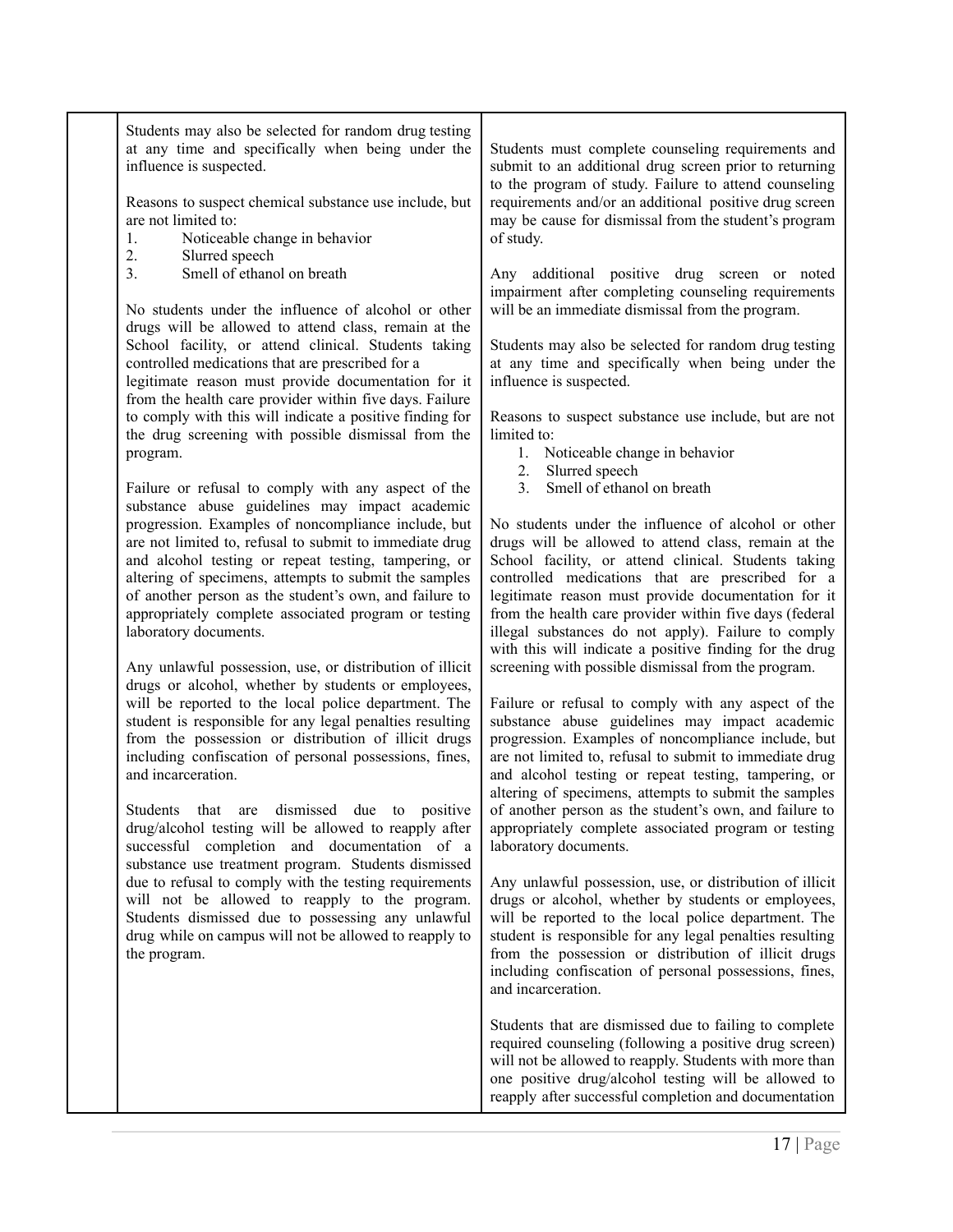| Students may also be selected for random drug testing<br>at any time and specifically when being under the<br>influence is suspected.<br>Reasons to suspect chemical substance use include, but<br>are not limited to:<br>Noticeable change in behavior<br>1.<br>2.<br>Slurred speech<br>Smell of ethanol on breath<br>3.<br>No students under the influence of alcohol or other<br>drugs will be allowed to attend class, remain at the<br>School facility, or attend clinical. Students taking<br>controlled medications that are prescribed for a<br>legitimate reason must provide documentation for it<br>from the health care provider within five days. Failure<br>to comply with this will indicate a positive finding for<br>the drug screening with possible dismissal from the<br>program.<br>Failure or refusal to comply with any aspect of the<br>substance abuse guidelines may impact academic<br>progression. Examples of noncompliance include, but<br>are not limited to, refusal to submit to immediate drug<br>and alcohol testing or repeat testing, tampering, or<br>altering of specimens, attempts to submit the samples<br>of another person as the student's own, and failure to<br>appropriately complete associated program or testing<br>laboratory documents.<br>Any unlawful possession, use, or distribution of illicit<br>drugs or alcohol, whether by students or employees,<br>will be reported to the local police department. The<br>student is responsible for any legal penalties resulting<br>from the possession or distribution of illicit drugs<br>including confiscation of personal possessions, fines,<br>and incarceration.<br>Students that are dismissed due to positive<br>drug/alcohol testing will be allowed to reapply after<br>successful completion and documentation of a<br>substance use treatment program. Students dismissed<br>due to refusal to comply with the testing requirements<br>will not be allowed to reapply to the program.<br>Students dismissed due to possessing any unlawful<br>drug while on campus will not be allowed to reapply to<br>the program. | Students must complete counseling requirements and<br>submit to an additional drug screen prior to returning<br>to the program of study. Failure to attend counseling<br>requirements and/or an additional positive drug screen<br>may be cause for dismissal from the student's program<br>of study.<br>Any additional positive drug screen or noted<br>impairment after completing counseling requirements<br>will be an immediate dismissal from the program.<br>Students may also be selected for random drug testing<br>at any time and specifically when being under the<br>influence is suspected.<br>Reasons to suspect substance use include, but are not<br>limited to:<br>1. Noticeable change in behavior<br>2.<br>Slurred speech<br>Smell of ethanol on breath<br>3.<br>No students under the influence of alcohol or other<br>drugs will be allowed to attend class, remain at the<br>School facility, or attend clinical. Students taking<br>controlled medications that are prescribed for a<br>legitimate reason must provide documentation for it<br>from the health care provider within five days (federal<br>illegal substances do not apply). Failure to comply<br>with this will indicate a positive finding for the drug<br>screening with possible dismissal from the program.<br>Failure or refusal to comply with any aspect of the<br>substance abuse guidelines may impact academic<br>progression. Examples of noncompliance include, but<br>are not limited to, refusal to submit to immediate drug<br>and alcohol testing or repeat testing, tampering, or<br>altering of specimens, attempts to submit the samples<br>of another person as the student's own, and failure to<br>appropriately complete associated program or testing<br>laboratory documents.<br>Any unlawful possession, use, or distribution of illicit<br>drugs or alcohol, whether by students or employees,<br>will be reported to the local police department. The<br>student is responsible for any legal penalties resulting<br>from the possession or distribution of illicit drugs<br>including confiscation of personal possessions, fines,<br>and incarceration. |
|---------------------------------------------------------------------------------------------------------------------------------------------------------------------------------------------------------------------------------------------------------------------------------------------------------------------------------------------------------------------------------------------------------------------------------------------------------------------------------------------------------------------------------------------------------------------------------------------------------------------------------------------------------------------------------------------------------------------------------------------------------------------------------------------------------------------------------------------------------------------------------------------------------------------------------------------------------------------------------------------------------------------------------------------------------------------------------------------------------------------------------------------------------------------------------------------------------------------------------------------------------------------------------------------------------------------------------------------------------------------------------------------------------------------------------------------------------------------------------------------------------------------------------------------------------------------------------------------------------------------------------------------------------------------------------------------------------------------------------------------------------------------------------------------------------------------------------------------------------------------------------------------------------------------------------------------------------------------------------------------------------------------------------------------------------------------------------------------------------------------------------------|-------------------------------------------------------------------------------------------------------------------------------------------------------------------------------------------------------------------------------------------------------------------------------------------------------------------------------------------------------------------------------------------------------------------------------------------------------------------------------------------------------------------------------------------------------------------------------------------------------------------------------------------------------------------------------------------------------------------------------------------------------------------------------------------------------------------------------------------------------------------------------------------------------------------------------------------------------------------------------------------------------------------------------------------------------------------------------------------------------------------------------------------------------------------------------------------------------------------------------------------------------------------------------------------------------------------------------------------------------------------------------------------------------------------------------------------------------------------------------------------------------------------------------------------------------------------------------------------------------------------------------------------------------------------------------------------------------------------------------------------------------------------------------------------------------------------------------------------------------------------------------------------------------------------------------------------------------------------------------------------------------------------------------------------------------------------------------------------------------------------------------------------------------------------------------|
|                                                                                                                                                                                                                                                                                                                                                                                                                                                                                                                                                                                                                                                                                                                                                                                                                                                                                                                                                                                                                                                                                                                                                                                                                                                                                                                                                                                                                                                                                                                                                                                                                                                                                                                                                                                                                                                                                                                                                                                                                                                                                                                                       | Students that are dismissed due to failing to complete<br>required counseling (following a positive drug screen)<br>will not be allowed to reapply. Students with more than<br>one positive drug/alcohol testing will be allowed to<br>reapply after successful completion and documentation                                                                                                                                                                                                                                                                                                                                                                                                                                                                                                                                                                                                                                                                                                                                                                                                                                                                                                                                                                                                                                                                                                                                                                                                                                                                                                                                                                                                                                                                                                                                                                                                                                                                                                                                                                                                                                                                                  |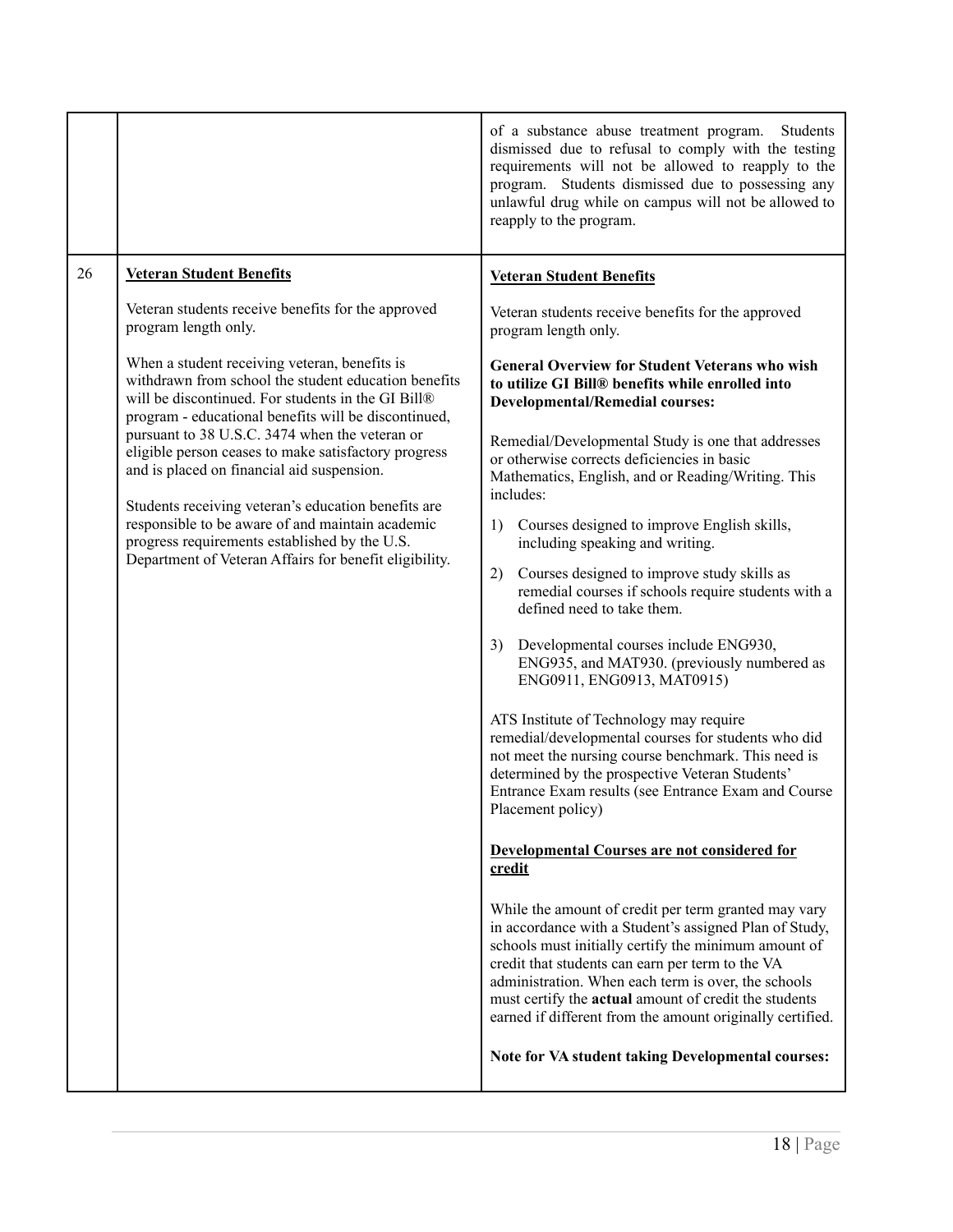<span id="page-17-0"></span>

|                                                        |                                                                                                                                                                                                                                                                                                                                                                             | of a substance abuse treatment program.<br>Students<br>dismissed due to refusal to comply with the testing<br>requirements will not be allowed to reapply to the<br>program. Students dismissed due to possessing any<br>unlawful drug while on campus will not be allowed to<br>reapply to the program.                                                                                                |
|--------------------------------------------------------|-----------------------------------------------------------------------------------------------------------------------------------------------------------------------------------------------------------------------------------------------------------------------------------------------------------------------------------------------------------------------------|---------------------------------------------------------------------------------------------------------------------------------------------------------------------------------------------------------------------------------------------------------------------------------------------------------------------------------------------------------------------------------------------------------|
| 26                                                     | <b>Veteran Student Benefits</b>                                                                                                                                                                                                                                                                                                                                             | <b>Veteran Student Benefits</b>                                                                                                                                                                                                                                                                                                                                                                         |
|                                                        | Veteran students receive benefits for the approved<br>program length only.                                                                                                                                                                                                                                                                                                  | Veteran students receive benefits for the approved<br>program length only.                                                                                                                                                                                                                                                                                                                              |
|                                                        | When a student receiving veteran, benefits is<br>withdrawn from school the student education benefits<br>will be discontinued. For students in the GI Bill®<br>program - educational benefits will be discontinued,<br>pursuant to 38 U.S.C. 3474 when the veteran or<br>eligible person ceases to make satisfactory progress<br>and is placed on financial aid suspension. | <b>General Overview for Student Veterans who wish</b><br>to utilize GI Bill® benefits while enrolled into<br><b>Developmental/Remedial courses:</b>                                                                                                                                                                                                                                                     |
|                                                        |                                                                                                                                                                                                                                                                                                                                                                             | Remedial/Developmental Study is one that addresses<br>or otherwise corrects deficiencies in basic<br>Mathematics, English, and or Reading/Writing. This<br>includes:                                                                                                                                                                                                                                    |
|                                                        | Students receiving veteran's education benefits are<br>responsible to be aware of and maintain academic<br>progress requirements established by the U.S.                                                                                                                                                                                                                    | Courses designed to improve English skills,<br>1)<br>including speaking and writing.                                                                                                                                                                                                                                                                                                                    |
| Department of Veteran Affairs for benefit eligibility. |                                                                                                                                                                                                                                                                                                                                                                             | Courses designed to improve study skills as<br>2)<br>remedial courses if schools require students with a<br>defined need to take them.                                                                                                                                                                                                                                                                  |
|                                                        |                                                                                                                                                                                                                                                                                                                                                                             | Developmental courses include ENG930,<br>3)<br>ENG935, and MAT930. (previously numbered as<br>ENG0911, ENG0913, MAT0915)                                                                                                                                                                                                                                                                                |
|                                                        |                                                                                                                                                                                                                                                                                                                                                                             | ATS Institute of Technology may require<br>remedial/developmental courses for students who did<br>not meet the nursing course benchmark. This need is<br>determined by the prospective Veteran Students'<br>Entrance Exam results (see Entrance Exam and Course<br>Placement policy)                                                                                                                    |
|                                                        |                                                                                                                                                                                                                                                                                                                                                                             | <b>Developmental Courses are not considered for</b><br>credit                                                                                                                                                                                                                                                                                                                                           |
|                                                        |                                                                                                                                                                                                                                                                                                                                                                             | While the amount of credit per term granted may vary<br>in accordance with a Student's assigned Plan of Study,<br>schools must initially certify the minimum amount of<br>credit that students can earn per term to the VA<br>administration. When each term is over, the schools<br>must certify the actual amount of credit the students<br>earned if different from the amount originally certified. |
|                                                        |                                                                                                                                                                                                                                                                                                                                                                             | Note for VA student taking Developmental courses:                                                                                                                                                                                                                                                                                                                                                       |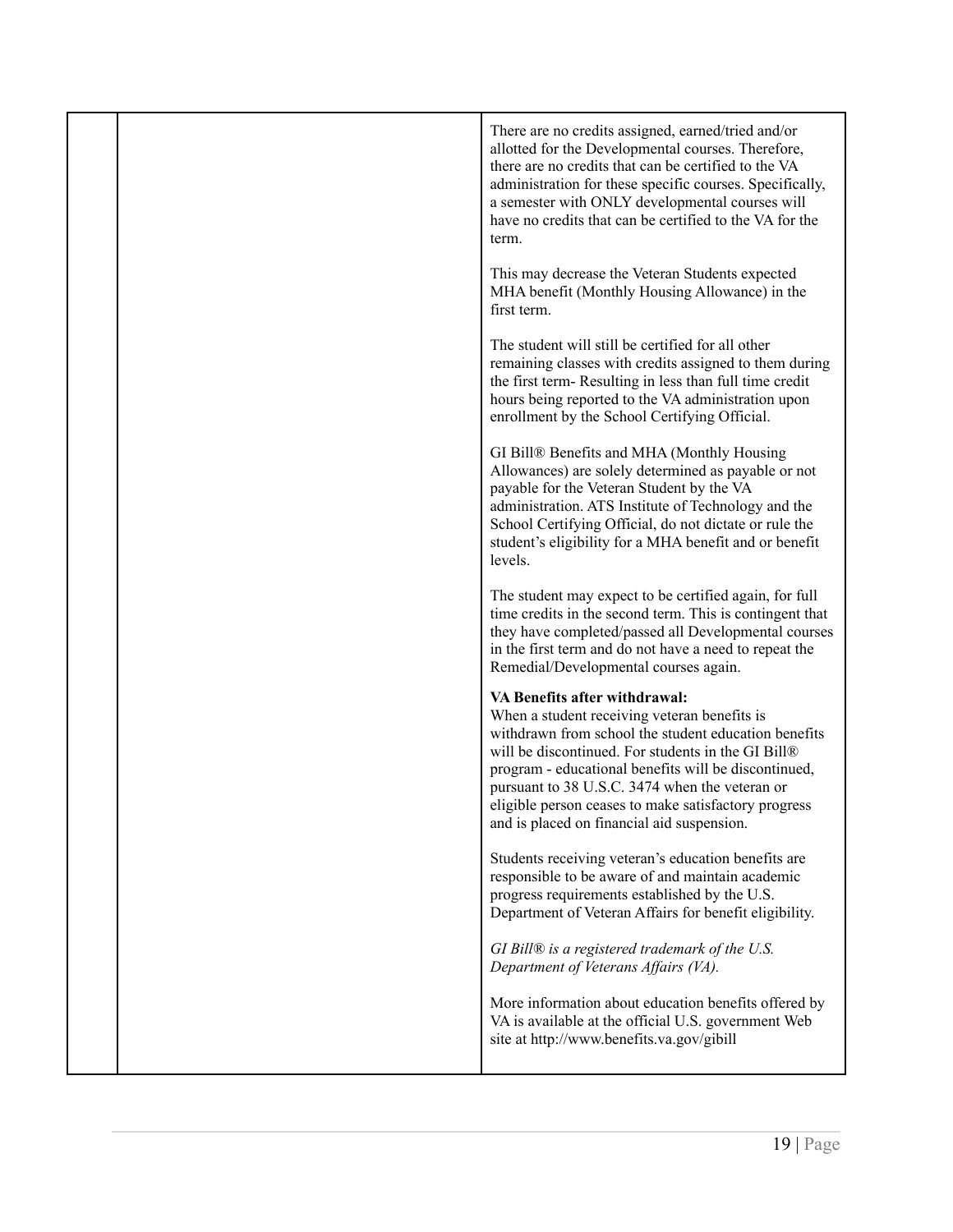|  | There are no credits assigned, earned/tried and/or<br>allotted for the Developmental courses. Therefore,<br>there are no credits that can be certified to the VA<br>administration for these specific courses. Specifically,<br>a semester with ONLY developmental courses will<br>have no credits that can be certified to the VA for the<br>term.                                                         |
|--|-------------------------------------------------------------------------------------------------------------------------------------------------------------------------------------------------------------------------------------------------------------------------------------------------------------------------------------------------------------------------------------------------------------|
|  | This may decrease the Veteran Students expected<br>MHA benefit (Monthly Housing Allowance) in the<br>first term.                                                                                                                                                                                                                                                                                            |
|  | The student will still be certified for all other<br>remaining classes with credits assigned to them during<br>the first term-Resulting in less than full time credit<br>hours being reported to the VA administration upon<br>enrollment by the School Certifying Official.                                                                                                                                |
|  | GI Bill® Benefits and MHA (Monthly Housing<br>Allowances) are solely determined as payable or not<br>payable for the Veteran Student by the VA<br>administration. ATS Institute of Technology and the<br>School Certifying Official, do not dictate or rule the<br>student's eligibility for a MHA benefit and or benefit<br>levels.                                                                        |
|  | The student may expect to be certified again, for full<br>time credits in the second term. This is contingent that<br>they have completed/passed all Developmental courses<br>in the first term and do not have a need to repeat the<br>Remedial/Developmental courses again.                                                                                                                               |
|  | VA Benefits after withdrawal:<br>When a student receiving veteran benefits is<br>withdrawn from school the student education benefits<br>will be discontinued. For students in the GI Bill®<br>program - educational benefits will be discontinued,<br>pursuant to 38 U.S.C. 3474 when the veteran or<br>eligible person ceases to make satisfactory progress<br>and is placed on financial aid suspension. |
|  | Students receiving veteran's education benefits are<br>responsible to be aware of and maintain academic<br>progress requirements established by the U.S.<br>Department of Veteran Affairs for benefit eligibility.                                                                                                                                                                                          |
|  | GI Bill $\mathcal{D}$ is a registered trademark of the U.S.<br>Department of Veterans Affairs (VA).                                                                                                                                                                                                                                                                                                         |
|  | More information about education benefits offered by<br>VA is available at the official U.S. government Web<br>site at http://www.benefits.va.gov/gibill                                                                                                                                                                                                                                                    |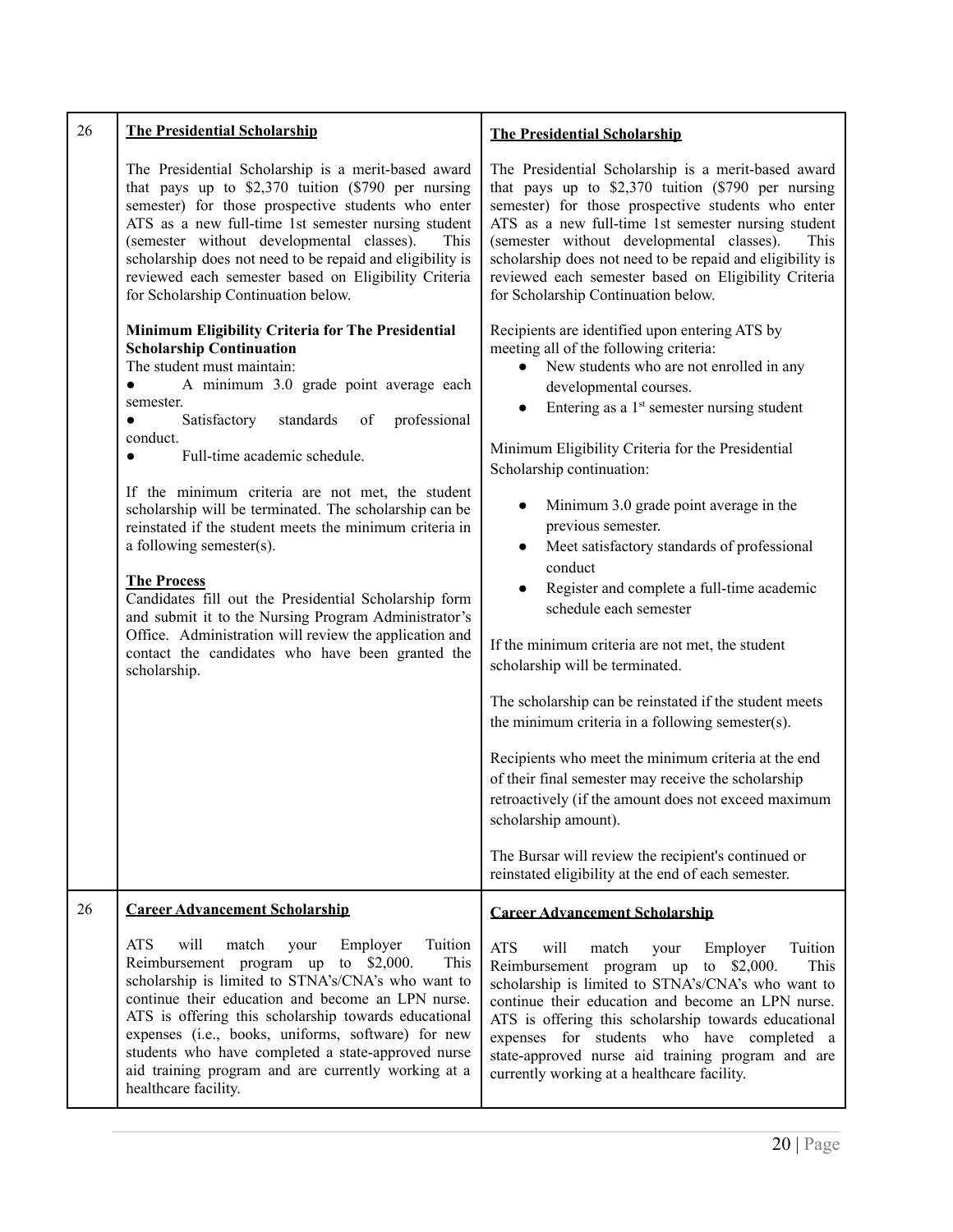<span id="page-19-1"></span><span id="page-19-0"></span>

| 26 | <b>The Presidential Scholarship</b>                                                                                                                                                                                                                                                                                                                                                                                                                                                                                                                                                                                                                                                                                                                                                       | <b>The Presidential Scholarship</b>                                                                                                                                                                                                                                                                                                                                                                                                                                                                                                                                                                                                                                                                                                                                                                                                                                                                                                                                                                                                                                               |  |
|----|-------------------------------------------------------------------------------------------------------------------------------------------------------------------------------------------------------------------------------------------------------------------------------------------------------------------------------------------------------------------------------------------------------------------------------------------------------------------------------------------------------------------------------------------------------------------------------------------------------------------------------------------------------------------------------------------------------------------------------------------------------------------------------------------|-----------------------------------------------------------------------------------------------------------------------------------------------------------------------------------------------------------------------------------------------------------------------------------------------------------------------------------------------------------------------------------------------------------------------------------------------------------------------------------------------------------------------------------------------------------------------------------------------------------------------------------------------------------------------------------------------------------------------------------------------------------------------------------------------------------------------------------------------------------------------------------------------------------------------------------------------------------------------------------------------------------------------------------------------------------------------------------|--|
|    | The Presidential Scholarship is a merit-based award<br>that pays up to $$2,370$ tuition (\$790 per nursing<br>semester) for those prospective students who enter<br>ATS as a new full-time 1st semester nursing student<br>(semester without developmental classes).<br>This<br>scholarship does not need to be repaid and eligibility is<br>reviewed each semester based on Eligibility Criteria<br>for Scholarship Continuation below.                                                                                                                                                                                                                                                                                                                                                  | The Presidential Scholarship is a merit-based award<br>that pays up to \$2,370 tuition (\$790 per nursing<br>semester) for those prospective students who enter<br>ATS as a new full-time 1st semester nursing student<br>(semester without developmental classes).<br>This<br>scholarship does not need to be repaid and eligibility is<br>reviewed each semester based on Eligibility Criteria<br>for Scholarship Continuation below.                                                                                                                                                                                                                                                                                                                                                                                                                                                                                                                                                                                                                                           |  |
|    | Minimum Eligibility Criteria for The Presidential<br><b>Scholarship Continuation</b><br>The student must maintain:<br>A minimum 3.0 grade point average each<br>$\bullet$<br>semester.<br>Satisfactory<br>professional<br>standards<br>of<br>$\bullet$<br>conduct.<br>Full-time academic schedule.<br>$\bullet$<br>If the minimum criteria are not met, the student<br>scholarship will be terminated. The scholarship can be<br>reinstated if the student meets the minimum criteria in<br>a following semester(s).<br><b>The Process</b><br>Candidates fill out the Presidential Scholarship form<br>and submit it to the Nursing Program Administrator's<br>Office. Administration will review the application and<br>contact the candidates who have been granted the<br>scholarship. | Recipients are identified upon entering ATS by<br>meeting all of the following criteria:<br>New students who are not enrolled in any<br>$\bullet$<br>developmental courses.<br>Entering as a 1 <sup>st</sup> semester nursing student<br>$\bullet$<br>Minimum Eligibility Criteria for the Presidential<br>Scholarship continuation:<br>Minimum 3.0 grade point average in the<br>previous semester.<br>Meet satisfactory standards of professional<br>$\bullet$<br>conduct<br>Register and complete a full-time academic<br>$\bullet$<br>schedule each semester<br>If the minimum criteria are not met, the student<br>scholarship will be terminated.<br>The scholarship can be reinstated if the student meets<br>the minimum criteria in a following semester(s).<br>Recipients who meet the minimum criteria at the end<br>of their final semester may receive the scholarship<br>retroactively (if the amount does not exceed maximum<br>scholarship amount).<br>The Bursar will review the recipient's continued or<br>reinstated eligibility at the end of each semester. |  |
| 26 | <b>Career Advancement Scholarship</b>                                                                                                                                                                                                                                                                                                                                                                                                                                                                                                                                                                                                                                                                                                                                                     | <b>Career Advancement Scholarship</b>                                                                                                                                                                                                                                                                                                                                                                                                                                                                                                                                                                                                                                                                                                                                                                                                                                                                                                                                                                                                                                             |  |
|    | <b>ATS</b><br>will<br>Tuition<br>match<br>Employer<br>your<br>Reimbursement program up<br>to $$2,000.$<br>This<br>scholarship is limited to STNA's/CNA's who want to<br>continue their education and become an LPN nurse.<br>ATS is offering this scholarship towards educational<br>expenses (i.e., books, uniforms, software) for new<br>students who have completed a state-approved nurse<br>aid training program and are currently working at a<br>healthcare facility.                                                                                                                                                                                                                                                                                                              | <b>ATS</b><br>will<br>Tuition<br>match<br>Employer<br>your<br>Reimbursement program up to \$2,000.<br>This<br>scholarship is limited to STNA's/CNA's who want to<br>continue their education and become an LPN nurse.<br>ATS is offering this scholarship towards educational<br>expenses for students who have completed a<br>state-approved nurse aid training program and are<br>currently working at a healthcare facility.                                                                                                                                                                                                                                                                                                                                                                                                                                                                                                                                                                                                                                                   |  |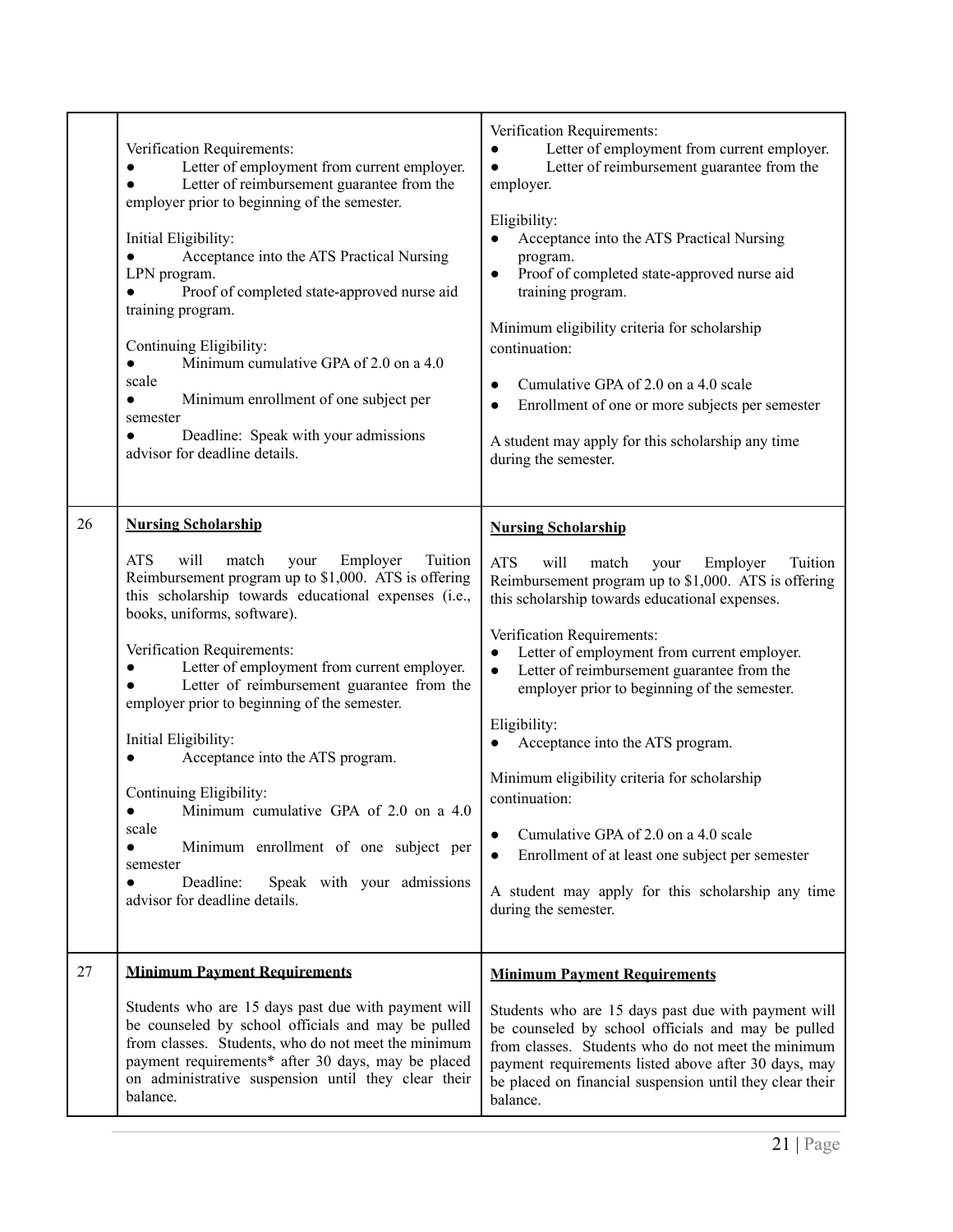<span id="page-20-1"></span><span id="page-20-0"></span>

|    | Verification Requirements:<br>Letter of employment from current employer.<br>Letter of reimbursement guarantee from the<br>$\bullet$<br>employer prior to beginning of the semester.<br>Initial Eligibility:<br>Acceptance into the ATS Practical Nursing<br>LPN program.<br>Proof of completed state-approved nurse aid<br>training program.<br>Continuing Eligibility:<br>Minimum cumulative GPA of 2.0 on a 4.0<br>$\bullet$<br>scale<br>Minimum enrollment of one subject per<br>$\bullet$<br>semester<br>Deadline: Speak with your admissions<br>advisor for deadline details.                                                                                                                                                  | Verification Requirements:<br>Letter of employment from current employer.<br>Letter of reimbursement guarantee from the<br>$\bullet$<br>employer.<br>Eligibility:<br>Acceptance into the ATS Practical Nursing<br>program.<br>Proof of completed state-approved nurse aid<br>$\bullet$<br>training program.<br>Minimum eligibility criteria for scholarship<br>continuation:<br>Cumulative GPA of 2.0 on a 4.0 scale<br>Enrollment of one or more subjects per semester<br>$\bullet$<br>A student may apply for this scholarship any time<br>during the semester.                                                                                                                                                 |
|----|--------------------------------------------------------------------------------------------------------------------------------------------------------------------------------------------------------------------------------------------------------------------------------------------------------------------------------------------------------------------------------------------------------------------------------------------------------------------------------------------------------------------------------------------------------------------------------------------------------------------------------------------------------------------------------------------------------------------------------------|-------------------------------------------------------------------------------------------------------------------------------------------------------------------------------------------------------------------------------------------------------------------------------------------------------------------------------------------------------------------------------------------------------------------------------------------------------------------------------------------------------------------------------------------------------------------------------------------------------------------------------------------------------------------------------------------------------------------|
| 26 | <b>Nursing Scholarship</b><br><b>ATS</b><br>will<br>Tuition<br>match<br>Employer<br>your<br>Reimbursement program up to \$1,000. ATS is offering<br>this scholarship towards educational expenses (i.e.,<br>books, uniforms, software).<br>Verification Requirements:<br>Letter of employment from current employer.<br>Letter of reimbursement guarantee from the<br>$\bullet$<br>employer prior to beginning of the semester.<br>Initial Eligibility:<br>Acceptance into the ATS program.<br>Continuing Eligibility:<br>Minimum cumulative GPA of 2.0 on a 4.0<br>scale<br>Minimum enrollment of one subject per<br>$\bullet$<br>semester<br>Deadline:<br>Speak with your admissions<br>$\bullet$<br>advisor for deadline details. | <b>Nursing Scholarship</b><br><b>ATS</b><br>will<br>Tuition<br>match<br>Employer<br>your<br>Reimbursement program up to \$1,000. ATS is offering<br>this scholarship towards educational expenses.<br>Verification Requirements:<br>Letter of employment from current employer.<br>$\bullet$<br>Letter of reimbursement guarantee from the<br>employer prior to beginning of the semester.<br>Eligibility:<br>Acceptance into the ATS program.<br>$\bullet$<br>Minimum eligibility criteria for scholarship<br>continuation:<br>Cumulative GPA of 2.0 on a 4.0 scale<br>Enrollment of at least one subject per semester<br>$\bullet$<br>A student may apply for this scholarship any time<br>during the semester. |
| 27 | <b>Minimum Payment Requirements</b><br>Students who are 15 days past due with payment will<br>be counseled by school officials and may be pulled<br>from classes. Students, who do not meet the minimum<br>payment requirements* after 30 days, may be placed<br>on administrative suspension until they clear their<br>balance.                                                                                                                                                                                                                                                                                                                                                                                                     | <b>Minimum Payment Requirements</b><br>Students who are 15 days past due with payment will<br>be counseled by school officials and may be pulled<br>from classes. Students who do not meet the minimum<br>payment requirements listed above after 30 days, may<br>be placed on financial suspension until they clear their<br>balance.                                                                                                                                                                                                                                                                                                                                                                            |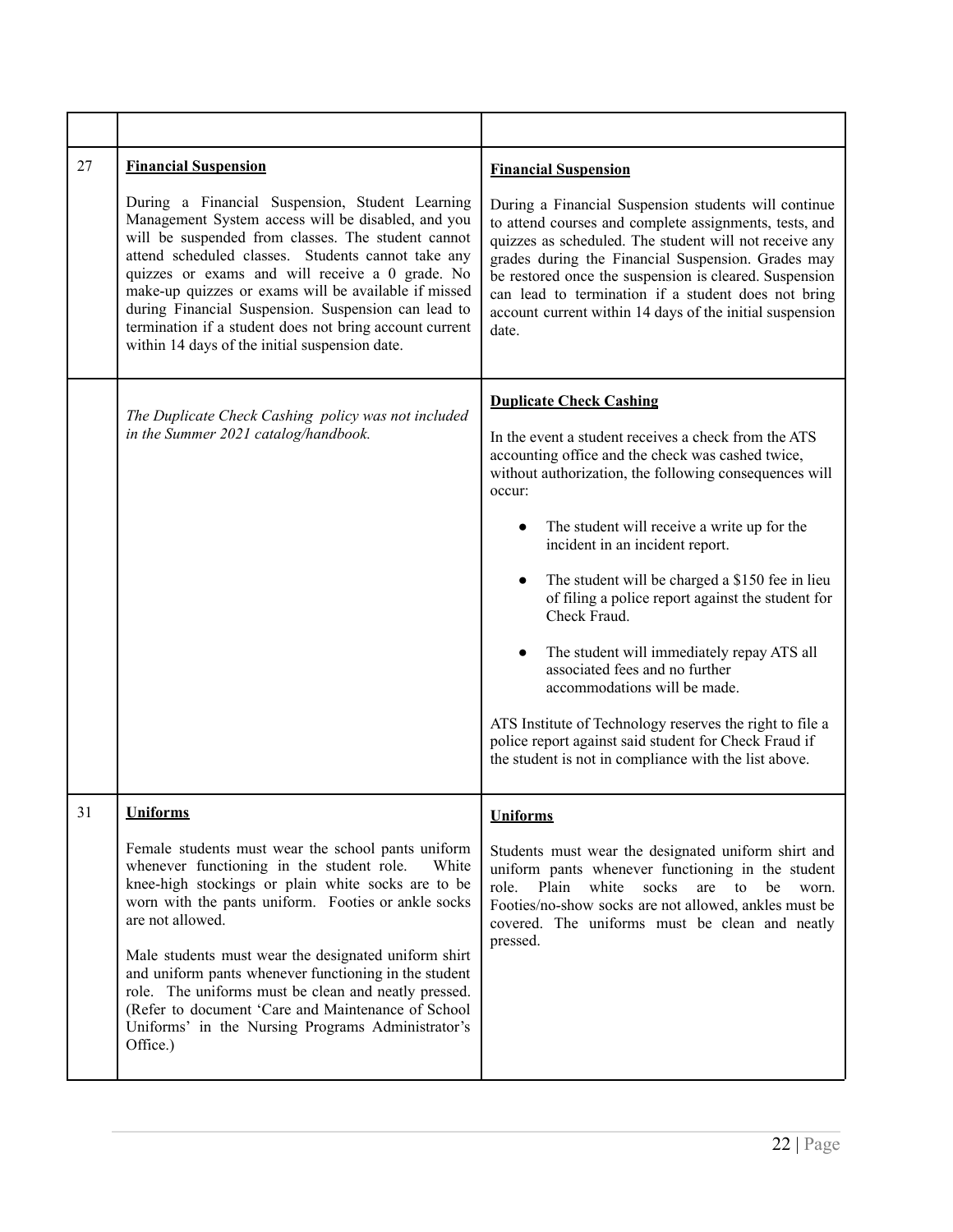<span id="page-21-2"></span><span id="page-21-1"></span><span id="page-21-0"></span>

| 27 | <b>Financial Suspension</b><br>During a Financial Suspension, Student Learning<br>Management System access will be disabled, and you<br>will be suspended from classes. The student cannot<br>attend scheduled classes. Students cannot take any<br>quizzes or exams and will receive a 0 grade. No<br>make-up quizzes or exams will be available if missed<br>during Financial Suspension. Suspension can lead to<br>termination if a student does not bring account current<br>within 14 days of the initial suspension date.                              | <b>Financial Suspension</b><br>During a Financial Suspension students will continue<br>to attend courses and complete assignments, tests, and<br>quizzes as scheduled. The student will not receive any<br>grades during the Financial Suspension. Grades may<br>be restored once the suspension is cleared. Suspension<br>can lead to termination if a student does not bring<br>account current within 14 days of the initial suspension<br>date.                                                                                                                                                                                                                                                                                  |
|----|--------------------------------------------------------------------------------------------------------------------------------------------------------------------------------------------------------------------------------------------------------------------------------------------------------------------------------------------------------------------------------------------------------------------------------------------------------------------------------------------------------------------------------------------------------------|--------------------------------------------------------------------------------------------------------------------------------------------------------------------------------------------------------------------------------------------------------------------------------------------------------------------------------------------------------------------------------------------------------------------------------------------------------------------------------------------------------------------------------------------------------------------------------------------------------------------------------------------------------------------------------------------------------------------------------------|
|    | The Duplicate Check Cashing policy was not included<br>in the Summer 2021 catalog/handbook.                                                                                                                                                                                                                                                                                                                                                                                                                                                                  | <b>Duplicate Check Cashing</b><br>In the event a student receives a check from the ATS<br>accounting office and the check was cashed twice,<br>without authorization, the following consequences will<br>occur:<br>The student will receive a write up for the<br>incident in an incident report.<br>The student will be charged a \$150 fee in lieu<br>$\bullet$<br>of filing a police report against the student for<br>Check Fraud.<br>The student will immediately repay ATS all<br>associated fees and no further<br>accommodations will be made.<br>ATS Institute of Technology reserves the right to file a<br>police report against said student for Check Fraud if<br>the student is not in compliance with the list above. |
| 31 | <b>Uniforms</b><br>Female students must wear the school pants uniform<br>whenever functioning in the student role.<br>White<br>knee-high stockings or plain white socks are to be<br>worn with the pants uniform. Footies or ankle socks<br>are not allowed.<br>Male students must wear the designated uniform shirt<br>and uniform pants whenever functioning in the student<br>role. The uniforms must be clean and neatly pressed.<br>(Refer to document 'Care and Maintenance of School<br>Uniforms' in the Nursing Programs Administrator's<br>Office.) | <b>Uniforms</b><br>Students must wear the designated uniform shirt and<br>uniform pants whenever functioning in the student<br>role.<br>Plain<br>white<br>socks<br>are to<br>be<br>worn.<br>Footies/no-show socks are not allowed, ankles must be<br>covered. The uniforms must be clean and neatly<br>pressed.                                                                                                                                                                                                                                                                                                                                                                                                                      |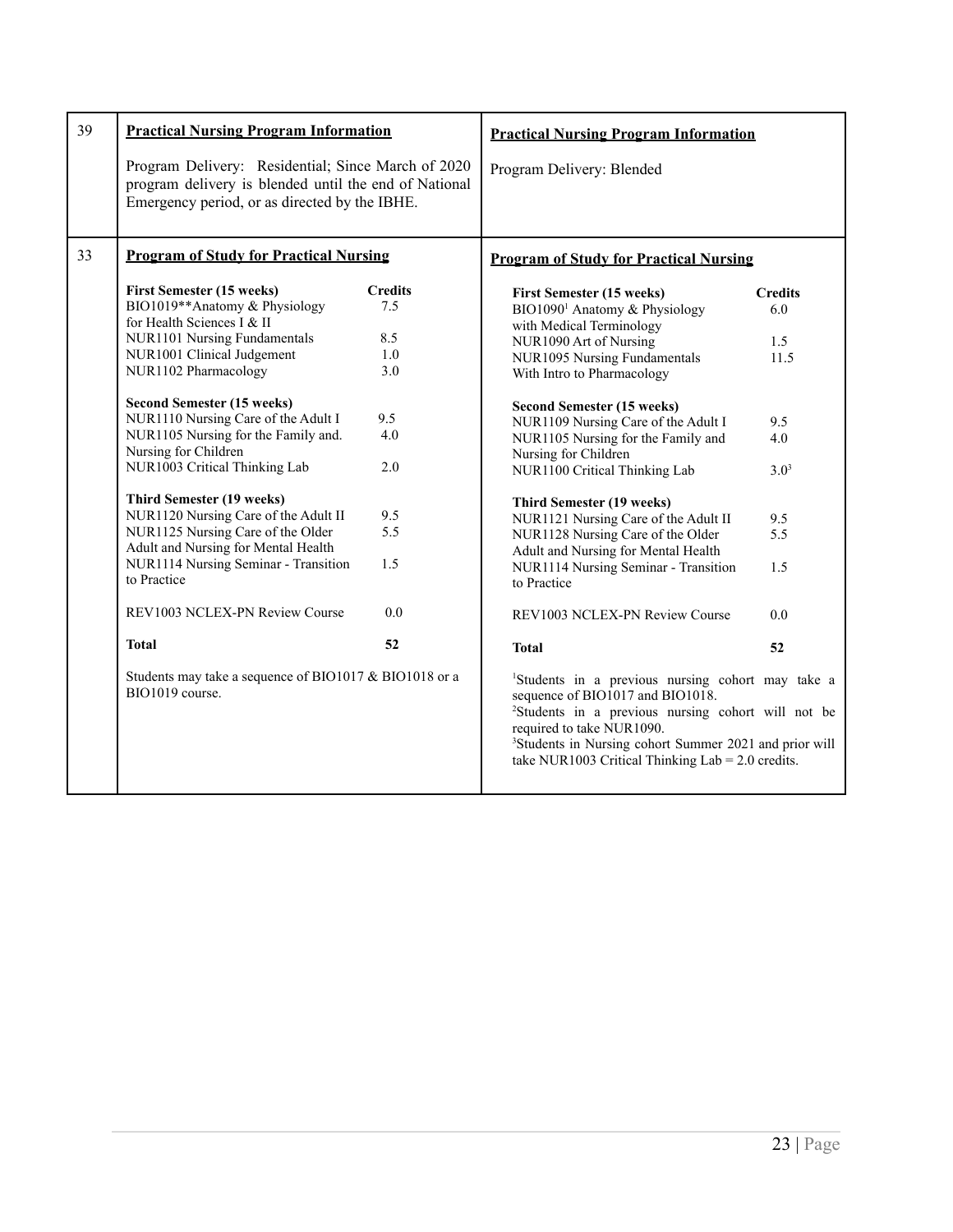<span id="page-22-1"></span><span id="page-22-0"></span>

| 39 | <b>Practical Nursing Program Information</b>                                                                                                                                                                                                                                                                                                                                                                                                                                                                              |                                                                               | <b>Practical Nursing Program Information</b>                                                                                                                                                                                                                                                                                                                                                                                                                                                                                         |                                                                               |
|----|---------------------------------------------------------------------------------------------------------------------------------------------------------------------------------------------------------------------------------------------------------------------------------------------------------------------------------------------------------------------------------------------------------------------------------------------------------------------------------------------------------------------------|-------------------------------------------------------------------------------|--------------------------------------------------------------------------------------------------------------------------------------------------------------------------------------------------------------------------------------------------------------------------------------------------------------------------------------------------------------------------------------------------------------------------------------------------------------------------------------------------------------------------------------|-------------------------------------------------------------------------------|
|    | Program Delivery: Residential; Since March of 2020<br>program delivery is blended until the end of National<br>Emergency period, or as directed by the IBHE.                                                                                                                                                                                                                                                                                                                                                              |                                                                               | Program Delivery: Blended                                                                                                                                                                                                                                                                                                                                                                                                                                                                                                            |                                                                               |
| 33 | <b>Program of Study for Practical Nursing</b>                                                                                                                                                                                                                                                                                                                                                                                                                                                                             |                                                                               | <b>Program of Study for Practical Nursing</b>                                                                                                                                                                                                                                                                                                                                                                                                                                                                                        |                                                                               |
|    | <b>First Semester (15 weeks)</b><br>BIO1019**Anatomy & Physiology<br>for Health Sciences I & II<br>NUR1101 Nursing Fundamentals<br>NUR1001 Clinical Judgement<br>NUR1102 Pharmacology<br><b>Second Semester (15 weeks)</b><br>NUR1110 Nursing Care of the Adult I<br>NUR1105 Nursing for the Family and.<br>Nursing for Children<br>NUR1003 Critical Thinking Lab<br><b>Third Semester (19 weeks)</b><br>NUR1120 Nursing Care of the Adult II<br>NUR1125 Nursing Care of the Older<br>Adult and Nursing for Mental Health | <b>Credits</b><br>7.5<br>8.5<br>1.0<br>3.0<br>9.5<br>4.0<br>2.0<br>9.5<br>5.5 | <b>First Semester (15 weeks)</b><br>BIO1090 <sup>1</sup> Anatomy & Physiology<br>with Medical Terminology<br>NUR1090 Art of Nursing<br>NUR1095 Nursing Fundamentals<br>With Intro to Pharmacology<br><b>Second Semester (15 weeks)</b><br>NUR1109 Nursing Care of the Adult I<br>NUR1105 Nursing for the Family and<br>Nursing for Children<br>NUR1100 Critical Thinking Lab<br><b>Third Semester (19 weeks)</b><br>NUR1121 Nursing Care of the Adult II<br>NUR1128 Nursing Care of the Older<br>Adult and Nursing for Mental Health | <b>Credits</b><br>6.0<br>1.5<br>11.5<br>9.5<br>4.0<br>$3.0^{3}$<br>9.5<br>5.5 |
|    | NUR1114 Nursing Seminar - Transition<br>to Practice                                                                                                                                                                                                                                                                                                                                                                                                                                                                       | 1.5                                                                           | NUR1114 Nursing Seminar - Transition<br>to Practice                                                                                                                                                                                                                                                                                                                                                                                                                                                                                  | 1.5                                                                           |
|    | REV1003 NCLEX-PN Review Course                                                                                                                                                                                                                                                                                                                                                                                                                                                                                            | 0.0                                                                           | REV1003 NCLEX-PN Review Course                                                                                                                                                                                                                                                                                                                                                                                                                                                                                                       | 0.0                                                                           |
|    | <b>Total</b>                                                                                                                                                                                                                                                                                                                                                                                                                                                                                                              | 52                                                                            | <b>Total</b>                                                                                                                                                                                                                                                                                                                                                                                                                                                                                                                         | 52                                                                            |
|    | Students may take a sequence of BIO1017 & BIO1018 or a<br>BIO1019 course.                                                                                                                                                                                                                                                                                                                                                                                                                                                 |                                                                               | <sup>1</sup> Students in a previous nursing cohort may take a<br>sequence of BIO1017 and BIO1018.<br><sup>2</sup> Students in a previous nursing cohort will not be<br>required to take NUR1090.<br><sup>3</sup> Students in Nursing cohort Summer 2021 and prior will<br>take NUR1003 Critical Thinking Lab = $2.0$ credits.                                                                                                                                                                                                        |                                                                               |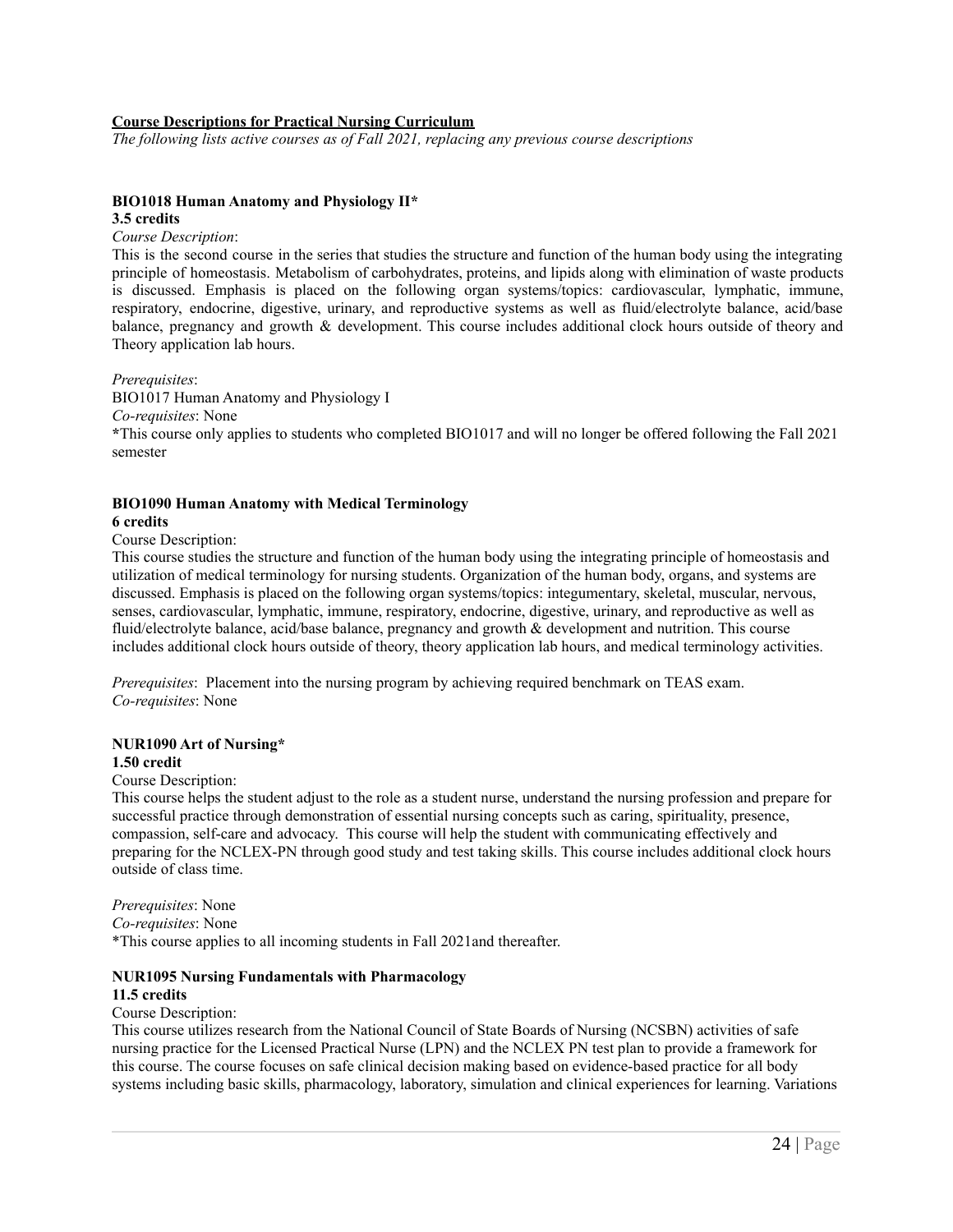#### <span id="page-23-0"></span>**Course Descriptions for Practical Nursing Curriculum**

*The following lists active courses as of Fall 2021, replacing any previous course descriptions*

#### **BIO1018 Human Anatomy and Physiology II\* 3.5 credits**

#### *Course Description*:

This is the second course in the series that studies the structure and function of the human body using the integrating principle of homeostasis. Metabolism of carbohydrates, proteins, and lipids along with elimination of waste products is discussed. Emphasis is placed on the following organ systems/topics: cardiovascular, lymphatic, immune, respiratory, endocrine, digestive, urinary, and reproductive systems as well as fluid/electrolyte balance, acid/base balance, pregnancy and growth & development. This course includes additional clock hours outside of theory and Theory application lab hours.

*Prerequisites*: BIO1017 Human Anatomy and Physiology I *Co-requisites*: None **\***This course only applies to students who completed BIO1017 and will no longer be offered following the Fall 2021 semester

### **BIO1090 Human Anatomy with Medical Terminology**

#### **6 credits**

Course Description:

This course studies the structure and function of the human body using the integrating principle of homeostasis and utilization of medical terminology for nursing students. Organization of the human body, organs, and systems are discussed. Emphasis is placed on the following organ systems/topics: integumentary, skeletal, muscular, nervous, senses, cardiovascular, lymphatic, immune, respiratory, endocrine, digestive, urinary, and reproductive as well as fluid/electrolyte balance, acid/base balance, pregnancy and growth & development and nutrition. This course includes additional clock hours outside of theory, theory application lab hours, and medical terminology activities.

*Prerequisites*: Placement into the nursing program by achieving required benchmark on TEAS exam. *Co-requisites*: None

#### **NUR1090 Art of Nursing\***

#### **1.50 credit**

#### Course Description:

This course helps the student adjust to the role as a student nurse, understand the nursing profession and prepare for successful practice through demonstration of essential nursing concepts such as caring, spirituality, presence, compassion, self-care and advocacy. This course will help the student with communicating effectively and preparing for the NCLEX-PN through good study and test taking skills. This course includes additional clock hours outside of class time.

*Prerequisites*: None

*Co-requisites*: None

\*This course applies to all incoming students in Fall 2021and thereafter.

#### **NUR1095 Nursing Fundamentals with Pharmacology**

### **11.5 credits**

### Course Description:

This course utilizes research from the National Council of State Boards of Nursing (NCSBN) activities of safe nursing practice for the Licensed Practical Nurse (LPN) and the NCLEX PN test plan to provide a framework for this course. The course focuses on safe clinical decision making based on evidence-based practice for all body systems including basic skills, pharmacology, laboratory, simulation and clinical experiences for learning. Variations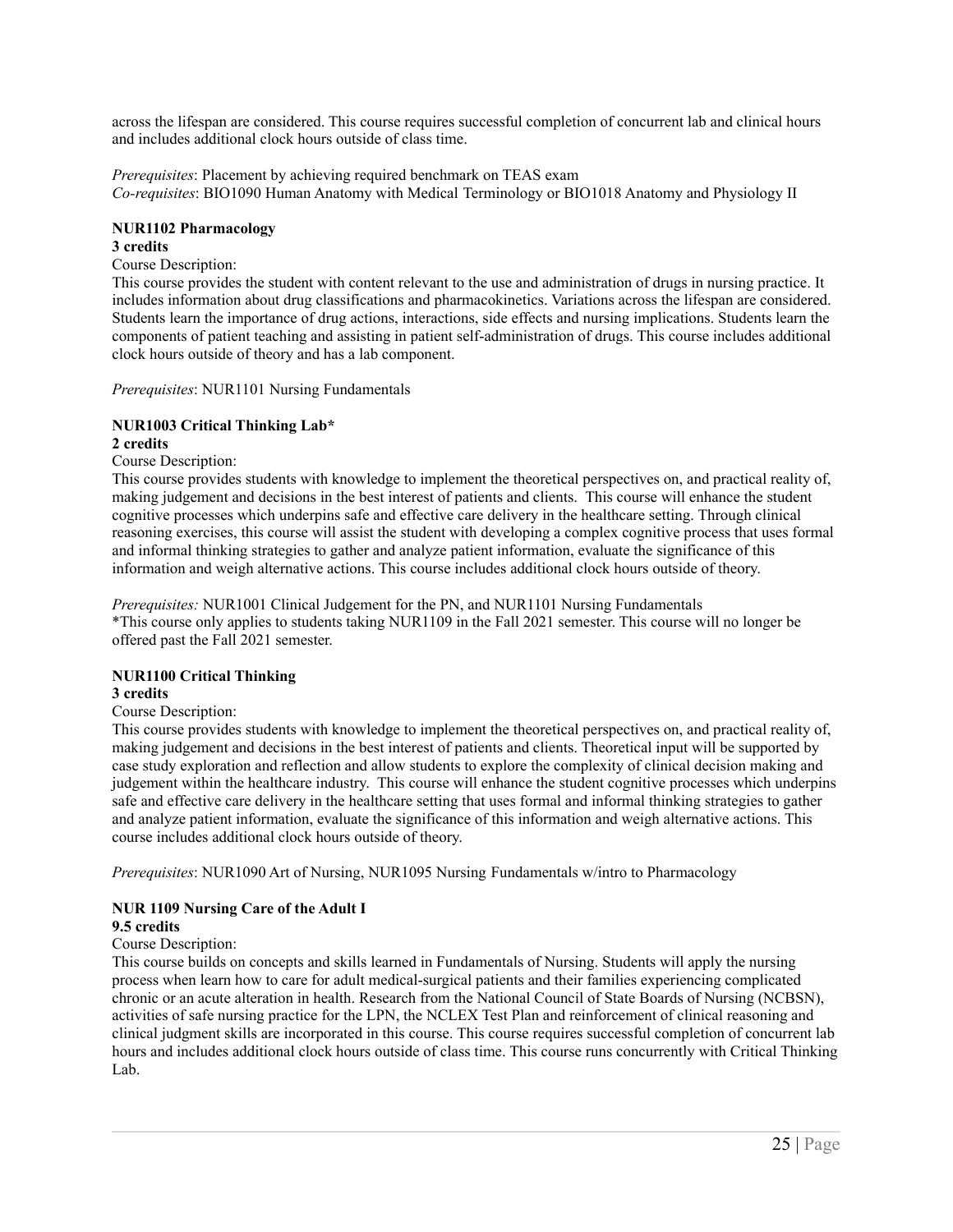across the lifespan are considered. This course requires successful completion of concurrent lab and clinical hours and includes additional clock hours outside of class time.

*Prerequisites*: Placement by achieving required benchmark on TEAS exam *Co-requisites*: BIO1090 Human Anatomy with Medical Terminology or BIO1018 Anatomy and Physiology II

#### **NUR1102 Pharmacology**

#### **3 credits**

Course Description:

This course provides the student with content relevant to the use and administration of drugs in nursing practice. It includes information about drug classifications and pharmacokinetics. Variations across the lifespan are considered. Students learn the importance of drug actions, interactions, side effects and nursing implications. Students learn the components of patient teaching and assisting in patient self-administration of drugs. This course includes additional clock hours outside of theory and has a lab component.

*Prerequisites*: NUR1101 Nursing Fundamentals

# **NUR1003 Critical Thinking Lab\***

**2 credits**

Course Description:

This course provides students with knowledge to implement the theoretical perspectives on, and practical reality of, making judgement and decisions in the best interest of patients and clients. This course will enhance the student cognitive processes which underpins safe and effective care delivery in the healthcare setting. Through clinical reasoning exercises, this course will assist the student with developing a complex cognitive process that uses formal and informal thinking strategies to gather and analyze patient information, evaluate the significance of this information and weigh alternative actions. This course includes additional clock hours outside of theory.

*Prerequisites:* NUR1001 Clinical Judgement for the PN, and NUR1101 Nursing Fundamentals \*This course only applies to students taking NUR1109 in the Fall 2021 semester. This course will no longer be offered past the Fall 2021 semester.

# **NUR1100 Critical Thinking**

# **3 credits**

#### Course Description:

This course provides students with knowledge to implement the theoretical perspectives on, and practical reality of, making judgement and decisions in the best interest of patients and clients. Theoretical input will be supported by case study exploration and reflection and allow students to explore the complexity of clinical decision making and judgement within the healthcare industry. This course will enhance the student cognitive processes which underpins safe and effective care delivery in the healthcare setting that uses formal and informal thinking strategies to gather and analyze patient information, evaluate the significance of this information and weigh alternative actions. This course includes additional clock hours outside of theory.

*Prerequisites*: NUR1090 Art of Nursing, NUR1095 Nursing Fundamentals w/intro to Pharmacology

# **NUR 1109 Nursing Care of the Adult I**

### **9.5 credits**

#### Course Description:

This course builds on concepts and skills learned in Fundamentals of Nursing. Students will apply the nursing process when learn how to care for adult medical-surgical patients and their families experiencing complicated chronic or an acute alteration in health. Research from the National Council of State Boards of Nursing (NCBSN), activities of safe nursing practice for the LPN, the NCLEX Test Plan and reinforcement of clinical reasoning and clinical judgment skills are incorporated in this course. This course requires successful completion of concurrent lab hours and includes additional clock hours outside of class time. This course runs concurrently with Critical Thinking Lab.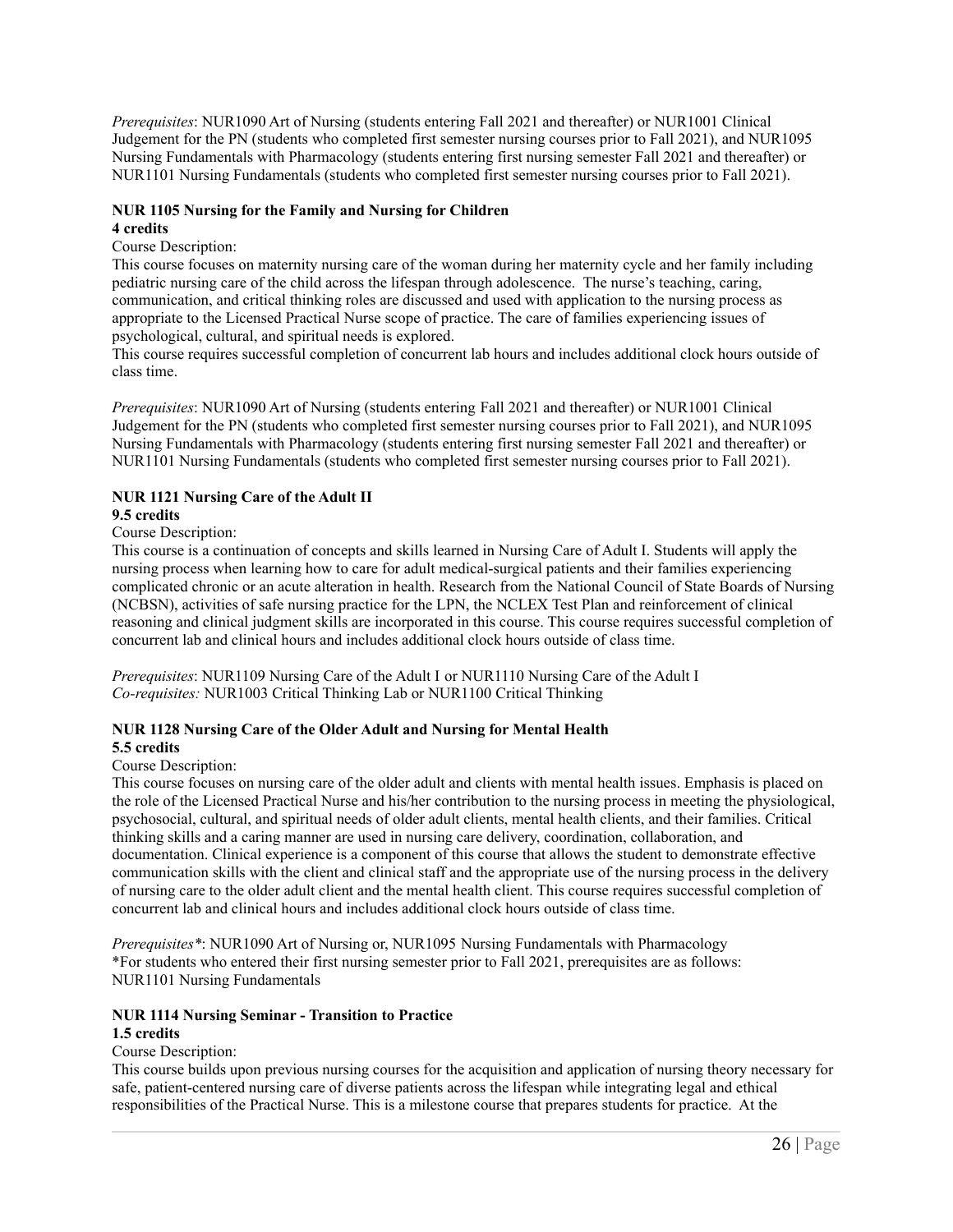*Prerequisites*: NUR1090 Art of Nursing (students entering Fall 2021 and thereafter) or NUR1001 Clinical Judgement for the PN (students who completed first semester nursing courses prior to Fall 2021), and NUR1095 Nursing Fundamentals with Pharmacology (students entering first nursing semester Fall 2021 and thereafter) or NUR1101 Nursing Fundamentals (students who completed first semester nursing courses prior to Fall 2021).

## **NUR 1105 Nursing for the Family and Nursing for Children**

#### **4 credits**

#### Course Description:

This course focuses on maternity nursing care of the woman during her maternity cycle and her family including pediatric nursing care of the child across the lifespan through adolescence. The nurse's teaching, caring, communication, and critical thinking roles are discussed and used with application to the nursing process as appropriate to the Licensed Practical Nurse scope of practice. The care of families experiencing issues of psychological, cultural, and spiritual needs is explored.

This course requires successful completion of concurrent lab hours and includes additional clock hours outside of class time.

*Prerequisites*: NUR1090 Art of Nursing (students entering Fall 2021 and thereafter) or NUR1001 Clinical Judgement for the PN (students who completed first semester nursing courses prior to Fall 2021), and NUR1095 Nursing Fundamentals with Pharmacology (students entering first nursing semester Fall 2021 and thereafter) or NUR1101 Nursing Fundamentals (students who completed first semester nursing courses prior to Fall 2021).

# **NUR 1121 Nursing Care of the Adult II**

### **9.5 credits**

#### Course Description:

This course is a continuation of concepts and skills learned in Nursing Care of Adult I. Students will apply the nursing process when learning how to care for adult medical-surgical patients and their families experiencing complicated chronic or an acute alteration in health. Research from the National Council of State Boards of Nursing (NCBSN), activities of safe nursing practice for the LPN, the NCLEX Test Plan and reinforcement of clinical reasoning and clinical judgment skills are incorporated in this course. This course requires successful completion of concurrent lab and clinical hours and includes additional clock hours outside of class time.

*Prerequisites*: NUR1109 Nursing Care of the Adult I or NUR1110 Nursing Care of the Adult I *Co-requisites:* NUR1003 Critical Thinking Lab or NUR1100 Critical Thinking

#### **NUR 1128 Nursing Care of the Older Adult and Nursing for Mental Health 5.5 credits**

#### Course Description:

This course focuses on nursing care of the older adult and clients with mental health issues. Emphasis is placed on the role of the Licensed Practical Nurse and his/her contribution to the nursing process in meeting the physiological, psychosocial, cultural, and spiritual needs of older adult clients, mental health clients, and their families. Critical thinking skills and a caring manner are used in nursing care delivery, coordination, collaboration, and documentation. Clinical experience is a component of this course that allows the student to demonstrate effective communication skills with the client and clinical staff and the appropriate use of the nursing process in the delivery of nursing care to the older adult client and the mental health client. This course requires successful completion of concurrent lab and clinical hours and includes additional clock hours outside of class time.

*Prerequisites\**: NUR1090 Art of Nursing or, NUR1095 Nursing Fundamentals with Pharmacology \*For students who entered their first nursing semester prior to Fall 2021, prerequisites are as follows: NUR1101 Nursing Fundamentals

### **NUR 1114 Nursing Seminar - Transition to Practice 1.5 credits**

#### Course Description:

This course builds upon previous nursing courses for the acquisition and application of nursing theory necessary for safe, patient-centered nursing care of diverse patients across the lifespan while integrating legal and ethical responsibilities of the Practical Nurse. This is a milestone course that prepares students for practice. At the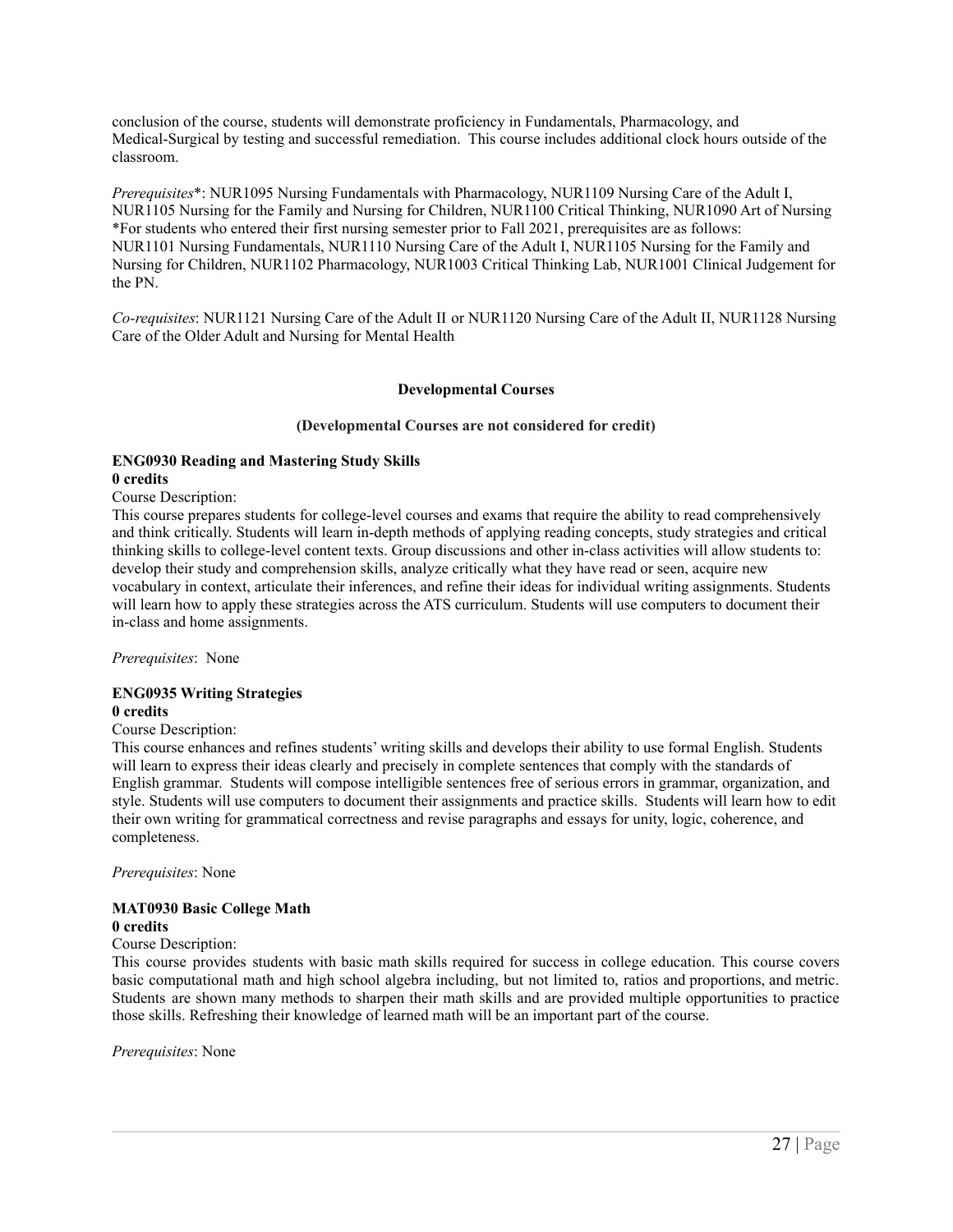conclusion of the course, students will demonstrate proficiency in Fundamentals, Pharmacology, and Medical-Surgical by testing and successful remediation. This course includes additional clock hours outside of the classroom.

*Prerequisites*\*: NUR1095 Nursing Fundamentals with Pharmacology, NUR1109 Nursing Care of the Adult I, NUR1105 Nursing for the Family and Nursing for Children, NUR1100 Critical Thinking, NUR1090 Art of Nursing \*For students who entered their first nursing semester prior to Fall 2021, prerequisites are as follows: NUR1101 Nursing Fundamentals, NUR1110 Nursing Care of the Adult I, NUR1105 Nursing for the Family and Nursing for Children, NUR1102 Pharmacology, NUR1003 Critical Thinking Lab, NUR1001 Clinical Judgement for the PN.

*Co-requisites*: NUR1121 Nursing Care of the Adult II or NUR1120 Nursing Care of the Adult II, NUR1128 Nursing Care of the Older Adult and Nursing for Mental Health

#### **Developmental Courses**

#### **(Developmental Courses are not considered for credit)**

#### **ENG0930 Reading and Mastering Study Skills 0 credits**

#### Course Description:

This course prepares students for college-level courses and exams that require the ability to read comprehensively and think critically. Students will learn in-depth methods of applying reading concepts, study strategies and critical thinking skills to college-level content texts. Group discussions and other in-class activities will allow students to: develop their study and comprehension skills, analyze critically what they have read or seen, acquire new vocabulary in context, articulate their inferences, and refine their ideas for individual writing assignments. Students will learn how to apply these strategies across the ATS curriculum. Students will use computers to document their in-class and home assignments.

*Prerequisites*: None

#### **ENG0935 Writing Strategies 0 credits**

#### Course Description:

This course enhances and refines students' writing skills and develops their ability to use formal English. Students will learn to express their ideas clearly and precisely in complete sentences that comply with the standards of English grammar. Students will compose intelligible sentences free of serious errors in grammar, organization, and style. Students will use computers to document their assignments and practice skills. Students will learn how to edit their own writing for grammatical correctness and revise paragraphs and essays for unity, logic, coherence, and completeness.

*Prerequisites*: None

#### **MAT0930 Basic College Math 0 credits**

#### Course Description:

This course provides students with basic math skills required for success in college education. This course covers basic computational math and high school algebra including, but not limited to, ratios and proportions, and metric. Students are shown many methods to sharpen their math skills and are provided multiple opportunities to practice those skills. Refreshing their knowledge of learned math will be an important part of the course.

*Prerequisites*: None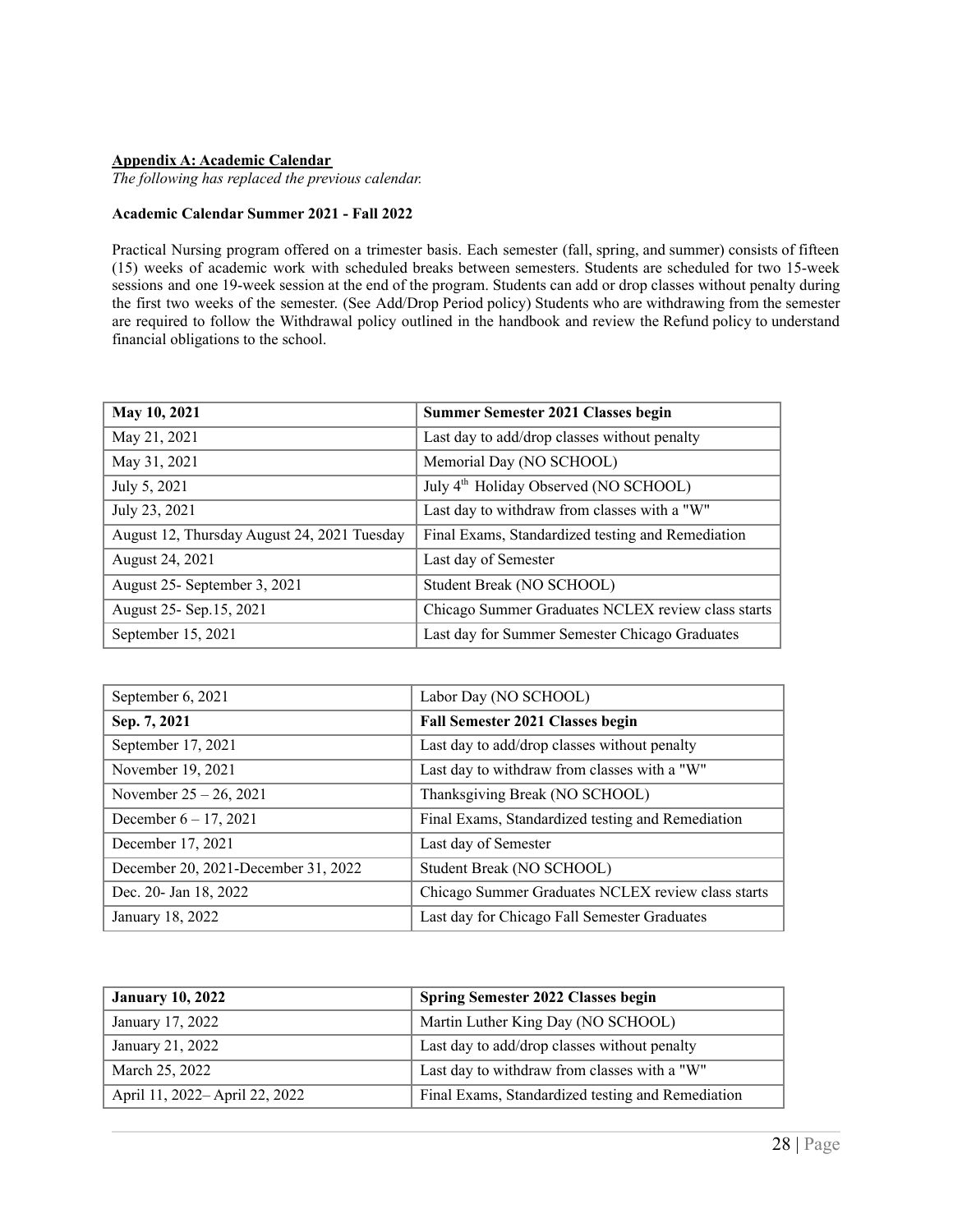#### <span id="page-27-0"></span>**Appendix A: Academic Calendar**

*The following has replaced the previous calendar.*

#### **Academic Calendar Summer 2021 - Fall 2022**

Practical Nursing program offered on a trimester basis. Each semester (fall, spring, and summer) consists of fifteen (15) weeks of academic work with scheduled breaks between semesters. Students are scheduled for two 15-week sessions and one 19-week session at the end of the program. Students can add or drop classes without penalty during the first two weeks of the semester. (See Add/Drop Period policy) Students who are withdrawing from the semester are required to follow the Withdrawal policy outlined in the handbook and review the Refund policy to understand financial obligations to the school.

| May 10, 2021                                | <b>Summer Semester 2021 Classes begin</b>          |
|---------------------------------------------|----------------------------------------------------|
| May 21, 2021                                | Last day to add/drop classes without penalty       |
| May 31, 2021                                | Memorial Day (NO SCHOOL)                           |
| July 5, 2021                                | July 4 <sup>th</sup> Holiday Observed (NO SCHOOL)  |
| July 23, 2021                               | Last day to withdraw from classes with a "W"       |
| August 12, Thursday August 24, 2021 Tuesday | Final Exams, Standardized testing and Remediation  |
| August 24, 2021                             | Last day of Semester                               |
| August 25- September 3, 2021                | Student Break (NO SCHOOL)                          |
| August 25- Sep.15, 2021                     | Chicago Summer Graduates NCLEX review class starts |
| September 15, 2021                          | Last day for Summer Semester Chicago Graduates     |

| September 6, 2021                   | Labor Day (NO SCHOOL)                              |
|-------------------------------------|----------------------------------------------------|
| Sep. 7, 2021                        | <b>Fall Semester 2021 Classes begin</b>            |
| September 17, 2021                  | Last day to add/drop classes without penalty       |
| November 19, 2021                   | Last day to withdraw from classes with a "W"       |
| November $25 - 26$ , 2021           | Thanksgiving Break (NO SCHOOL)                     |
| December $6 - 17$ , 2021            | Final Exams, Standardized testing and Remediation  |
| December 17, 2021                   | Last day of Semester                               |
| December 20, 2021-December 31, 2022 | Student Break (NO SCHOOL)                          |
| Dec. 20- Jan 18, 2022               | Chicago Summer Graduates NCLEX review class starts |
| January 18, 2022                    | Last day for Chicago Fall Semester Graduates       |

| <b>January 10, 2022</b>        | <b>Spring Semester 2022 Classes begin</b>         |
|--------------------------------|---------------------------------------------------|
| January 17, 2022               | Martin Luther King Day (NO SCHOOL)                |
| January 21, 2022               | Last day to add/drop classes without penalty      |
| March 25, 2022                 | Last day to withdraw from classes with a "W"      |
| April 11, 2022– April 22, 2022 | Final Exams, Standardized testing and Remediation |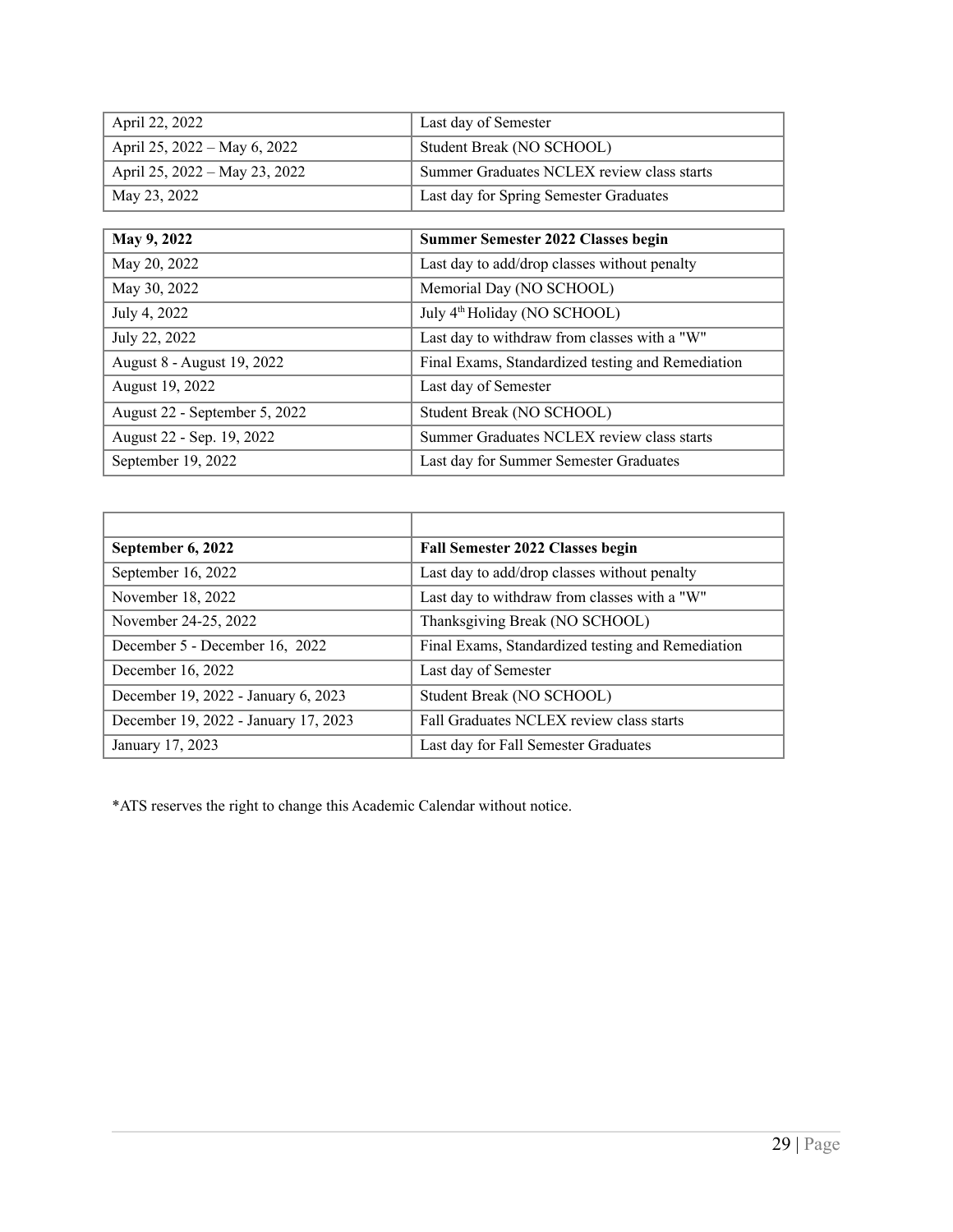| April 22, 2022                | Last day of Semester                       |
|-------------------------------|--------------------------------------------|
| April 25, 2022 – May 6, 2022  | Student Break (NO SCHOOL)                  |
| April 25, 2022 – May 23, 2022 | Summer Graduates NCLEX review class starts |
| May 23, 2022                  | Last day for Spring Semester Graduates     |

| May 9, 2022                   | Summer Semester 2022 Classes begin                |
|-------------------------------|---------------------------------------------------|
| May 20, 2022                  | Last day to add/drop classes without penalty      |
| May 30, 2022                  | Memorial Day (NO SCHOOL)                          |
| July 4, 2022                  | July 4 <sup>th</sup> Holiday (NO SCHOOL)          |
| July 22, 2022                 | Last day to withdraw from classes with a "W"      |
| August 8 - August 19, 2022    | Final Exams, Standardized testing and Remediation |
| August 19, 2022               | Last day of Semester                              |
| August 22 - September 5, 2022 | Student Break (NO SCHOOL)                         |
| August 22 - Sep. 19, 2022     | Summer Graduates NCLEX review class starts        |
| September 19, 2022            | Last day for Summer Semester Graduates            |

| September 6, 2022                    | <b>Fall Semester 2022 Classes begin</b>           |
|--------------------------------------|---------------------------------------------------|
| September 16, 2022                   | Last day to add/drop classes without penalty      |
| November 18, 2022                    | Last day to withdraw from classes with a "W"      |
| November 24-25, 2022                 | Thanksgiving Break (NO SCHOOL)                    |
| December 5 - December 16, 2022       | Final Exams, Standardized testing and Remediation |
| December 16, 2022                    | Last day of Semester                              |
| December 19, 2022 - January 6, 2023  | Student Break (NO SCHOOL)                         |
| December 19, 2022 - January 17, 2023 | Fall Graduates NCLEX review class starts          |
| January 17, 2023                     | Last day for Fall Semester Graduates              |

\*ATS reserves the right to change this Academic Calendar without notice.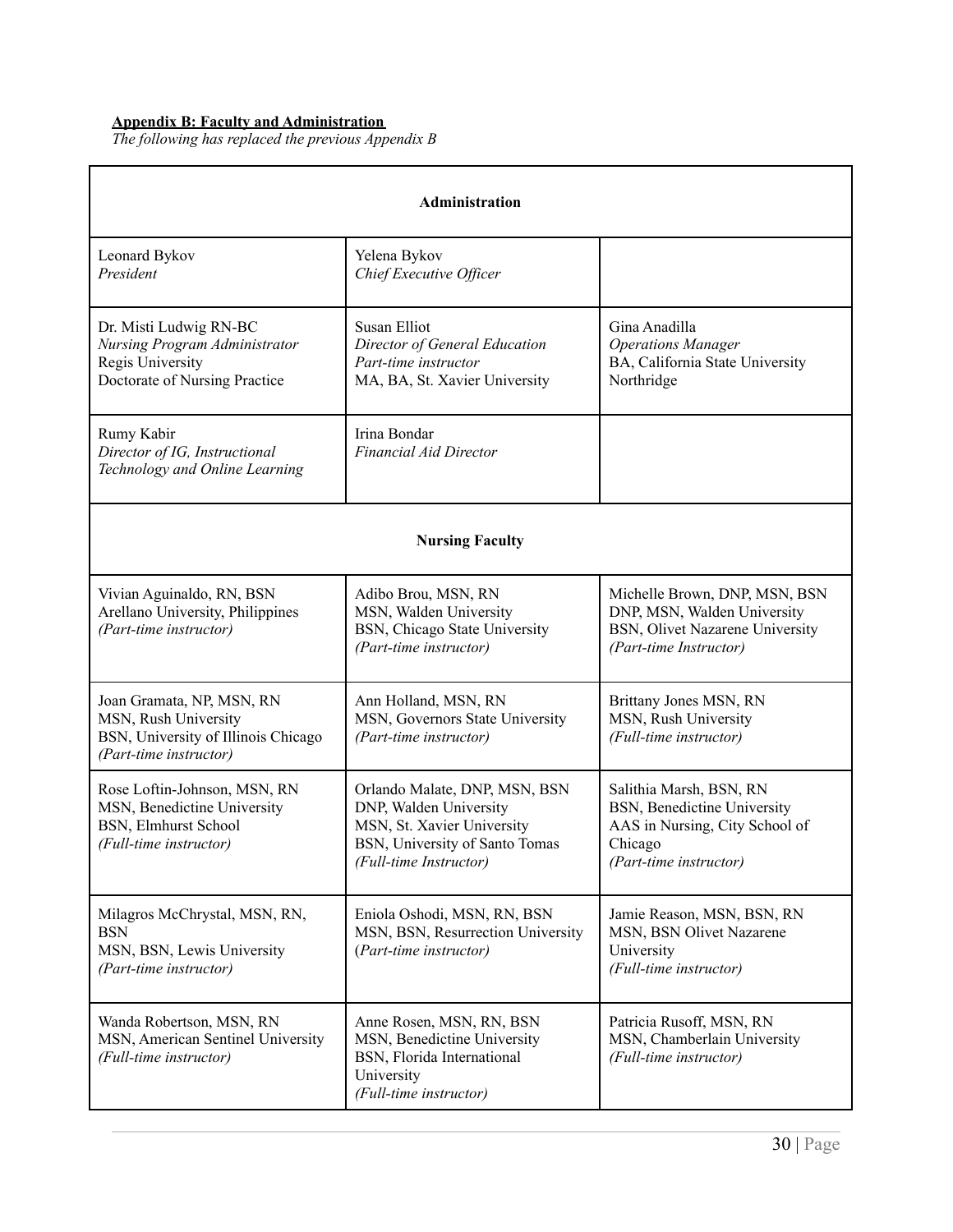#### <span id="page-29-0"></span>**Appendix B: Faculty and Administration**

*The following has replaced the previous Appendix B*

| Administration                                                                                                                                                                                                         |                                                                                                                                                   |                                                                                                                               |
|------------------------------------------------------------------------------------------------------------------------------------------------------------------------------------------------------------------------|---------------------------------------------------------------------------------------------------------------------------------------------------|-------------------------------------------------------------------------------------------------------------------------------|
| Leonard Bykov<br>President                                                                                                                                                                                             | Yelena Bykov<br>Chief Executive Officer                                                                                                           |                                                                                                                               |
| Dr. Misti Ludwig RN-BC<br>Susan Elliot<br>Nursing Program Administrator<br>Director of General Education<br>Regis University<br>Part-time instructor<br>Doctorate of Nursing Practice<br>MA, BA, St. Xavier University |                                                                                                                                                   | Gina Anadilla<br><b>Operations Manager</b><br>BA, California State University<br>Northridge                                   |
| Rumy Kabir<br>Director of IG, Instructional<br>Technology and Online Learning                                                                                                                                          | Irina Bondar<br><b>Financial Aid Director</b>                                                                                                     |                                                                                                                               |
| <b>Nursing Faculty</b>                                                                                                                                                                                                 |                                                                                                                                                   |                                                                                                                               |
| Vivian Aguinaldo, RN, BSN<br>Arellano University, Philippines<br>(Part-time instructor)                                                                                                                                | Adibo Brou, MSN, RN<br>MSN, Walden University<br>BSN, Chicago State University<br>(Part-time instructor)                                          | Michelle Brown, DNP, MSN, BSN<br>DNP, MSN, Walden University<br>BSN, Olivet Nazarene University<br>(Part-time Instructor)     |
| Joan Gramata, NP, MSN, RN<br>MSN, Rush University<br>BSN, University of Illinois Chicago<br>(Part-time instructor)                                                                                                     | Ann Holland, MSN, RN<br>MSN, Governors State University<br>(Part-time instructor)                                                                 | Brittany Jones MSN, RN<br>MSN, Rush University<br>(Full-time instructor)                                                      |
| Rose Loftin-Johnson, MSN, RN<br>MSN, Benedictine University<br><b>BSN, Elmhurst School</b><br>(Full-time instructor)                                                                                                   | Orlando Malate, DNP, MSN, BSN<br>DNP, Walden University<br>MSN, St. Xavier University<br>BSN, University of Santo Tomas<br>(Full-time Instructor) | Salithia Marsh, BSN, RN<br>BSN, Benedictine University<br>AAS in Nursing, City School of<br>Chicago<br>(Part-time instructor) |
| Milagros McChrystal, MSN, RN,<br><b>BSN</b><br>MSN, BSN, Lewis University<br>(Part-time instructor)                                                                                                                    | Eniola Oshodi, MSN, RN, BSN<br>MSN, BSN, Resurrection University<br>(Part-time instructor)                                                        | Jamie Reason, MSN, BSN, RN<br>MSN, BSN Olivet Nazarene<br>University<br>(Full-time instructor)                                |
| Wanda Robertson, MSN, RN<br>MSN, American Sentinel University<br>(Full-time instructor)                                                                                                                                | Anne Rosen, MSN, RN, BSN<br>MSN, Benedictine University<br>BSN, Florida International<br>University<br>(Full-time instructor)                     | Patricia Rusoff, MSN, RN<br>MSN, Chamberlain University<br>(Full-time instructor)                                             |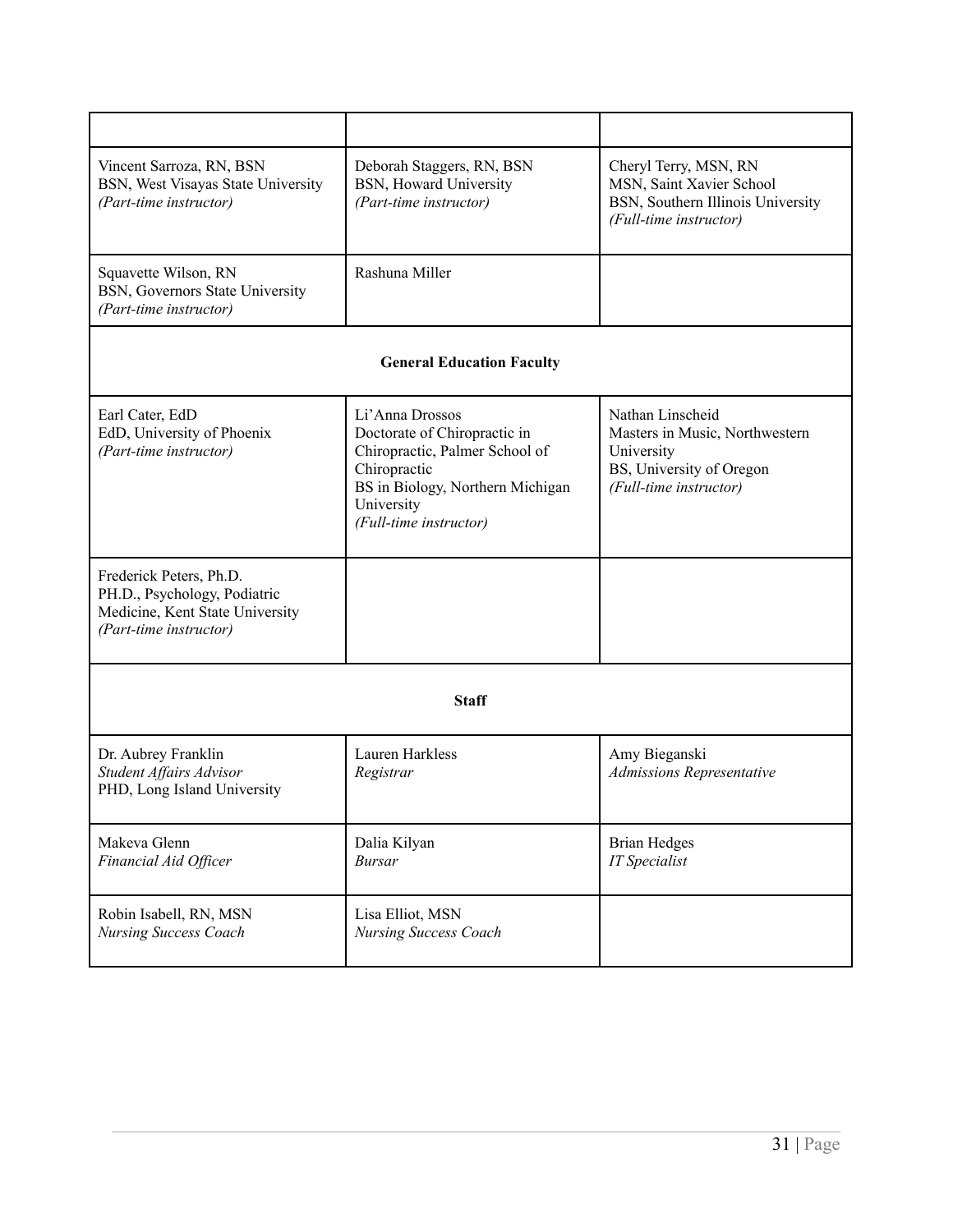| Vincent Sarroza, RN, BSN<br>Deborah Staggers, RN, BSN<br>BSN, West Visayas State University<br>BSN, Howard University<br>(Part-time instructor)<br>(Part-time instructor) |                                                                                                                                                                               | Cheryl Terry, MSN, RN<br>MSN, Saint Xavier School<br>BSN, Southern Illinois University<br>(Full-time instructor)       |
|---------------------------------------------------------------------------------------------------------------------------------------------------------------------------|-------------------------------------------------------------------------------------------------------------------------------------------------------------------------------|------------------------------------------------------------------------------------------------------------------------|
| Squavette Wilson, RN<br>BSN, Governors State University<br>(Part-time instructor)                                                                                         | Rashuna Miller                                                                                                                                                                |                                                                                                                        |
|                                                                                                                                                                           | <b>General Education Faculty</b>                                                                                                                                              |                                                                                                                        |
| Earl Cater, EdD<br>EdD, University of Phoenix<br>(Part-time instructor)                                                                                                   | Li'Anna Drossos<br>Doctorate of Chiropractic in<br>Chiropractic, Palmer School of<br>Chiropractic<br>BS in Biology, Northern Michigan<br>University<br>(Full-time instructor) | Nathan Linscheid<br>Masters in Music, Northwestern<br>University<br>BS, University of Oregon<br>(Full-time instructor) |
| Frederick Peters, Ph.D.<br>PH.D., Psychology, Podiatric<br>Medicine, Kent State University<br>(Part-time instructor)                                                      |                                                                                                                                                                               |                                                                                                                        |
| <b>Staff</b>                                                                                                                                                              |                                                                                                                                                                               |                                                                                                                        |
| Dr. Aubrey Franklin<br>Student Affairs Advisor<br>PHD, Long Island University                                                                                             | <b>Lauren Harkless</b><br>Registrar                                                                                                                                           | Amy Bieganski<br>Admissions Representative                                                                             |
| Makeva Glenn<br>Financial Aid Officer                                                                                                                                     | Dalia Kilyan<br><b>Bursar</b>                                                                                                                                                 | <b>Brian Hedges</b><br><b>IT</b> Specialist                                                                            |
| Robin Isabell, RN, MSN<br><b>Nursing Success Coach</b>                                                                                                                    | Lisa Elliot, MSN<br><b>Nursing Success Coach</b>                                                                                                                              |                                                                                                                        |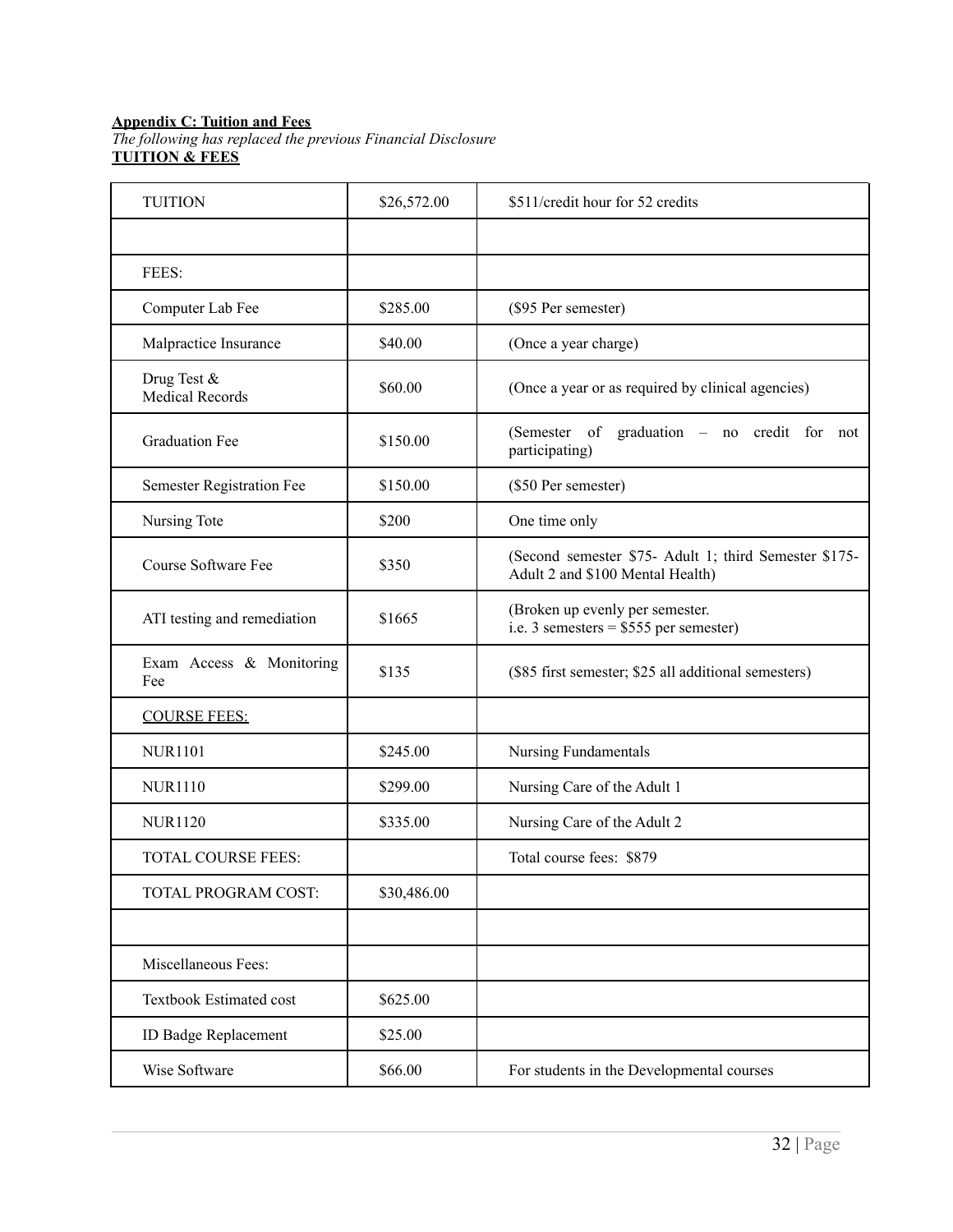#### <span id="page-31-0"></span>**Appendix C: Tuition and Fees**

*The following has replaced the previous Financial Disclosure* **TUITION & FEES**

| <b>TUITION</b>                        | \$26,572.00 | \$511/credit hour for 52 credits                                                          |
|---------------------------------------|-------------|-------------------------------------------------------------------------------------------|
|                                       |             |                                                                                           |
| FEES:                                 |             |                                                                                           |
| Computer Lab Fee                      | \$285.00    | (\$95 Per semester)                                                                       |
| Malpractice Insurance                 | \$40.00     | (Once a year charge)                                                                      |
| Drug Test &<br><b>Medical Records</b> | \$60.00     | (Once a year or as required by clinical agencies)                                         |
| <b>Graduation Fee</b>                 | \$150.00    | (Semester of graduation - no credit for not<br>participating)                             |
| Semester Registration Fee             | \$150.00    | (\$50 Per semester)                                                                       |
| Nursing Tote                          | \$200       | One time only                                                                             |
| Course Software Fee                   | \$350       | (Second semester \$75- Adult 1; third Semester \$175-<br>Adult 2 and \$100 Mental Health) |
| ATI testing and remediation           | \$1665      | (Broken up evenly per semester.<br>i.e. 3 semesters = $$555$ per semester)                |
| Exam Access & Monitoring<br>Fee       | \$135       | (\$85 first semester; \$25 all additional semesters)                                      |
| <b>COURSE FEES:</b>                   |             |                                                                                           |
| <b>NUR1101</b>                        | \$245.00    | Nursing Fundamentals                                                                      |
| <b>NUR1110</b>                        | \$299.00    | Nursing Care of the Adult 1                                                               |
| <b>NUR1120</b>                        | \$335.00    | Nursing Care of the Adult 2                                                               |
| <b>TOTAL COURSE FEES:</b>             |             | Total course fees: \$879                                                                  |
| TOTAL PROGRAM COST:                   | \$30,486.00 |                                                                                           |
|                                       |             |                                                                                           |
| Miscellaneous Fees:                   |             |                                                                                           |
| Textbook Estimated cost               | \$625.00    |                                                                                           |
| <b>ID Badge Replacement</b>           | \$25.00     |                                                                                           |
| Wise Software                         | \$66.00     | For students in the Developmental courses                                                 |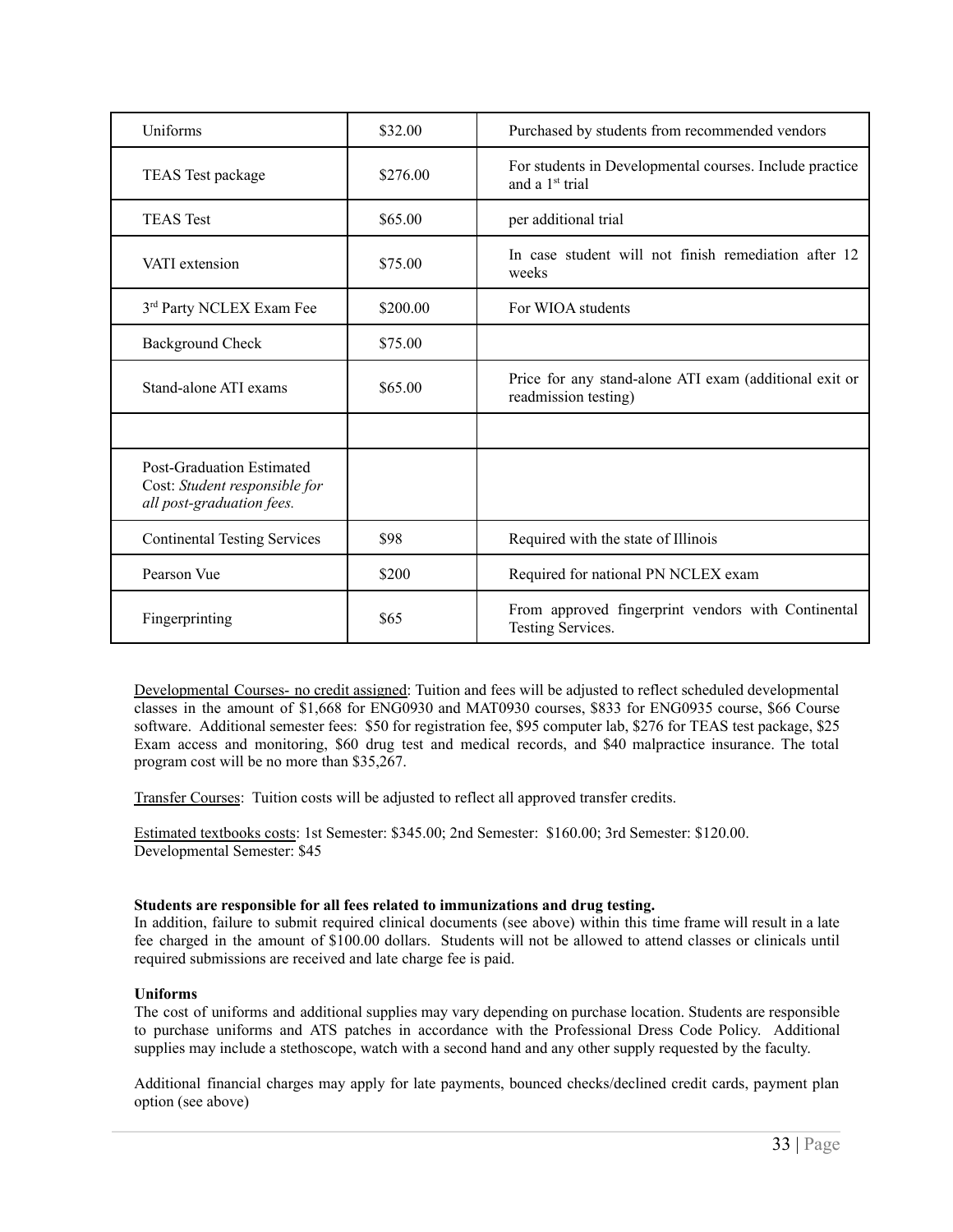| Uniforms                                                                                       | \$32.00  | Purchased by students from recommended vendors                                         |
|------------------------------------------------------------------------------------------------|----------|----------------------------------------------------------------------------------------|
| TEAS Test package                                                                              | \$276.00 | For students in Developmental courses. Include practice<br>and a 1 <sup>st</sup> trial |
| <b>TEAS</b> Test                                                                               | \$65.00  | per additional trial                                                                   |
| VATI extension                                                                                 | \$75.00  | In case student will not finish remediation after 12<br>weeks                          |
| 3rd Party NCLEX Exam Fee                                                                       | \$200.00 | For WIOA students                                                                      |
| <b>Background Check</b>                                                                        | \$75.00  |                                                                                        |
| Stand-alone ATI exams                                                                          | \$65.00  | Price for any stand-alone ATI exam (additional exit or<br>readmission testing)         |
|                                                                                                |          |                                                                                        |
| <b>Post-Graduation Estimated</b><br>Cost: Student responsible for<br>all post-graduation fees. |          |                                                                                        |
| <b>Continental Testing Services</b>                                                            | \$98     | Required with the state of Illinois                                                    |
| Pearson Vue                                                                                    | \$200    | Required for national PN NCLEX exam                                                    |
| Fingerprinting                                                                                 | \$65     | From approved fingerprint vendors with Continental<br>Testing Services.                |

Developmental Courses- no credit assigned: Tuition and fees will be adjusted to reflect scheduled developmental classes in the amount of \$1,668 for ENG0930 and MAT0930 courses, \$833 for ENG0935 course, \$66 Course software. Additional semester fees: \$50 for registration fee, \$95 computer lab, \$276 for TEAS test package, \$25 Exam access and monitoring, \$60 drug test and medical records, and \$40 malpractice insurance. The total program cost will be no more than \$35,267.

Transfer Courses: Tuition costs will be adjusted to reflect all approved transfer credits.

Estimated textbooks costs: 1st Semester: \$345.00; 2nd Semester: \$160.00; 3rd Semester: \$120.00. Developmental Semester: \$45

#### **Students are responsible for all fees related to immunizations and drug testing.**

In addition, failure to submit required clinical documents (see above) within this time frame will result in a late fee charged in the amount of \$100.00 dollars. Students will not be allowed to attend classes or clinicals until required submissions are received and late charge fee is paid.

#### **Uniforms**

The cost of uniforms and additional supplies may vary depending on purchase location. Students are responsible to purchase uniforms and ATS patches in accordance with the Professional Dress Code Policy. Additional supplies may include a stethoscope, watch with a second hand and any other supply requested by the faculty.

Additional financial charges may apply for late payments, bounced checks/declined credit cards, payment plan option (see above)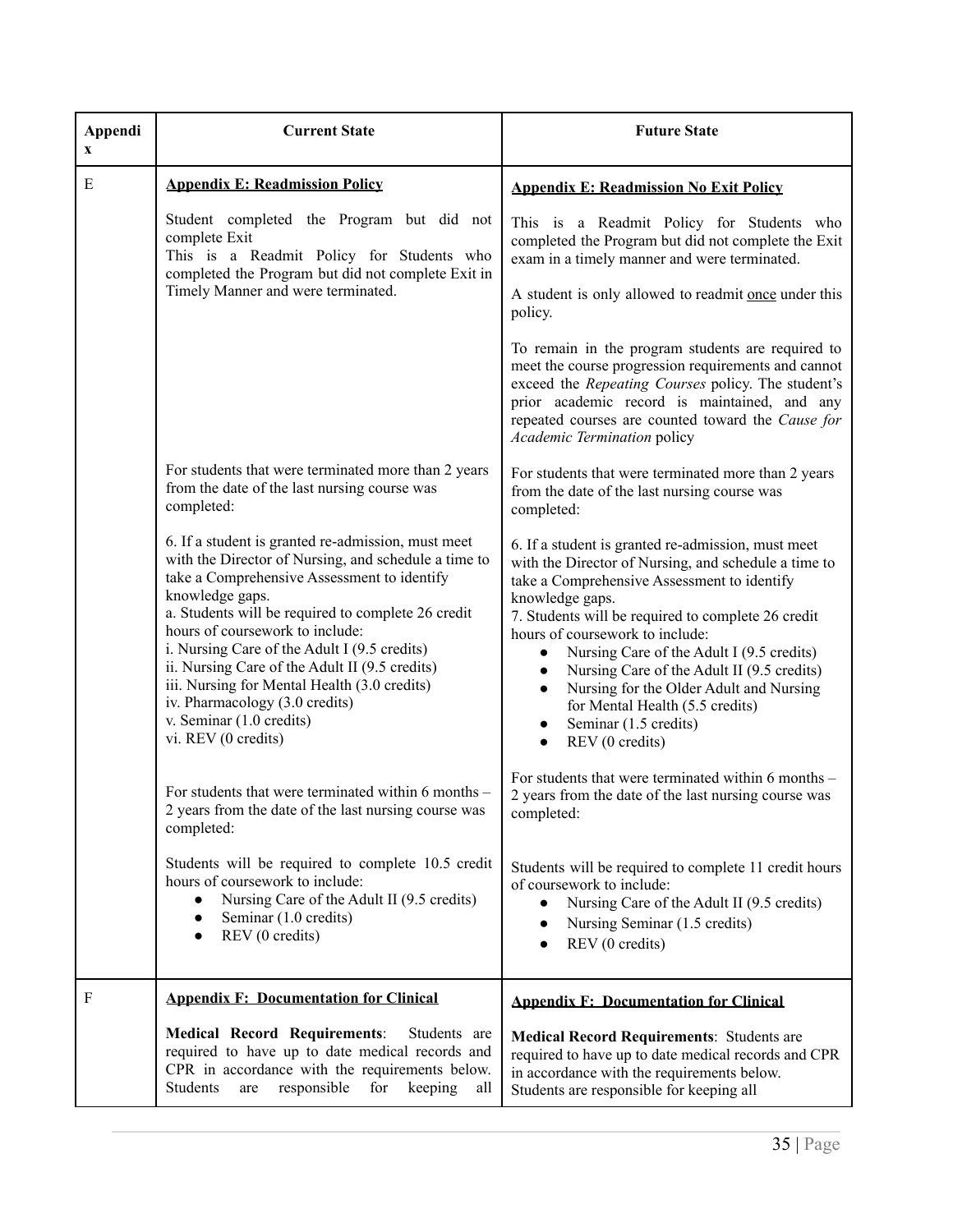<span id="page-34-1"></span><span id="page-34-0"></span>

| Appendi<br>X | <b>Current State</b>                                                                                                                                                                                                                                                                                                                                                                                                                                                                                         | <b>Future State</b>                                                                                                                                                                                                                                                                                                                                                                                                                                                                                                                            |
|--------------|--------------------------------------------------------------------------------------------------------------------------------------------------------------------------------------------------------------------------------------------------------------------------------------------------------------------------------------------------------------------------------------------------------------------------------------------------------------------------------------------------------------|------------------------------------------------------------------------------------------------------------------------------------------------------------------------------------------------------------------------------------------------------------------------------------------------------------------------------------------------------------------------------------------------------------------------------------------------------------------------------------------------------------------------------------------------|
| E            | <b>Appendix E: Readmission Policy</b>                                                                                                                                                                                                                                                                                                                                                                                                                                                                        | <b>Appendix E: Readmission No Exit Policy</b>                                                                                                                                                                                                                                                                                                                                                                                                                                                                                                  |
|              | Student completed the Program but did not<br>complete Exit<br>This is a Readmit Policy for Students who<br>completed the Program but did not complete Exit in<br>Timely Manner and were terminated.                                                                                                                                                                                                                                                                                                          | This is a Readmit Policy for Students who<br>completed the Program but did not complete the Exit<br>exam in a timely manner and were terminated.                                                                                                                                                                                                                                                                                                                                                                                               |
|              |                                                                                                                                                                                                                                                                                                                                                                                                                                                                                                              | A student is only allowed to readmit once under this<br>policy.                                                                                                                                                                                                                                                                                                                                                                                                                                                                                |
|              |                                                                                                                                                                                                                                                                                                                                                                                                                                                                                                              | To remain in the program students are required to<br>meet the course progression requirements and cannot<br>exceed the Repeating Courses policy. The student's<br>prior academic record is maintained, and any<br>repeated courses are counted toward the Cause for<br>Academic Termination policy                                                                                                                                                                                                                                             |
|              | For students that were terminated more than 2 years<br>from the date of the last nursing course was<br>completed:                                                                                                                                                                                                                                                                                                                                                                                            | For students that were terminated more than 2 years<br>from the date of the last nursing course was<br>completed:                                                                                                                                                                                                                                                                                                                                                                                                                              |
|              | 6. If a student is granted re-admission, must meet<br>with the Director of Nursing, and schedule a time to<br>take a Comprehensive Assessment to identify<br>knowledge gaps.<br>a. Students will be required to complete 26 credit<br>hours of coursework to include:<br>i. Nursing Care of the Adult I (9.5 credits)<br>ii. Nursing Care of the Adult II (9.5 credits)<br>iii. Nursing for Mental Health (3.0 credits)<br>iv. Pharmacology (3.0 credits)<br>v. Seminar (1.0 credits)<br>vi. REV (0 credits) | 6. If a student is granted re-admission, must meet<br>with the Director of Nursing, and schedule a time to<br>take a Comprehensive Assessment to identify<br>knowledge gaps.<br>7. Students will be required to complete 26 credit<br>hours of coursework to include:<br>Nursing Care of the Adult I (9.5 credits)<br>Nursing Care of the Adult II (9.5 credits)<br>$\bullet$<br>Nursing for the Older Adult and Nursing<br>$\bullet$<br>for Mental Health (5.5 credits)<br>Seminar (1.5 credits)<br>$\bullet$<br>REV (0 credits)<br>$\bullet$ |
|              | For students that were terminated within 6 months –<br>2 years from the date of the last nursing course was<br>completed:                                                                                                                                                                                                                                                                                                                                                                                    | For students that were terminated within 6 months –<br>2 years from the date of the last nursing course was<br>completed:                                                                                                                                                                                                                                                                                                                                                                                                                      |
|              | Students will be required to complete 10.5 credit<br>hours of coursework to include:<br>Nursing Care of the Adult II (9.5 credits)<br>$\bullet$<br>Seminar (1.0 credits)<br>$\bullet$<br>REV (0 credits)<br>$\bullet$                                                                                                                                                                                                                                                                                        | Students will be required to complete 11 credit hours<br>of coursework to include:<br>Nursing Care of the Adult II (9.5 credits)<br>$\bullet$<br>Nursing Seminar (1.5 credits)<br>$\bullet$<br>REV (0 credits)<br>$\bullet$                                                                                                                                                                                                                                                                                                                    |
| F            | <b>Appendix F: Documentation for Clinical</b>                                                                                                                                                                                                                                                                                                                                                                                                                                                                | <b>Appendix F: Documentation for Clinical</b>                                                                                                                                                                                                                                                                                                                                                                                                                                                                                                  |
|              | <b>Medical Record Requirements:</b><br>Students are<br>required to have up to date medical records and<br>CPR in accordance with the requirements below.<br>responsible<br>for<br>Students<br>keeping<br>are<br>all                                                                                                                                                                                                                                                                                          | <b>Medical Record Requirements: Students are</b><br>required to have up to date medical records and CPR<br>in accordance with the requirements below.<br>Students are responsible for keeping all                                                                                                                                                                                                                                                                                                                                              |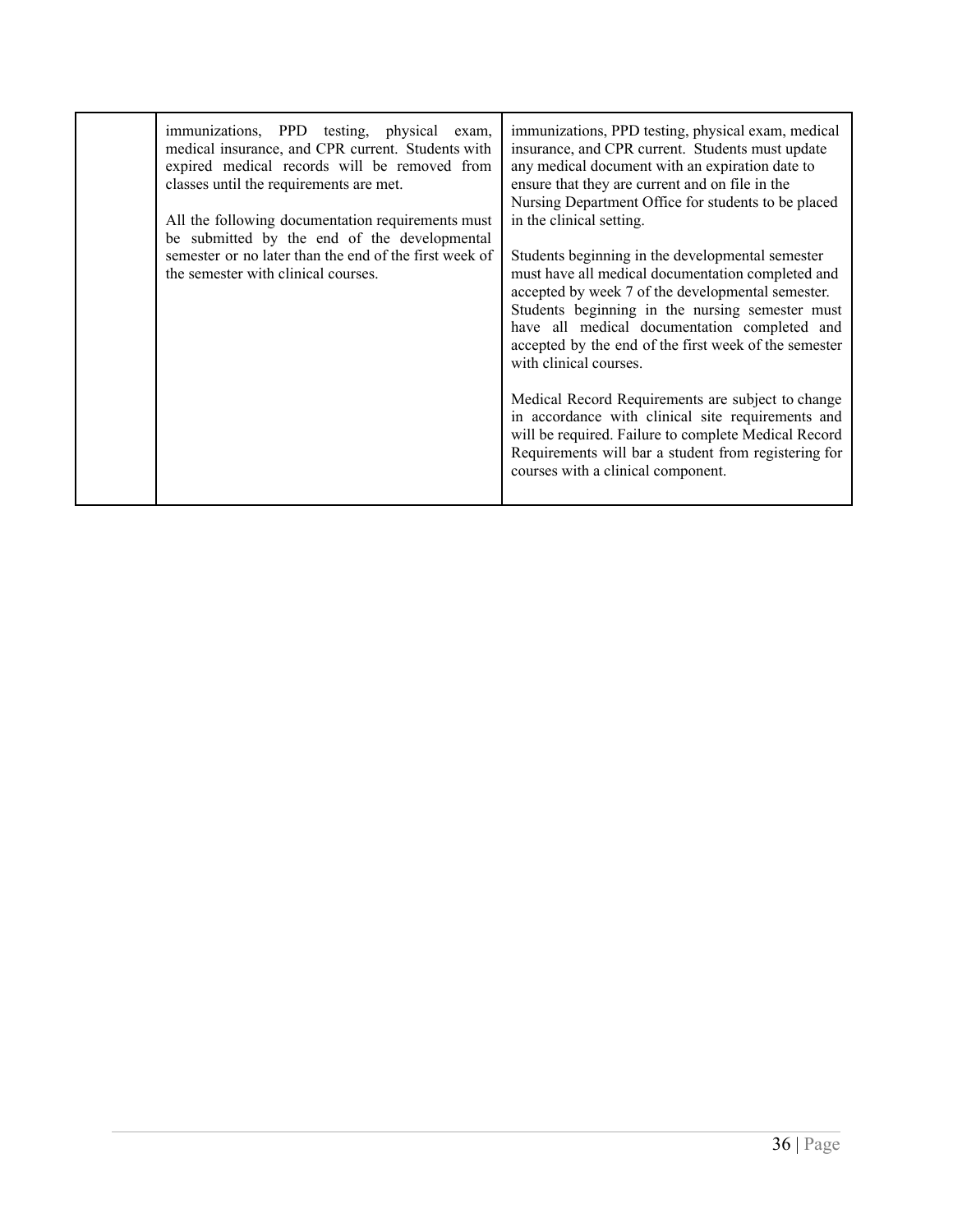| immunizations, PPD testing, physical exam,<br>medical insurance, and CPR current. Students with<br>expired medical records will be removed from<br>classes until the requirements are met.<br>All the following documentation requirements must<br>be submitted by the end of the developmental<br>semester or no later than the end of the first week of<br>the semester with clinical courses. | immunizations, PPD testing, physical exam, medical<br>insurance, and CPR current. Students must update<br>any medical document with an expiration date to<br>ensure that they are current and on file in the<br>Nursing Department Office for students to be placed<br>in the clinical setting.<br>Students beginning in the developmental semester<br>must have all medical documentation completed and<br>accepted by week 7 of the developmental semester.<br>Students beginning in the nursing semester must<br>have all medical documentation completed and<br>accepted by the end of the first week of the semester<br>with clinical courses.<br>Medical Record Requirements are subject to change<br>in accordance with clinical site requirements and |
|--------------------------------------------------------------------------------------------------------------------------------------------------------------------------------------------------------------------------------------------------------------------------------------------------------------------------------------------------------------------------------------------------|---------------------------------------------------------------------------------------------------------------------------------------------------------------------------------------------------------------------------------------------------------------------------------------------------------------------------------------------------------------------------------------------------------------------------------------------------------------------------------------------------------------------------------------------------------------------------------------------------------------------------------------------------------------------------------------------------------------------------------------------------------------|
|                                                                                                                                                                                                                                                                                                                                                                                                  | will be required. Failure to complete Medical Record<br>Requirements will bar a student from registering for<br>courses with a clinical component.                                                                                                                                                                                                                                                                                                                                                                                                                                                                                                                                                                                                            |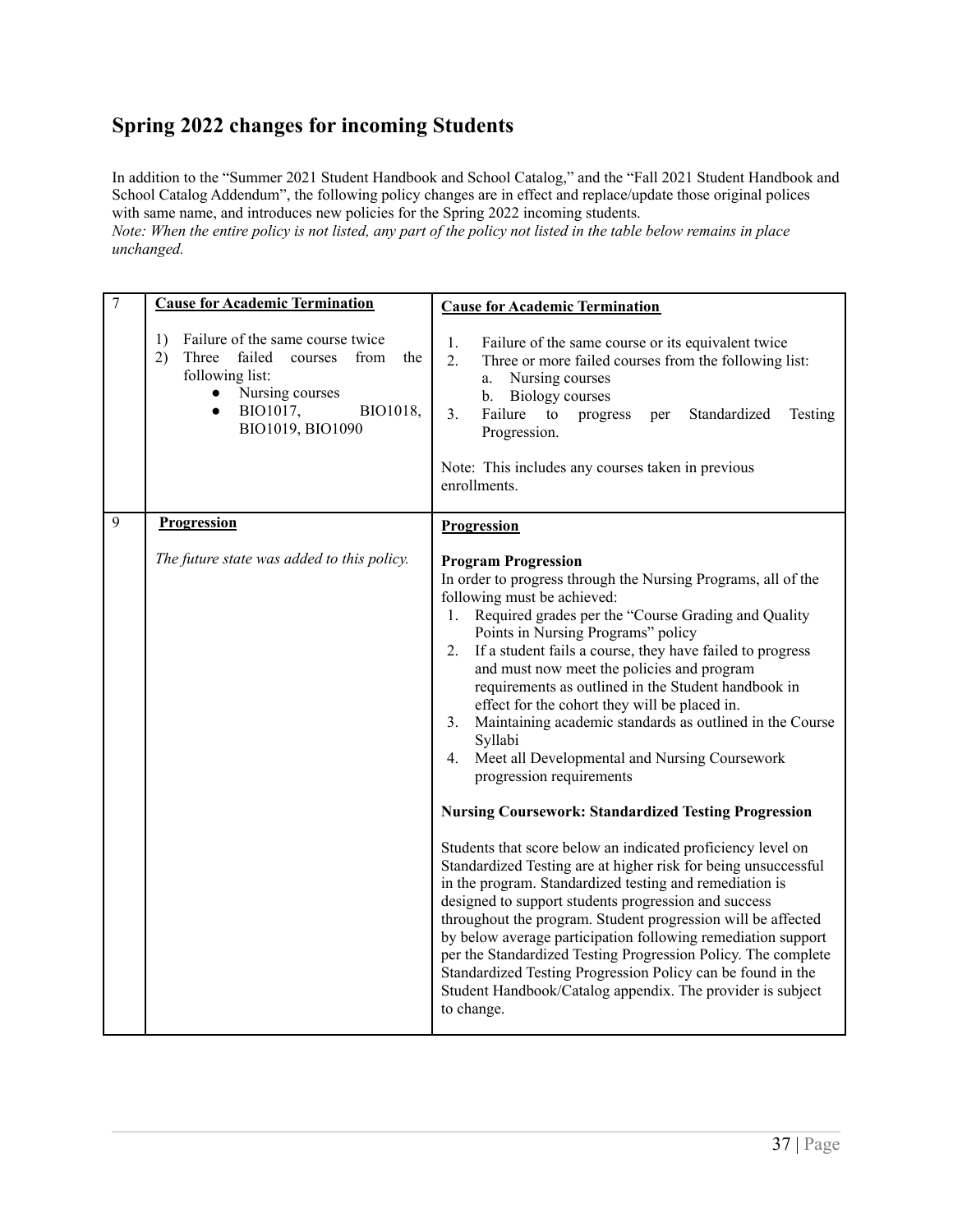# <span id="page-36-0"></span>**Spring 2022 changes for incoming Students**

In addition to the "Summer 2021 Student Handbook and School Catalog," and the "Fall 2021 Student Handbook and School Catalog Addendum", the following policy changes are in effect and replace/update those original polices with same name, and introduces new policies for the Spring 2022 incoming students. Note: When the entire policy is not listed, any part of the policy not listed in the table below remains in place

<span id="page-36-1"></span>*unchanged.*

<span id="page-36-2"></span>

| $\overline{7}$ | <b>Cause for Academic Termination</b>                                                                                                                                                           | <b>Cause for Academic Termination</b>                                                                                                                                                                                                                                                                                                                                                                                                                                                                                                                                                                                                                                                                                                                                                                                                                                                                                                                                                                                                                                                                                                                                                                                                                                              |
|----------------|-------------------------------------------------------------------------------------------------------------------------------------------------------------------------------------------------|------------------------------------------------------------------------------------------------------------------------------------------------------------------------------------------------------------------------------------------------------------------------------------------------------------------------------------------------------------------------------------------------------------------------------------------------------------------------------------------------------------------------------------------------------------------------------------------------------------------------------------------------------------------------------------------------------------------------------------------------------------------------------------------------------------------------------------------------------------------------------------------------------------------------------------------------------------------------------------------------------------------------------------------------------------------------------------------------------------------------------------------------------------------------------------------------------------------------------------------------------------------------------------|
|                | Failure of the same course twice<br>1)<br>Three failed<br>2)<br>courses from<br>the<br>following list:<br>Nursing courses<br>$\bullet$<br>BIO1017,<br>BIO1018,<br>$\bullet$<br>BIO1019, BIO1090 | 1.<br>Failure of the same course or its equivalent twice<br>2.<br>Three or more failed courses from the following list:<br>Nursing courses<br>a.<br><b>Biology</b> courses<br>b.<br>Failure<br>3.<br>to<br>Standardized<br>Testing<br>progress<br>per<br>Progression.<br>Note: This includes any courses taken in previous<br>enrollments.                                                                                                                                                                                                                                                                                                                                                                                                                                                                                                                                                                                                                                                                                                                                                                                                                                                                                                                                         |
| 9              | Progression                                                                                                                                                                                     | Progression                                                                                                                                                                                                                                                                                                                                                                                                                                                                                                                                                                                                                                                                                                                                                                                                                                                                                                                                                                                                                                                                                                                                                                                                                                                                        |
|                | The future state was added to this policy.                                                                                                                                                      | <b>Program Progression</b><br>In order to progress through the Nursing Programs, all of the<br>following must be achieved:<br>Required grades per the "Course Grading and Quality<br>1.<br>Points in Nursing Programs" policy<br>2. If a student fails a course, they have failed to progress<br>and must now meet the policies and program<br>requirements as outlined in the Student handbook in<br>effect for the cohort they will be placed in.<br>Maintaining academic standards as outlined in the Course<br>3.<br>Syllabi<br>Meet all Developmental and Nursing Coursework<br>4.<br>progression requirements<br><b>Nursing Coursework: Standardized Testing Progression</b><br>Students that score below an indicated proficiency level on<br>Standardized Testing are at higher risk for being unsuccessful<br>in the program. Standardized testing and remediation is<br>designed to support students progression and success<br>throughout the program. Student progression will be affected<br>by below average participation following remediation support<br>per the Standardized Testing Progression Policy. The complete<br>Standardized Testing Progression Policy can be found in the<br>Student Handbook/Catalog appendix. The provider is subject<br>to change. |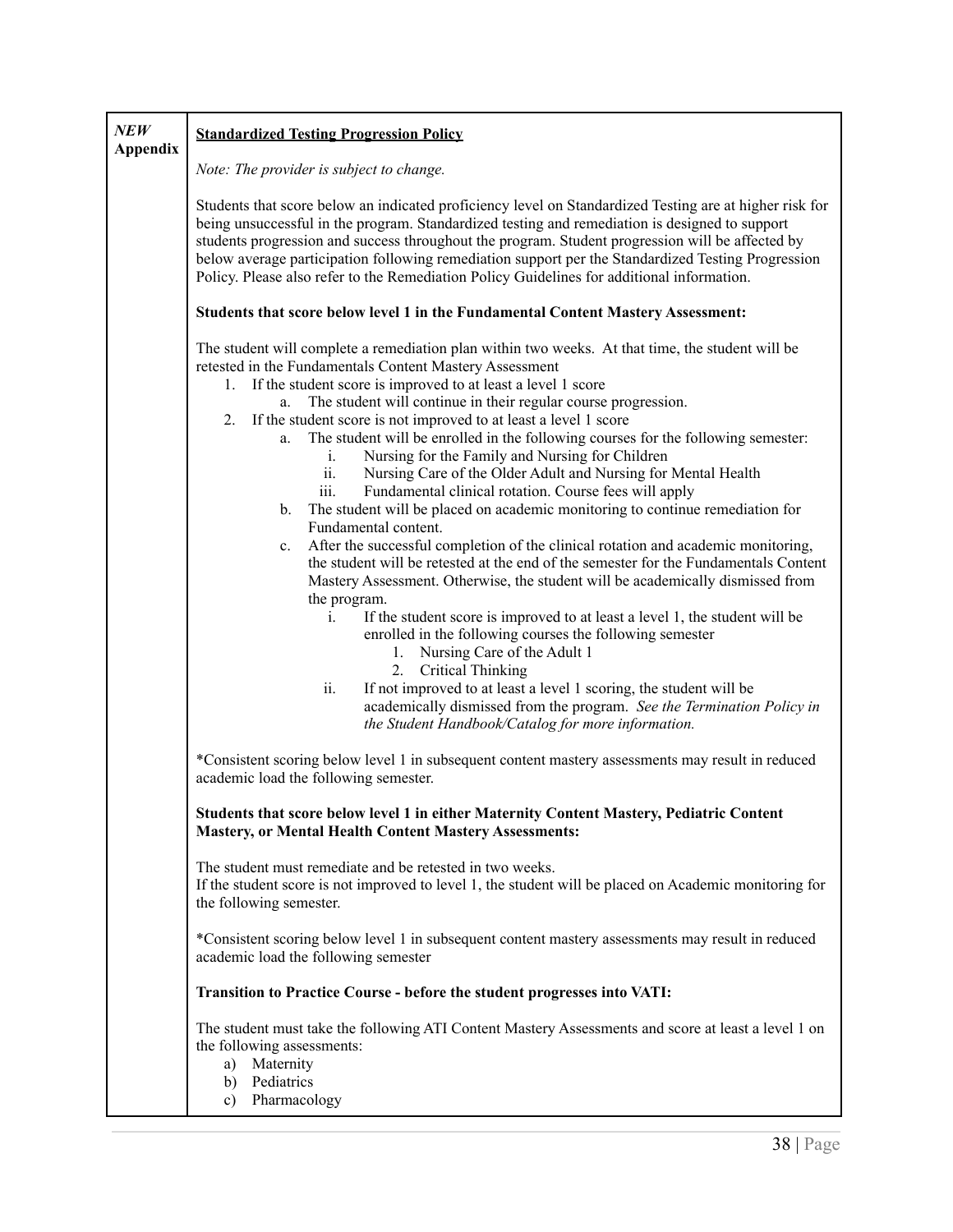<span id="page-37-0"></span>

| NEW<br><b>Appendix</b> | <b>Standardized Testing Progression Policy</b>                                                                                                                                                                                                                                                                                                                                                                                                                                                                                                                                                                                                                                                                                                                                                                                                                                                                                                                                                                                                                                                                                                                                                     |
|------------------------|----------------------------------------------------------------------------------------------------------------------------------------------------------------------------------------------------------------------------------------------------------------------------------------------------------------------------------------------------------------------------------------------------------------------------------------------------------------------------------------------------------------------------------------------------------------------------------------------------------------------------------------------------------------------------------------------------------------------------------------------------------------------------------------------------------------------------------------------------------------------------------------------------------------------------------------------------------------------------------------------------------------------------------------------------------------------------------------------------------------------------------------------------------------------------------------------------|
|                        | Note: The provider is subject to change.                                                                                                                                                                                                                                                                                                                                                                                                                                                                                                                                                                                                                                                                                                                                                                                                                                                                                                                                                                                                                                                                                                                                                           |
|                        | Students that score below an indicated proficiency level on Standardized Testing are at higher risk for<br>being unsuccessful in the program. Standardized testing and remediation is designed to support<br>students progression and success throughout the program. Student progression will be affected by<br>below average participation following remediation support per the Standardized Testing Progression<br>Policy. Please also refer to the Remediation Policy Guidelines for additional information.<br>Students that score below level 1 in the Fundamental Content Mastery Assessment:                                                                                                                                                                                                                                                                                                                                                                                                                                                                                                                                                                                              |
|                        | The student will complete a remediation plan within two weeks. At that time, the student will be                                                                                                                                                                                                                                                                                                                                                                                                                                                                                                                                                                                                                                                                                                                                                                                                                                                                                                                                                                                                                                                                                                   |
|                        | retested in the Fundamentals Content Mastery Assessment<br>If the student score is improved to at least a level 1 score<br>1.<br>a. The student will continue in their regular course progression.<br>If the student score is not improved to at least a level 1 score<br>2.<br>The student will be enrolled in the following courses for the following semester:<br>a.<br>Nursing for the Family and Nursing for Children<br>i.<br>Nursing Care of the Older Adult and Nursing for Mental Health<br>ii.<br>Fundamental clinical rotation. Course fees will apply<br>iii.<br>The student will be placed on academic monitoring to continue remediation for<br>b.<br>Fundamental content.<br>After the successful completion of the clinical rotation and academic monitoring,<br>c.<br>the student will be retested at the end of the semester for the Fundamentals Content<br>Mastery Assessment. Otherwise, the student will be academically dismissed from<br>the program.<br>If the student score is improved to at least a level 1, the student will be<br>i.<br>enrolled in the following courses the following semester<br>1. Nursing Care of the Adult 1<br>2.<br><b>Critical Thinking</b> |
|                        | ii.<br>If not improved to at least a level 1 scoring, the student will be<br>academically dismissed from the program. See the Termination Policy in<br>the Student Handbook/Catalog for more information.                                                                                                                                                                                                                                                                                                                                                                                                                                                                                                                                                                                                                                                                                                                                                                                                                                                                                                                                                                                          |
|                        | *Consistent scoring below level 1 in subsequent content mastery assessments may result in reduced<br>academic load the following semester.                                                                                                                                                                                                                                                                                                                                                                                                                                                                                                                                                                                                                                                                                                                                                                                                                                                                                                                                                                                                                                                         |
|                        | Students that score below level 1 in either Maternity Content Mastery, Pediatric Content<br><b>Mastery, or Mental Health Content Mastery Assessments:</b>                                                                                                                                                                                                                                                                                                                                                                                                                                                                                                                                                                                                                                                                                                                                                                                                                                                                                                                                                                                                                                          |
|                        | The student must remediate and be retested in two weeks.<br>If the student score is not improved to level 1, the student will be placed on Academic monitoring for<br>the following semester.                                                                                                                                                                                                                                                                                                                                                                                                                                                                                                                                                                                                                                                                                                                                                                                                                                                                                                                                                                                                      |
|                        | *Consistent scoring below level 1 in subsequent content mastery assessments may result in reduced<br>academic load the following semester                                                                                                                                                                                                                                                                                                                                                                                                                                                                                                                                                                                                                                                                                                                                                                                                                                                                                                                                                                                                                                                          |
|                        | Transition to Practice Course - before the student progresses into VATI:                                                                                                                                                                                                                                                                                                                                                                                                                                                                                                                                                                                                                                                                                                                                                                                                                                                                                                                                                                                                                                                                                                                           |
|                        | The student must take the following ATI Content Mastery Assessments and score at least a level 1 on<br>the following assessments:<br>Maternity<br>a)<br>b) Pediatrics<br>Pharmacology<br>c)                                                                                                                                                                                                                                                                                                                                                                                                                                                                                                                                                                                                                                                                                                                                                                                                                                                                                                                                                                                                        |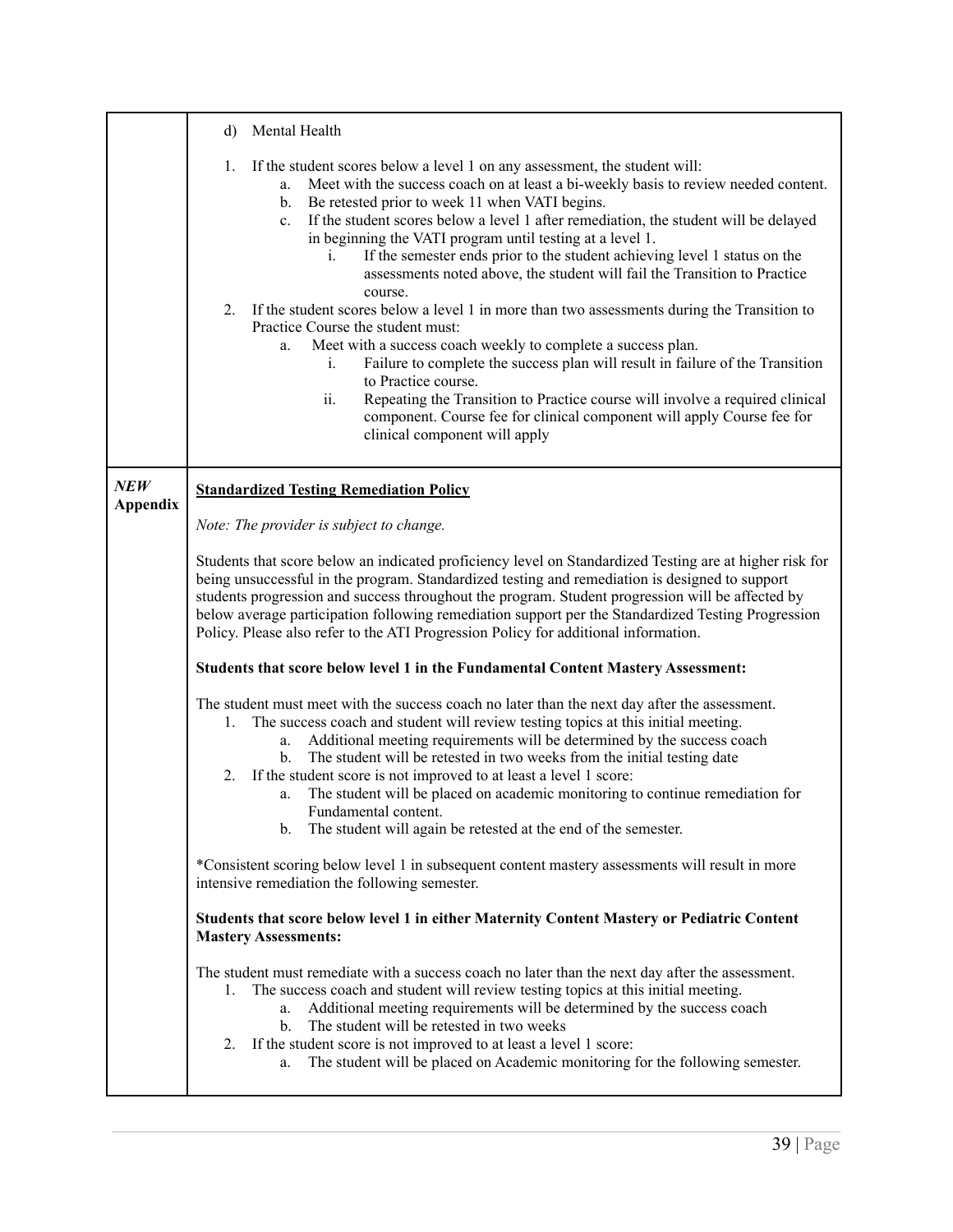<span id="page-38-0"></span>

|                 | Mental Health<br>d)                                                                                                                                                                                                                                                                                                                                                                                                                                                                                                                                                                                                                                                                                                                                                                                                                                                                                                                                                                                                                                                                                                                   |  |  |  |  |
|-----------------|---------------------------------------------------------------------------------------------------------------------------------------------------------------------------------------------------------------------------------------------------------------------------------------------------------------------------------------------------------------------------------------------------------------------------------------------------------------------------------------------------------------------------------------------------------------------------------------------------------------------------------------------------------------------------------------------------------------------------------------------------------------------------------------------------------------------------------------------------------------------------------------------------------------------------------------------------------------------------------------------------------------------------------------------------------------------------------------------------------------------------------------|--|--|--|--|
|                 | If the student scores below a level 1 on any assessment, the student will:<br>1.<br>Meet with the success coach on at least a bi-weekly basis to review needed content.<br>a.<br>Be retested prior to week 11 when VATI begins.<br>$b_{-}$<br>If the student scores below a level 1 after remediation, the student will be delayed<br>$c_{\cdot}$<br>in beginning the VATI program until testing at a level 1.<br>If the semester ends prior to the student achieving level 1 status on the<br>$\mathbf{1}$ .<br>assessments noted above, the student will fail the Transition to Practice<br>course.<br>2.<br>If the student scores below a level 1 in more than two assessments during the Transition to<br>Practice Course the student must:<br>Meet with a success coach weekly to complete a success plan.<br>a.<br>Failure to complete the success plan will result in failure of the Transition<br>1.<br>to Practice course.<br>Repeating the Transition to Practice course will involve a required clinical<br>ii.<br>component. Course fee for clinical component will apply Course fee for<br>clinical component will apply |  |  |  |  |
| NEW             | <b>Standardized Testing Remediation Policy</b>                                                                                                                                                                                                                                                                                                                                                                                                                                                                                                                                                                                                                                                                                                                                                                                                                                                                                                                                                                                                                                                                                        |  |  |  |  |
| <b>Appendix</b> | Note: The provider is subject to change.                                                                                                                                                                                                                                                                                                                                                                                                                                                                                                                                                                                                                                                                                                                                                                                                                                                                                                                                                                                                                                                                                              |  |  |  |  |
|                 | Students that score below an indicated proficiency level on Standardized Testing are at higher risk for<br>being unsuccessful in the program. Standardized testing and remediation is designed to support<br>students progression and success throughout the program. Student progression will be affected by<br>below average participation following remediation support per the Standardized Testing Progression<br>Policy. Please also refer to the ATI Progression Policy for additional information.                                                                                                                                                                                                                                                                                                                                                                                                                                                                                                                                                                                                                            |  |  |  |  |
|                 | Students that score below level 1 in the Fundamental Content Mastery Assessment:                                                                                                                                                                                                                                                                                                                                                                                                                                                                                                                                                                                                                                                                                                                                                                                                                                                                                                                                                                                                                                                      |  |  |  |  |
|                 | The student must meet with the success coach no later than the next day after the assessment.<br>The success coach and student will review testing topics at this initial meeting.<br>1.<br>Additional meeting requirements will be determined by the success coach<br>a.<br>The student will be retested in two weeks from the initial testing date<br>$\mathbf{b}$ .<br>If the student score is not improved to at least a level 1 score:<br>2.<br>The student will be placed on academic monitoring to continue remediation for<br>a.<br>Fundamental content.<br>The student will again be retested at the end of the semester.<br>b.                                                                                                                                                                                                                                                                                                                                                                                                                                                                                              |  |  |  |  |
|                 | *Consistent scoring below level 1 in subsequent content mastery assessments will result in more<br>intensive remediation the following semester.                                                                                                                                                                                                                                                                                                                                                                                                                                                                                                                                                                                                                                                                                                                                                                                                                                                                                                                                                                                      |  |  |  |  |
|                 | Students that score below level 1 in either Maternity Content Mastery or Pediatric Content<br><b>Mastery Assessments:</b>                                                                                                                                                                                                                                                                                                                                                                                                                                                                                                                                                                                                                                                                                                                                                                                                                                                                                                                                                                                                             |  |  |  |  |
|                 | The student must remediate with a success coach no later than the next day after the assessment.<br>The success coach and student will review testing topics at this initial meeting.<br>1.<br>Additional meeting requirements will be determined by the success coach<br>a.<br>The student will be retested in two weeks<br>$b_{\cdot}$<br>If the student score is not improved to at least a level 1 score:<br>2.<br>The student will be placed on Academic monitoring for the following semester.<br>a.                                                                                                                                                                                                                                                                                                                                                                                                                                                                                                                                                                                                                            |  |  |  |  |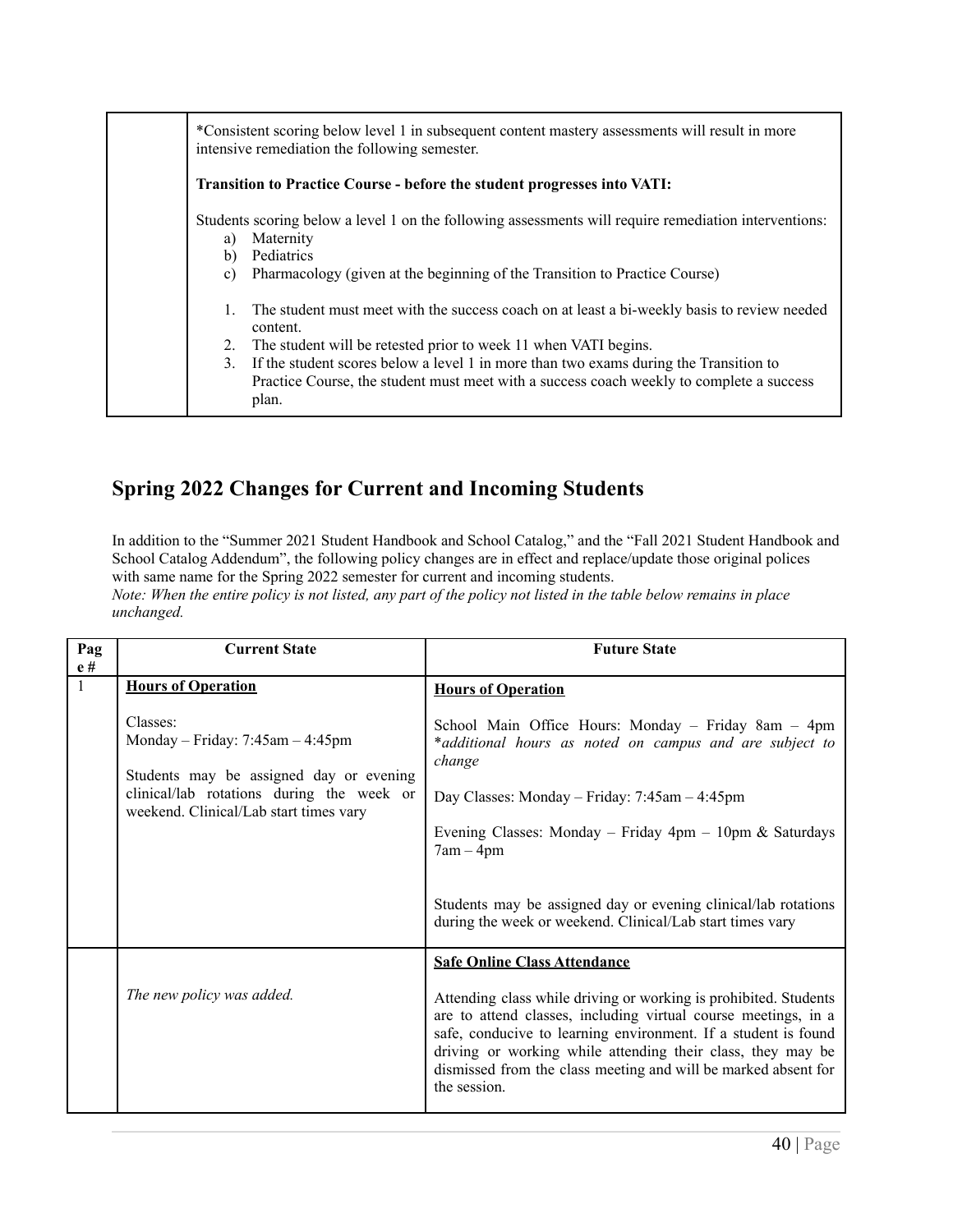| *Consistent scoring below level 1 in subsequent content mastery assessments will result in more<br>intensive remediation the following semester.                                                                                                                                                                                                                                                 |  |  |  |  |  |  |
|--------------------------------------------------------------------------------------------------------------------------------------------------------------------------------------------------------------------------------------------------------------------------------------------------------------------------------------------------------------------------------------------------|--|--|--|--|--|--|
| Transition to Practice Course - before the student progresses into VATI:                                                                                                                                                                                                                                                                                                                         |  |  |  |  |  |  |
| Students scoring below a level 1 on the following assessments will require remediation interventions:<br>Maternity<br>a)<br>Pediatrics<br>b)<br>Pharmacology (given at the beginning of the Transition to Practice Course)<br>c)                                                                                                                                                                 |  |  |  |  |  |  |
| The student must meet with the success coach on at least a bi-weekly basis to review needed<br>content.<br>The student will be retested prior to week 11 when VATI begins.<br>2.<br>If the student scores below a level 1 in more than two exams during the Transition to<br>3 <sub>1</sub><br>Practice Course, the student must meet with a success coach weekly to complete a success<br>plan. |  |  |  |  |  |  |

# <span id="page-39-0"></span>**Spring 2022 Changes for Current and Incoming Students**

In addition to the "Summer 2021 Student Handbook and School Catalog," and the "Fall 2021 Student Handbook and School Catalog Addendum", the following policy changes are in effect and replace/update those original polices with same name for the Spring 2022 semester for current and incoming students.

<span id="page-39-1"></span>Note: When the entire policy is not listed, any part of the policy not listed in the table below remains in place *unchanged.*

<span id="page-39-2"></span>

| Pag                | <b>Current State</b>                                                                                                                                                                                          | <b>Future State</b>                                                                                                                                                                                                                                                                                                                                                                                                                                       |  |  |
|--------------------|---------------------------------------------------------------------------------------------------------------------------------------------------------------------------------------------------------------|-----------------------------------------------------------------------------------------------------------------------------------------------------------------------------------------------------------------------------------------------------------------------------------------------------------------------------------------------------------------------------------------------------------------------------------------------------------|--|--|
| e#<br>$\mathbf{1}$ | <b>Hours of Operation</b><br>Classes:<br>Monday – Friday: $7:45am - 4:45pm$<br>Students may be assigned day or evening<br>clinical/lab rotations during the week or<br>weekend. Clinical/Lab start times vary | <b>Hours of Operation</b><br>School Main Office Hours: Monday - Friday 8am - 4pm<br>*additional hours as noted on campus and are subject to<br>change<br>Day Classes: Monday - Friday: 7:45am - 4:45pm<br>Evening Classes: Monday – Friday $4pm - 10pm \&$ Saturdays<br>$7am - 4pm$<br>Students may be assigned day or evening clinical/lab rotations                                                                                                     |  |  |
|                    | The new policy was added.                                                                                                                                                                                     | during the week or weekend. Clinical/Lab start times vary<br><b>Safe Online Class Attendance</b><br>Attending class while driving or working is prohibited. Students<br>are to attend classes, including virtual course meetings, in a<br>safe, conducive to learning environment. If a student is found<br>driving or working while attending their class, they may be<br>dismissed from the class meeting and will be marked absent for<br>the session. |  |  |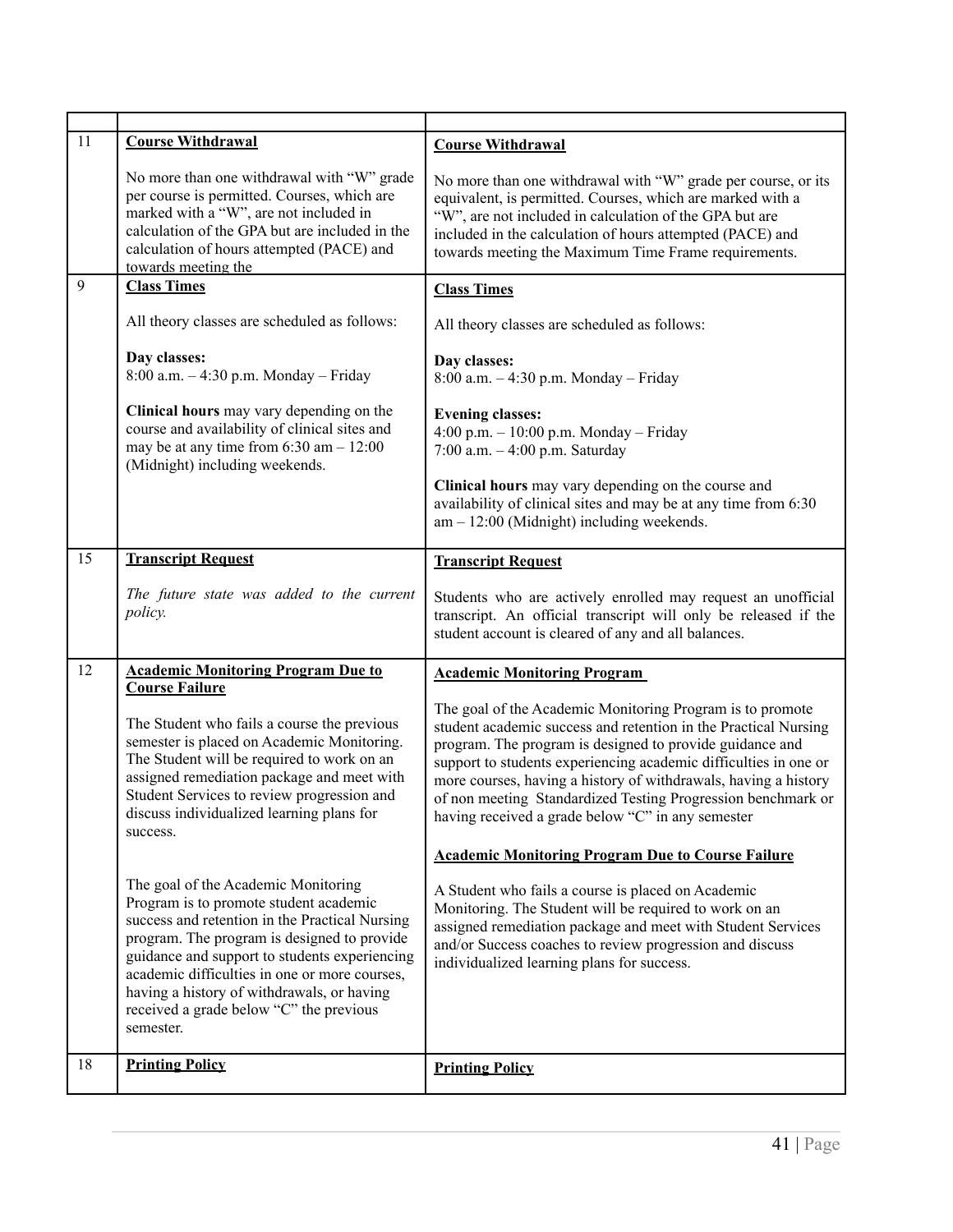<span id="page-40-5"></span><span id="page-40-4"></span><span id="page-40-3"></span><span id="page-40-2"></span><span id="page-40-1"></span><span id="page-40-0"></span>

| 11 | <b>Course Withdrawal</b>                                                                                                                                                                                                                                                                                                                                                               | <b>Course Withdrawal</b>                                                                                                                                                                                                                                                                                                                                                                                                                             |  |  |
|----|----------------------------------------------------------------------------------------------------------------------------------------------------------------------------------------------------------------------------------------------------------------------------------------------------------------------------------------------------------------------------------------|------------------------------------------------------------------------------------------------------------------------------------------------------------------------------------------------------------------------------------------------------------------------------------------------------------------------------------------------------------------------------------------------------------------------------------------------------|--|--|
|    | No more than one withdrawal with "W" grade<br>per course is permitted. Courses, which are<br>marked with a "W", are not included in<br>calculation of the GPA but are included in the<br>calculation of hours attempted (PACE) and<br>towards meeting the                                                                                                                              | No more than one withdrawal with "W" grade per course, or its<br>equivalent, is permitted. Courses, which are marked with a<br>"W", are not included in calculation of the GPA but are<br>included in the calculation of hours attempted (PACE) and<br>towards meeting the Maximum Time Frame requirements.                                                                                                                                          |  |  |
| 9  | <b>Class Times</b>                                                                                                                                                                                                                                                                                                                                                                     | <b>Class Times</b>                                                                                                                                                                                                                                                                                                                                                                                                                                   |  |  |
|    | All theory classes are scheduled as follows:                                                                                                                                                                                                                                                                                                                                           | All theory classes are scheduled as follows:                                                                                                                                                                                                                                                                                                                                                                                                         |  |  |
|    | Day classes:<br>8:00 a.m. $-4:30$ p.m. Monday - Friday                                                                                                                                                                                                                                                                                                                                 | Day classes:<br>8:00 a.m. - 4:30 p.m. Monday - Friday                                                                                                                                                                                                                                                                                                                                                                                                |  |  |
|    | Clinical hours may vary depending on the<br>course and availability of clinical sites and<br>may be at any time from $6:30$ am $-12:00$<br>(Midnight) including weekends.                                                                                                                                                                                                              | <b>Evening classes:</b><br>4:00 p.m. $- 10:00$ p.m. Monday $-$ Friday<br>7:00 a.m. $-4:00$ p.m. Saturday                                                                                                                                                                                                                                                                                                                                             |  |  |
|    |                                                                                                                                                                                                                                                                                                                                                                                        | Clinical hours may vary depending on the course and<br>availability of clinical sites and may be at any time from 6:30<br>$am - 12:00$ (Midnight) including weekends.                                                                                                                                                                                                                                                                                |  |  |
| 15 | <b>Transcript Request</b>                                                                                                                                                                                                                                                                                                                                                              | <b>Transcript Request</b>                                                                                                                                                                                                                                                                                                                                                                                                                            |  |  |
|    | The future state was added to the current<br>policy.                                                                                                                                                                                                                                                                                                                                   | Students who are actively enrolled may request an unofficial<br>transcript. An official transcript will only be released if the<br>student account is cleared of any and all balances.                                                                                                                                                                                                                                                               |  |  |
| 12 | <b>Academic Monitoring Program Due to</b><br><b>Course Failure</b>                                                                                                                                                                                                                                                                                                                     | <b>Academic Monitoring Program</b>                                                                                                                                                                                                                                                                                                                                                                                                                   |  |  |
|    | The Student who fails a course the previous<br>semester is placed on Academic Monitoring.<br>The Student will be required to work on an<br>assigned remediation package and meet with<br>Student Services to review progression and<br>discuss individualized learning plans for<br>success.                                                                                           | The goal of the Academic Monitoring Program is to promote<br>student academic success and retention in the Practical Nursing<br>program. The program is designed to provide guidance and<br>support to students experiencing academic difficulties in one or<br>more courses, having a history of withdrawals, having a history<br>of non meeting Standardized Testing Progression benchmark or<br>having received a grade below "C" in any semester |  |  |
|    |                                                                                                                                                                                                                                                                                                                                                                                        | <b>Academic Monitoring Program Due to Course Failure</b>                                                                                                                                                                                                                                                                                                                                                                                             |  |  |
|    | The goal of the Academic Monitoring<br>Program is to promote student academic<br>success and retention in the Practical Nursing<br>program. The program is designed to provide<br>guidance and support to students experiencing<br>academic difficulties in one or more courses,<br>having a history of withdrawals, or having<br>received a grade below "C" the previous<br>semester. | A Student who fails a course is placed on Academic<br>Monitoring. The Student will be required to work on an<br>assigned remediation package and meet with Student Services<br>and/or Success coaches to review progression and discuss<br>individualized learning plans for success.                                                                                                                                                                |  |  |
| 18 | <b>Printing Policy</b>                                                                                                                                                                                                                                                                                                                                                                 | <b>Printing Policy</b>                                                                                                                                                                                                                                                                                                                                                                                                                               |  |  |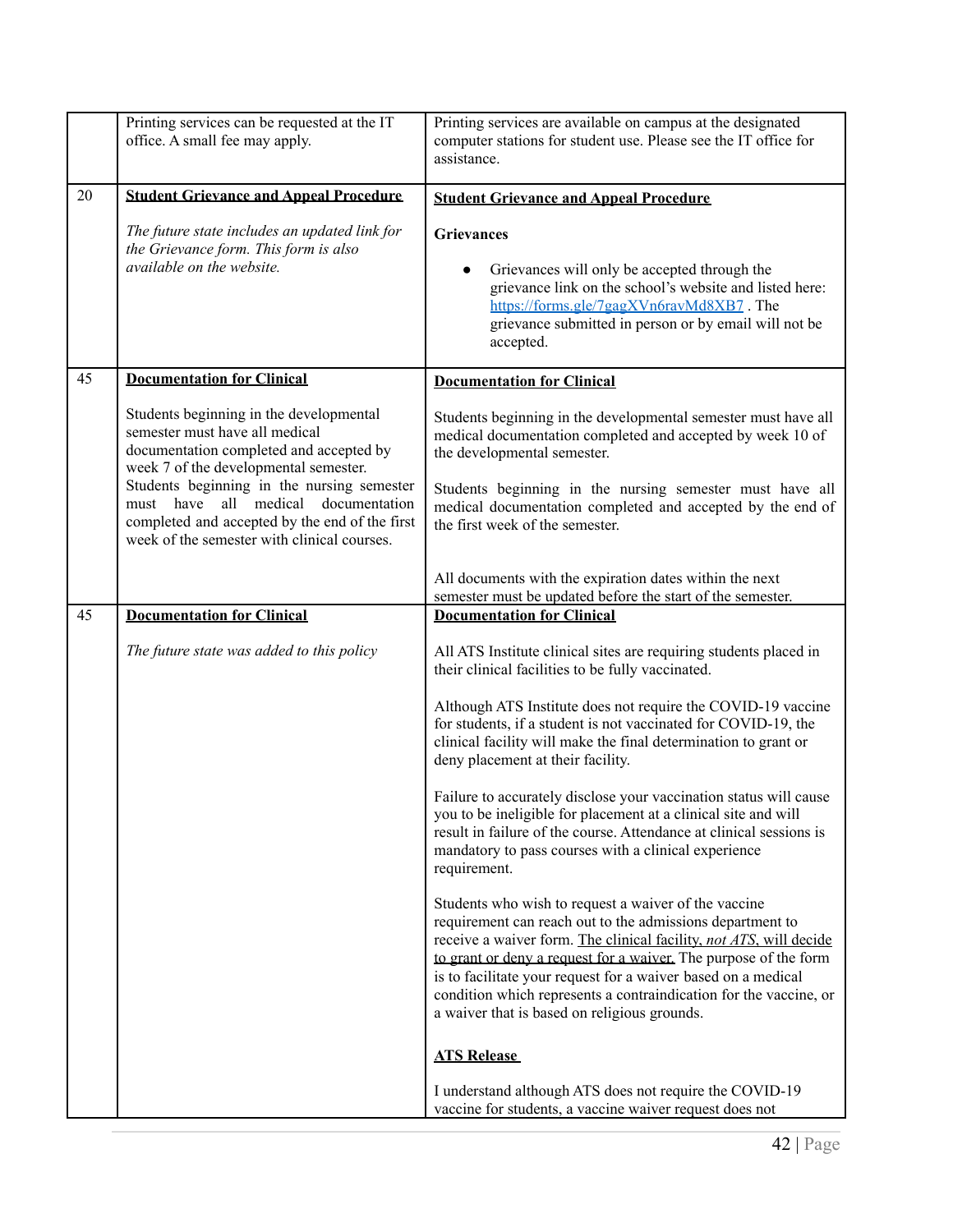<span id="page-41-2"></span><span id="page-41-1"></span><span id="page-41-0"></span>

|    | Printing services can be requested at the IT<br>office. A small fee may apply.                                                                                                                 | Printing services are available on campus at the designated<br>computer stations for student use. Please see the IT office for<br>assistance.                                                                                                                                                                                                                                                                                                     |
|----|------------------------------------------------------------------------------------------------------------------------------------------------------------------------------------------------|---------------------------------------------------------------------------------------------------------------------------------------------------------------------------------------------------------------------------------------------------------------------------------------------------------------------------------------------------------------------------------------------------------------------------------------------------|
| 20 | <b>Student Grievance and Appeal Procedure</b>                                                                                                                                                  | <b>Student Grievance and Appeal Procedure</b>                                                                                                                                                                                                                                                                                                                                                                                                     |
|    | The future state includes an updated link for<br>the Grievance form. This form is also<br>available on the website.                                                                            | <b>Grievances</b><br>Grievances will only be accepted through the<br>grievance link on the school's website and listed here:<br>https://forms.gle/7gagXVn6rayMd8XB7.The<br>grievance submitted in person or by email will not be<br>accepted.                                                                                                                                                                                                     |
| 45 | <b>Documentation for Clinical</b>                                                                                                                                                              | <b>Documentation for Clinical</b>                                                                                                                                                                                                                                                                                                                                                                                                                 |
|    | Students beginning in the developmental<br>semester must have all medical<br>documentation completed and accepted by<br>week 7 of the developmental semester.                                  | Students beginning in the developmental semester must have all<br>medical documentation completed and accepted by week 10 of<br>the developmental semester.                                                                                                                                                                                                                                                                                       |
|    | Students beginning in the nursing semester<br>have<br>all<br>medical<br>documentation<br>must<br>completed and accepted by the end of the first<br>week of the semester with clinical courses. | Students beginning in the nursing semester must have all<br>medical documentation completed and accepted by the end of<br>the first week of the semester.                                                                                                                                                                                                                                                                                         |
|    |                                                                                                                                                                                                | All documents with the expiration dates within the next<br>semester must be updated before the start of the semester.                                                                                                                                                                                                                                                                                                                             |
| 45 | <b>Documentation for Clinical</b>                                                                                                                                                              | <b>Documentation for Clinical</b>                                                                                                                                                                                                                                                                                                                                                                                                                 |
|    | The future state was added to this policy                                                                                                                                                      | All ATS Institute clinical sites are requiring students placed in<br>their clinical facilities to be fully vaccinated.                                                                                                                                                                                                                                                                                                                            |
|    |                                                                                                                                                                                                | Although ATS Institute does not require the COVID-19 vaccine<br>for students, if a student is not vaccinated for COVID-19, the<br>clinical facility will make the final determination to grant or<br>deny placement at their facility.                                                                                                                                                                                                            |
|    |                                                                                                                                                                                                | Failure to accurately disclose your vaccination status will cause<br>you to be ineligible for placement at a clinical site and will<br>result in failure of the course. Attendance at clinical sessions is<br>mandatory to pass courses with a clinical experience<br>requirement.                                                                                                                                                                |
|    |                                                                                                                                                                                                | Students who wish to request a waiver of the vaccine<br>requirement can reach out to the admissions department to<br>receive a waiver form. The clinical facility, not ATS, will decide<br>to grant or deny a request for a waiver. The purpose of the form<br>is to facilitate your request for a waiver based on a medical<br>condition which represents a contraindication for the vaccine, or<br>a waiver that is based on religious grounds. |
|    |                                                                                                                                                                                                | <b>ATS Release</b>                                                                                                                                                                                                                                                                                                                                                                                                                                |
|    |                                                                                                                                                                                                | I understand although ATS does not require the COVID-19<br>vaccine for students, a vaccine waiver request does not                                                                                                                                                                                                                                                                                                                                |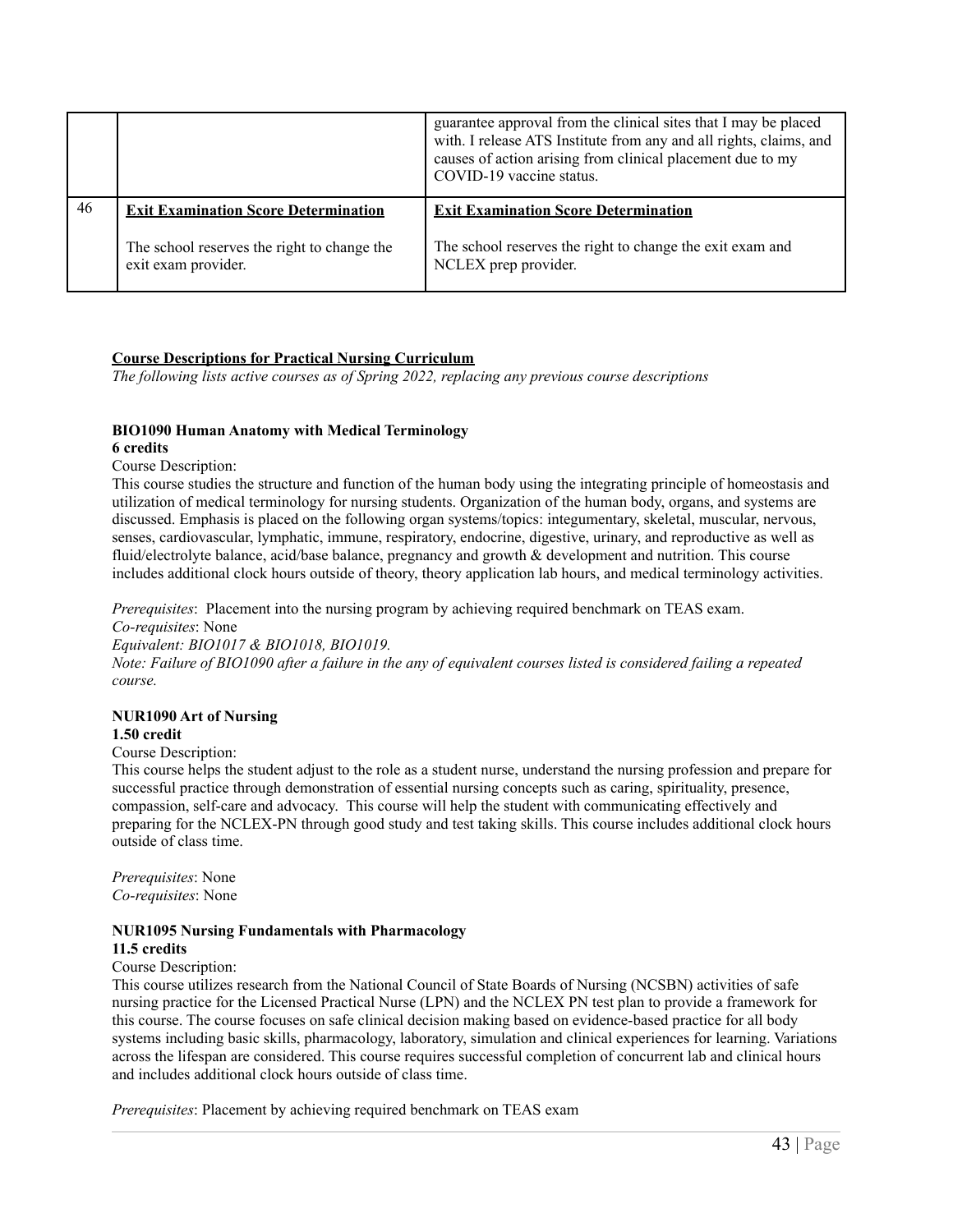|    |                                             | guarantee approval from the clinical sites that I may be placed<br>with. I release ATS Institute from any and all rights, claims, and<br>causes of action arising from clinical placement due to my<br>COVID-19 vaccine status. |  |  |  |
|----|---------------------------------------------|---------------------------------------------------------------------------------------------------------------------------------------------------------------------------------------------------------------------------------|--|--|--|
|    |                                             |                                                                                                                                                                                                                                 |  |  |  |
| 46 | <b>Exit Examination Score Determination</b> | <b>Exit Examination Score Determination</b>                                                                                                                                                                                     |  |  |  |

#### <span id="page-42-1"></span><span id="page-42-0"></span>**Course Descriptions for Practical Nursing Curriculum**

*The following lists active courses as of Spring 2022, replacing any previous course descriptions*

#### **BIO1090 Human Anatomy with Medical Terminology**

#### **6 credits**

Course Description:

This course studies the structure and function of the human body using the integrating principle of homeostasis and utilization of medical terminology for nursing students. Organization of the human body, organs, and systems are discussed. Emphasis is placed on the following organ systems/topics: integumentary, skeletal, muscular, nervous, senses, cardiovascular, lymphatic, immune, respiratory, endocrine, digestive, urinary, and reproductive as well as fluid/electrolyte balance, acid/base balance, pregnancy and growth & development and nutrition. This course includes additional clock hours outside of theory, theory application lab hours, and medical terminology activities.

*Prerequisites*: Placement into the nursing program by achieving required benchmark on TEAS exam.

*Co-requisites*: None *Equivalent: BIO1017 & BIO1018, BIO1019.* Note: Failure of BIO1090 after a failure in the any of equivalent courses listed is considered failing a repeated *course.*

# **NUR1090 Art of Nursing**

#### **1.50 credit**

Course Description:

This course helps the student adjust to the role as a student nurse, understand the nursing profession and prepare for successful practice through demonstration of essential nursing concepts such as caring, spirituality, presence, compassion, self-care and advocacy. This course will help the student with communicating effectively and preparing for the NCLEX-PN through good study and test taking skills. This course includes additional clock hours outside of class time.

*Prerequisites*: None *Co-requisites*: None

# **NUR1095 Nursing Fundamentals with Pharmacology**

# **11.5 credits**

### Course Description:

This course utilizes research from the National Council of State Boards of Nursing (NCSBN) activities of safe nursing practice for the Licensed Practical Nurse (LPN) and the NCLEX PN test plan to provide a framework for this course. The course focuses on safe clinical decision making based on evidence-based practice for all body systems including basic skills, pharmacology, laboratory, simulation and clinical experiences for learning. Variations across the lifespan are considered. This course requires successful completion of concurrent lab and clinical hours and includes additional clock hours outside of class time.

*Prerequisites*: Placement by achieving required benchmark on TEAS exam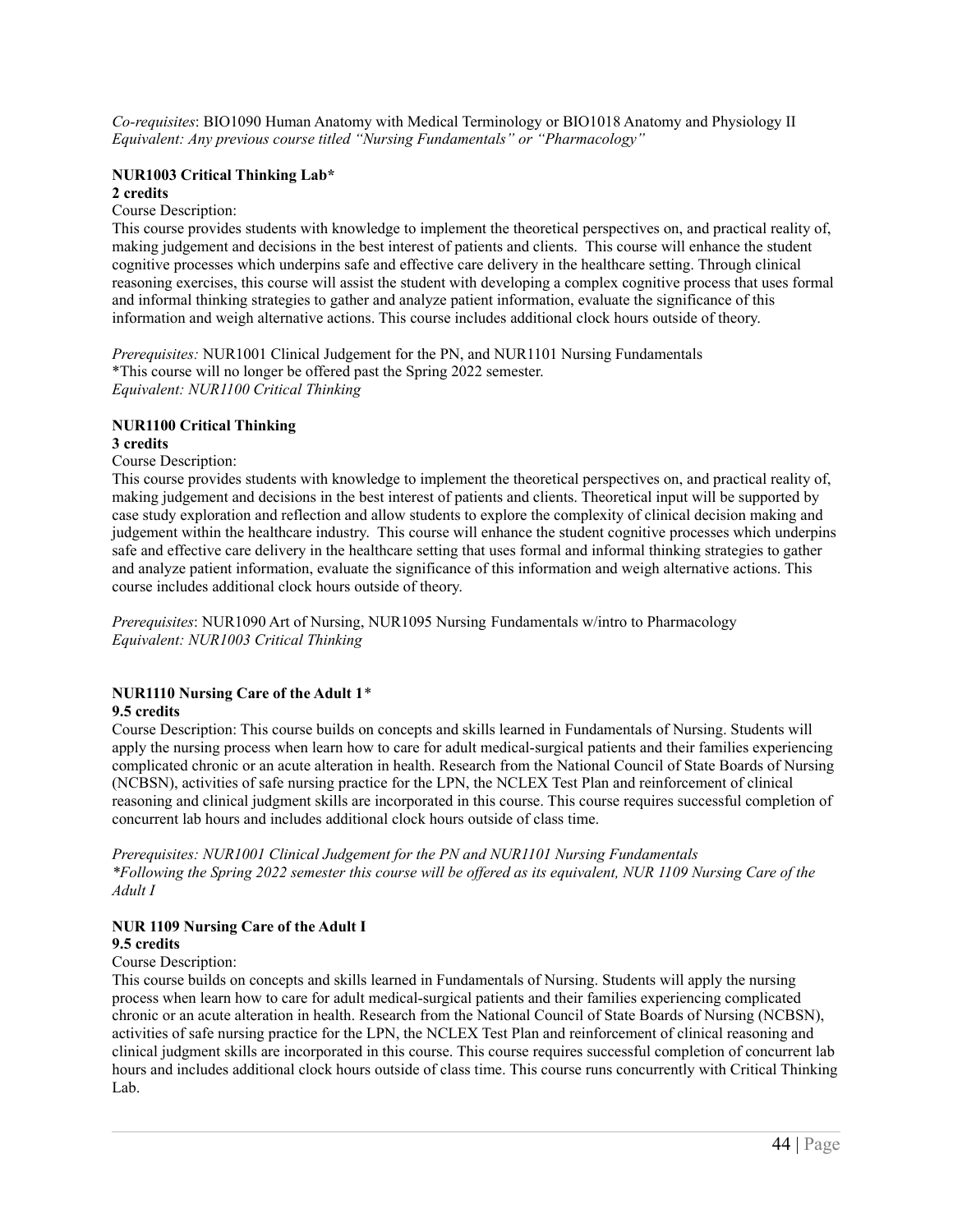*Co-requisites*: BIO1090 Human Anatomy with Medical Terminology or BIO1018 Anatomy and Physiology II *Equivalent: Any previous course titled "Nursing Fundamentals" or "Pharmacology"*

# **NUR1003 Critical Thinking Lab\***

#### **2 credits**

Course Description:

This course provides students with knowledge to implement the theoretical perspectives on, and practical reality of, making judgement and decisions in the best interest of patients and clients. This course will enhance the student cognitive processes which underpins safe and effective care delivery in the healthcare setting. Through clinical reasoning exercises, this course will assist the student with developing a complex cognitive process that uses formal and informal thinking strategies to gather and analyze patient information, evaluate the significance of this information and weigh alternative actions. This course includes additional clock hours outside of theory.

*Prerequisites:* NUR1001 Clinical Judgement for the PN, and NUR1101 Nursing Fundamentals \*This course will no longer be offered past the Spring 2022 semester. *Equivalent: NUR1100 Critical Thinking*

# **NUR1100 Critical Thinking**

# **3 credits**

Course Description:

This course provides students with knowledge to implement the theoretical perspectives on, and practical reality of, making judgement and decisions in the best interest of patients and clients. Theoretical input will be supported by case study exploration and reflection and allow students to explore the complexity of clinical decision making and judgement within the healthcare industry. This course will enhance the student cognitive processes which underpins safe and effective care delivery in the healthcare setting that uses formal and informal thinking strategies to gather and analyze patient information, evaluate the significance of this information and weigh alternative actions. This course includes additional clock hours outside of theory.

*Prerequisites*: NUR1090 Art of Nursing, NUR1095 Nursing Fundamentals w/intro to Pharmacology *Equivalent: NUR1003 Critical Thinking*

# **NUR1110 Nursing Care of the Adult 1**\*

### **9.5 credits**

Course Description: This course builds on concepts and skills learned in Fundamentals of Nursing. Students will apply the nursing process when learn how to care for adult medical-surgical patients and their families experiencing complicated chronic or an acute alteration in health. Research from the National Council of State Boards of Nursing (NCBSN), activities of safe nursing practice for the LPN, the NCLEX Test Plan and reinforcement of clinical reasoning and clinical judgment skills are incorporated in this course. This course requires successful completion of concurrent lab hours and includes additional clock hours outside of class time.

*Prerequisites: NUR1001 Clinical Judgement for the PN and NUR1101 Nursing Fundamentals* \*Following the Spring 2022 semester this course will be offered as its equivalent, NUR 1109 Nursing Care of the *Adult I*

### **NUR 1109 Nursing Care of the Adult I**

#### **9.5 credits**

### Course Description:

This course builds on concepts and skills learned in Fundamentals of Nursing. Students will apply the nursing process when learn how to care for adult medical-surgical patients and their families experiencing complicated chronic or an acute alteration in health. Research from the National Council of State Boards of Nursing (NCBSN), activities of safe nursing practice for the LPN, the NCLEX Test Plan and reinforcement of clinical reasoning and clinical judgment skills are incorporated in this course. This course requires successful completion of concurrent lab hours and includes additional clock hours outside of class time. This course runs concurrently with Critical Thinking Lab.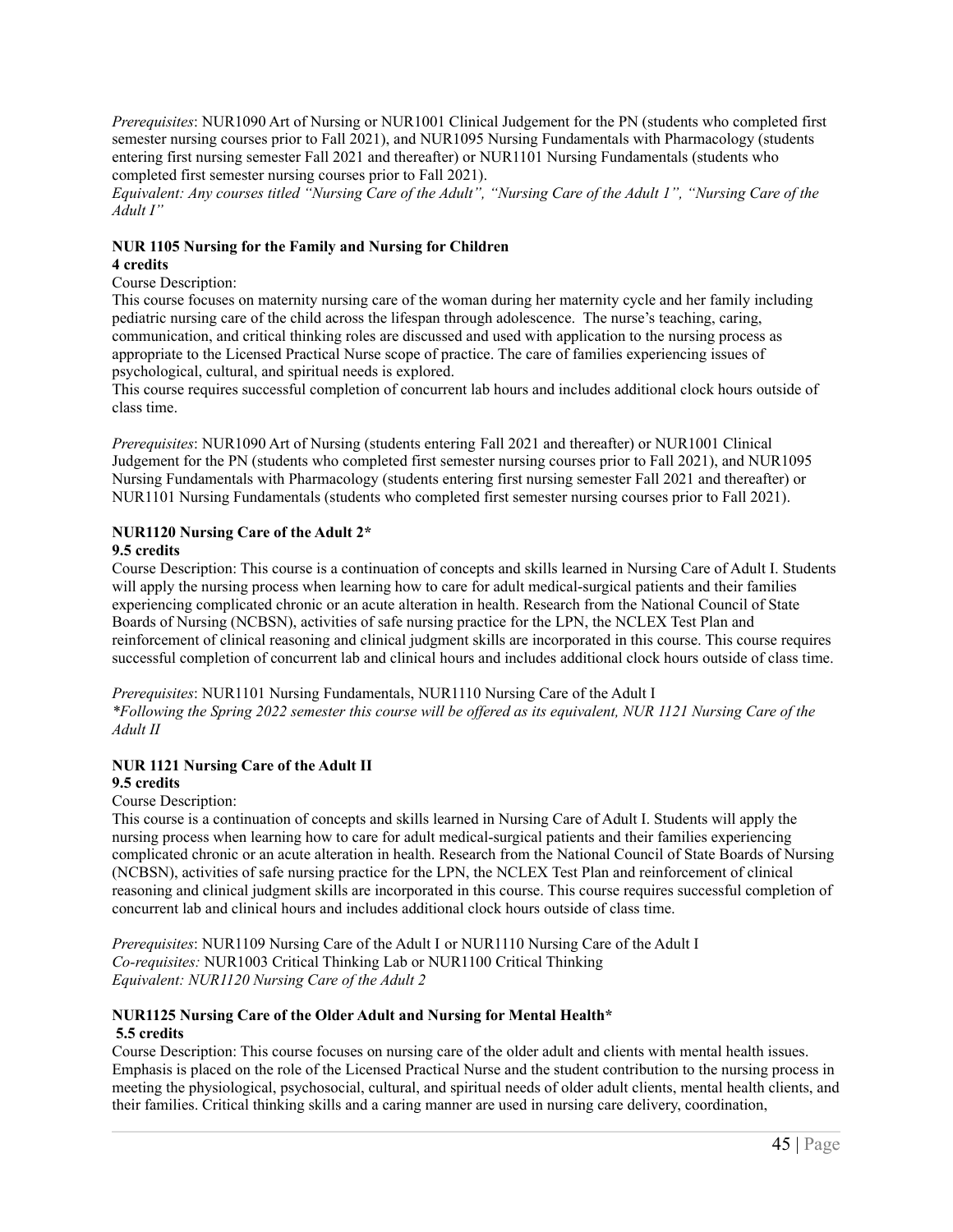*Prerequisites*: NUR1090 Art of Nursing or NUR1001 Clinical Judgement for the PN (students who completed first semester nursing courses prior to Fall 2021), and NUR1095 Nursing Fundamentals with Pharmacology (students entering first nursing semester Fall 2021 and thereafter) or NUR1101 Nursing Fundamentals (students who completed first semester nursing courses prior to Fall 2021).

Equivalent: Any courses titled "Nursing Care of the Adult", "Nursing Care of the Adult 1", "Nursing Care of the *Adult I"*

#### **NUR 1105 Nursing for the Family and Nursing for Children 4 credits**

# Course Description:

This course focuses on maternity nursing care of the woman during her maternity cycle and her family including pediatric nursing care of the child across the lifespan through adolescence. The nurse's teaching, caring, communication, and critical thinking roles are discussed and used with application to the nursing process as appropriate to the Licensed Practical Nurse scope of practice. The care of families experiencing issues of psychological, cultural, and spiritual needs is explored.

This course requires successful completion of concurrent lab hours and includes additional clock hours outside of class time.

*Prerequisites*: NUR1090 Art of Nursing (students entering Fall 2021 and thereafter) or NUR1001 Clinical Judgement for the PN (students who completed first semester nursing courses prior to Fall 2021), and NUR1095 Nursing Fundamentals with Pharmacology (students entering first nursing semester Fall 2021 and thereafter) or NUR1101 Nursing Fundamentals (students who completed first semester nursing courses prior to Fall 2021).

#### **NUR1120 Nursing Care of the Adult 2\* 9.5 credits**

Course Description: This course is a continuation of concepts and skills learned in Nursing Care of Adult I. Students will apply the nursing process when learning how to care for adult medical-surgical patients and their families experiencing complicated chronic or an acute alteration in health. Research from the National Council of State Boards of Nursing (NCBSN), activities of safe nursing practice for the LPN, the NCLEX Test Plan and reinforcement of clinical reasoning and clinical judgment skills are incorporated in this course. This course requires successful completion of concurrent lab and clinical hours and includes additional clock hours outside of class time.

*Prerequisites*: NUR1101 Nursing Fundamentals, NUR1110 Nursing Care of the Adult I \*Following the Spring 2022 semester this course will be offered as its equivalent, NUR 1121 Nursing Care of the *Adult II*

# **NUR 1121 Nursing Care of the Adult II**

#### **9.5 credits**

Course Description:

This course is a continuation of concepts and skills learned in Nursing Care of Adult I. Students will apply the nursing process when learning how to care for adult medical-surgical patients and their families experiencing complicated chronic or an acute alteration in health. Research from the National Council of State Boards of Nursing (NCBSN), activities of safe nursing practice for the LPN, the NCLEX Test Plan and reinforcement of clinical reasoning and clinical judgment skills are incorporated in this course. This course requires successful completion of concurrent lab and clinical hours and includes additional clock hours outside of class time.

*Prerequisites*: NUR1109 Nursing Care of the Adult I or NUR1110 Nursing Care of the Adult I *Co-requisites:* NUR1003 Critical Thinking Lab or NUR1100 Critical Thinking *Equivalent: NUR1120 Nursing Care of the Adult 2*

#### **NUR1125 Nursing Care of the Older Adult and Nursing for Mental Health\* 5.5 credits**

Course Description: This course focuses on nursing care of the older adult and clients with mental health issues. Emphasis is placed on the role of the Licensed Practical Nurse and the student contribution to the nursing process in meeting the physiological, psychosocial, cultural, and spiritual needs of older adult clients, mental health clients, and their families. Critical thinking skills and a caring manner are used in nursing care delivery, coordination,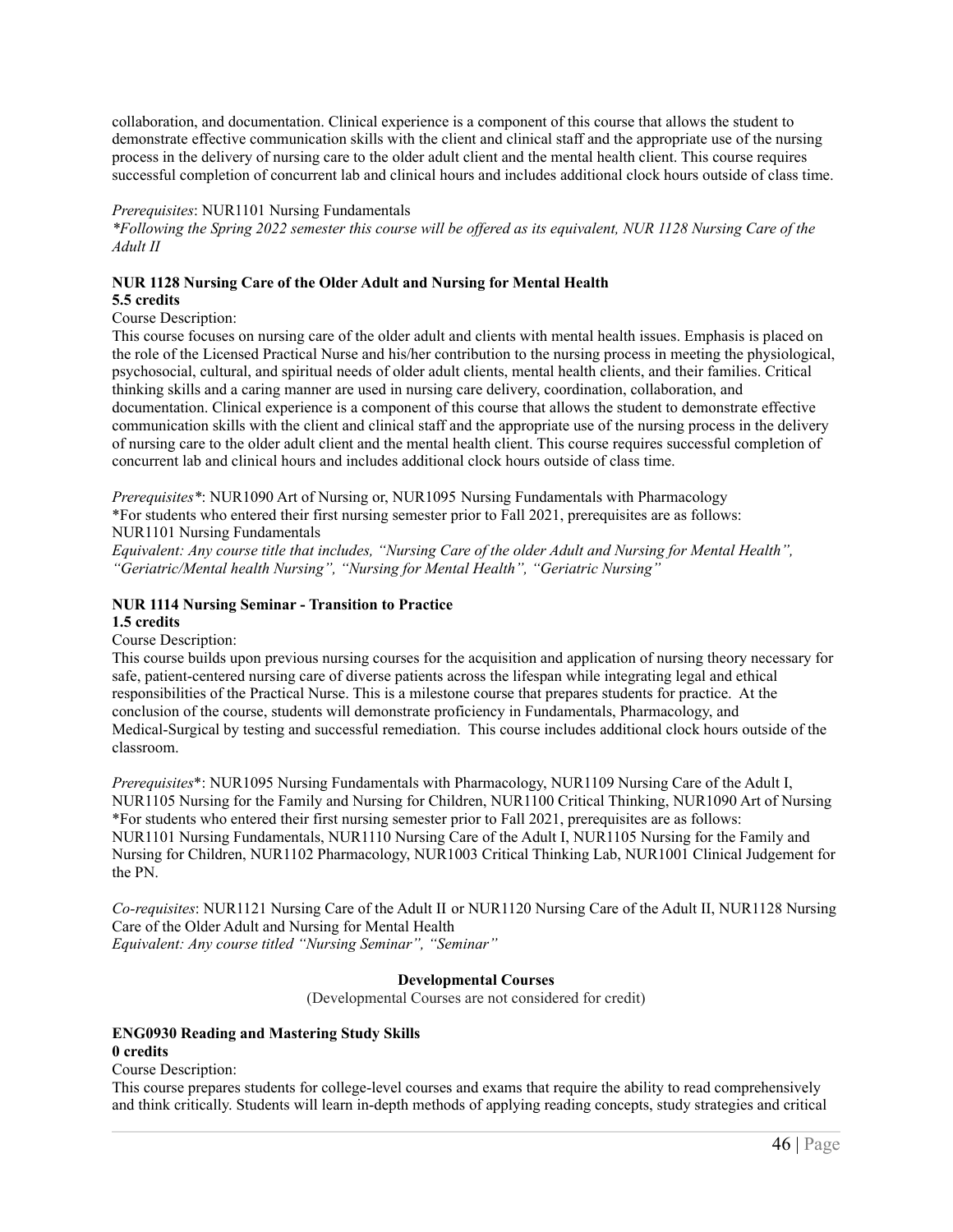collaboration, and documentation. Clinical experience is a component of this course that allows the student to demonstrate effective communication skills with the client and clinical staff and the appropriate use of the nursing process in the delivery of nursing care to the older adult client and the mental health client. This course requires successful completion of concurrent lab and clinical hours and includes additional clock hours outside of class time.

#### *Prerequisites*: NUR1101 Nursing Fundamentals

\*Following the Spring 2022 semester this course will be offered as its equivalent, NUR 1128 Nursing Care of the *Adult II*

### **NUR 1128 Nursing Care of the Older Adult and Nursing for Mental Health**

#### **5.5 credits**

#### Course Description:

This course focuses on nursing care of the older adult and clients with mental health issues. Emphasis is placed on the role of the Licensed Practical Nurse and his/her contribution to the nursing process in meeting the physiological, psychosocial, cultural, and spiritual needs of older adult clients, mental health clients, and their families. Critical thinking skills and a caring manner are used in nursing care delivery, coordination, collaboration, and documentation. Clinical experience is a component of this course that allows the student to demonstrate effective communication skills with the client and clinical staff and the appropriate use of the nursing process in the delivery of nursing care to the older adult client and the mental health client. This course requires successful completion of concurrent lab and clinical hours and includes additional clock hours outside of class time.

*Prerequisites\**: NUR1090 Art of Nursing or, NUR1095 Nursing Fundamentals with Pharmacology \*For students who entered their first nursing semester prior to Fall 2021, prerequisites are as follows: NUR1101 Nursing Fundamentals

Equivalent: Any course title that includes, "Nursing Care of the older Adult and Nursing for Mental Health". *"Geriatric/Mental health Nursing", "Nursing for Mental Health", "Geriatric Nursing"*

#### **NUR 1114 Nursing Seminar - Transition to Practice 1.5 credits**

#### Course Description:

This course builds upon previous nursing courses for the acquisition and application of nursing theory necessary for safe, patient-centered nursing care of diverse patients across the lifespan while integrating legal and ethical responsibilities of the Practical Nurse. This is a milestone course that prepares students for practice. At the conclusion of the course, students will demonstrate proficiency in Fundamentals, Pharmacology, and Medical-Surgical by testing and successful remediation. This course includes additional clock hours outside of the classroom.

*Prerequisites*\*: NUR1095 Nursing Fundamentals with Pharmacology, NUR1109 Nursing Care of the Adult I, NUR1105 Nursing for the Family and Nursing for Children, NUR1100 Critical Thinking, NUR1090 Art of Nursing \*For students who entered their first nursing semester prior to Fall 2021, prerequisites are as follows: NUR1101 Nursing Fundamentals, NUR1110 Nursing Care of the Adult I, NUR1105 Nursing for the Family and Nursing for Children, NUR1102 Pharmacology, NUR1003 Critical Thinking Lab, NUR1001 Clinical Judgement for the PN.

*Co-requisites*: NUR1121 Nursing Care of the Adult II or NUR1120 Nursing Care of the Adult II, NUR1128 Nursing Care of the Older Adult and Nursing for Mental Health

*Equivalent: Any course titled "Nursing Seminar", "Seminar"*

#### **Developmental Courses**

(Developmental Courses are not considered for credit)

#### **ENG0930 Reading and Mastering Study Skills 0 credits**

### Course Description:

This course prepares students for college-level courses and exams that require the ability to read comprehensively and think critically. Students will learn in-depth methods of applying reading concepts, study strategies and critical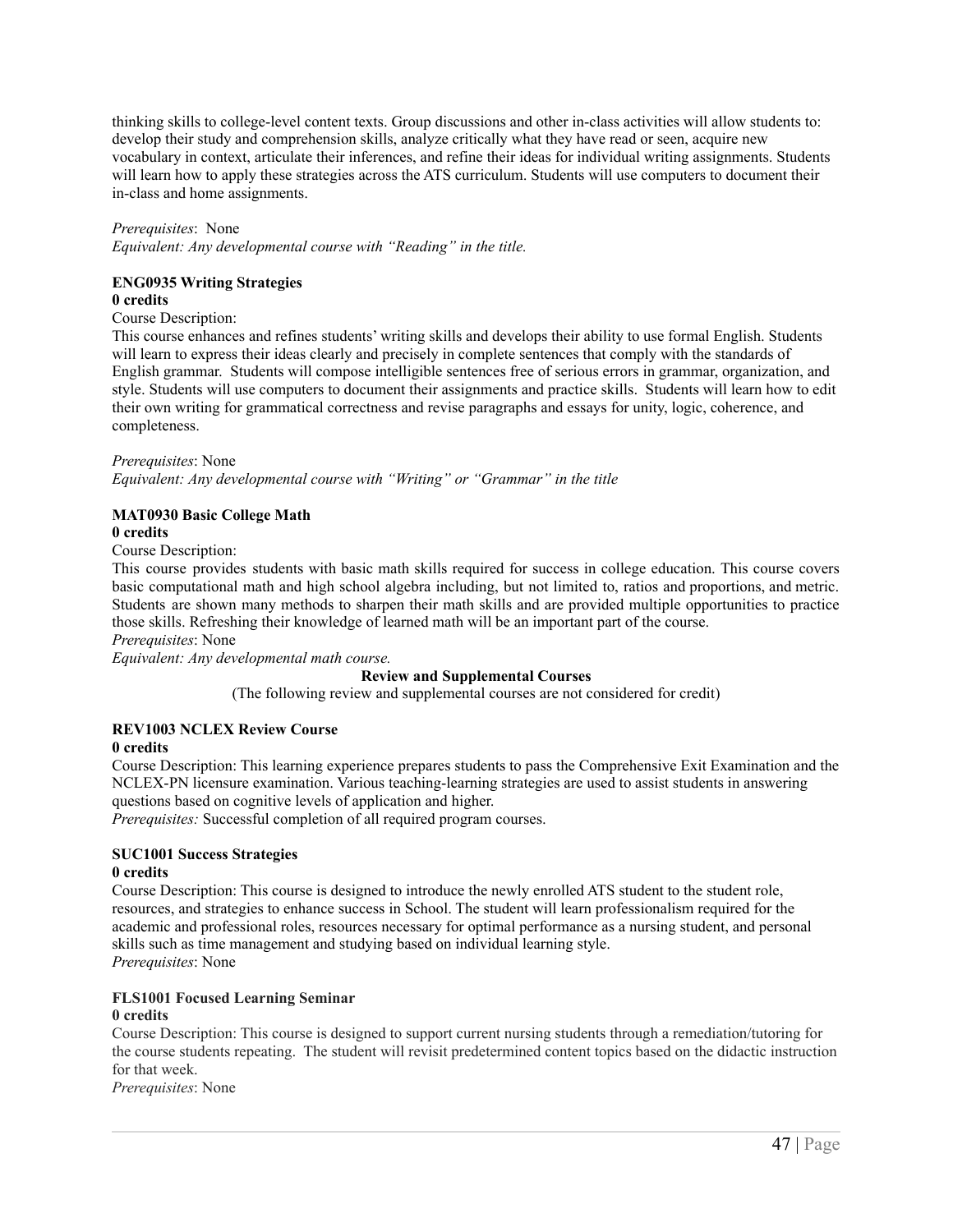thinking skills to college-level content texts. Group discussions and other in-class activities will allow students to: develop their study and comprehension skills, analyze critically what they have read or seen, acquire new vocabulary in context, articulate their inferences, and refine their ideas for individual writing assignments. Students will learn how to apply these strategies across the ATS curriculum. Students will use computers to document their in-class and home assignments.

#### *Prerequisites*: None

*Equivalent: Any developmental course with "Reading" in the title.*

#### **ENG0935 Writing Strategies**

#### **0 credits**

#### Course Description:

This course enhances and refines students' writing skills and develops their ability to use formal English. Students will learn to express their ideas clearly and precisely in complete sentences that comply with the standards of English grammar. Students will compose intelligible sentences free of serious errors in grammar, organization, and style. Students will use computers to document their assignments and practice skills. Students will learn how to edit their own writing for grammatical correctness and revise paragraphs and essays for unity, logic, coherence, and completeness.

#### *Prerequisites*: None

*Equivalent: Any developmental course with "Writing" or "Grammar" in the title*

### **MAT0930 Basic College Math**

#### **0 credits**

Course Description:

This course provides students with basic math skills required for success in college education. This course covers basic computational math and high school algebra including, but not limited to, ratios and proportions, and metric. Students are shown many methods to sharpen their math skills and are provided multiple opportunities to practice those skills. Refreshing their knowledge of learned math will be an important part of the course.

#### *Prerequisites*: None

*Equivalent: Any developmental math course.*

#### **Review and Supplemental Courses**

(The following review and supplemental courses are not considered for credit)

#### **REV1003 NCLEX Review Course**

#### **0 credits**

Course Description: This learning experience prepares students to pass the Comprehensive Exit Examination and the NCLEX-PN licensure examination. Various teaching-learning strategies are used to assist students in answering questions based on cognitive levels of application and higher.

*Prerequisites:* Successful completion of all required program courses.

#### **SUC1001 Success Strategies 0 credits**

Course Description: This course is designed to introduce the newly enrolled ATS student to the student role, resources, and strategies to enhance success in School. The student will learn professionalism required for the academic and professional roles, resources necessary for optimal performance as a nursing student, and personal skills such as time management and studying based on individual learning style. *Prerequisites*: None

#### **FLS1001 Focused Learning Seminar**

#### **0 credits**

Course Description: This course is designed to support current nursing students through a remediation/tutoring for the course students repeating. The student will revisit predetermined content topics based on the didactic instruction for that week.

*Prerequisites*: None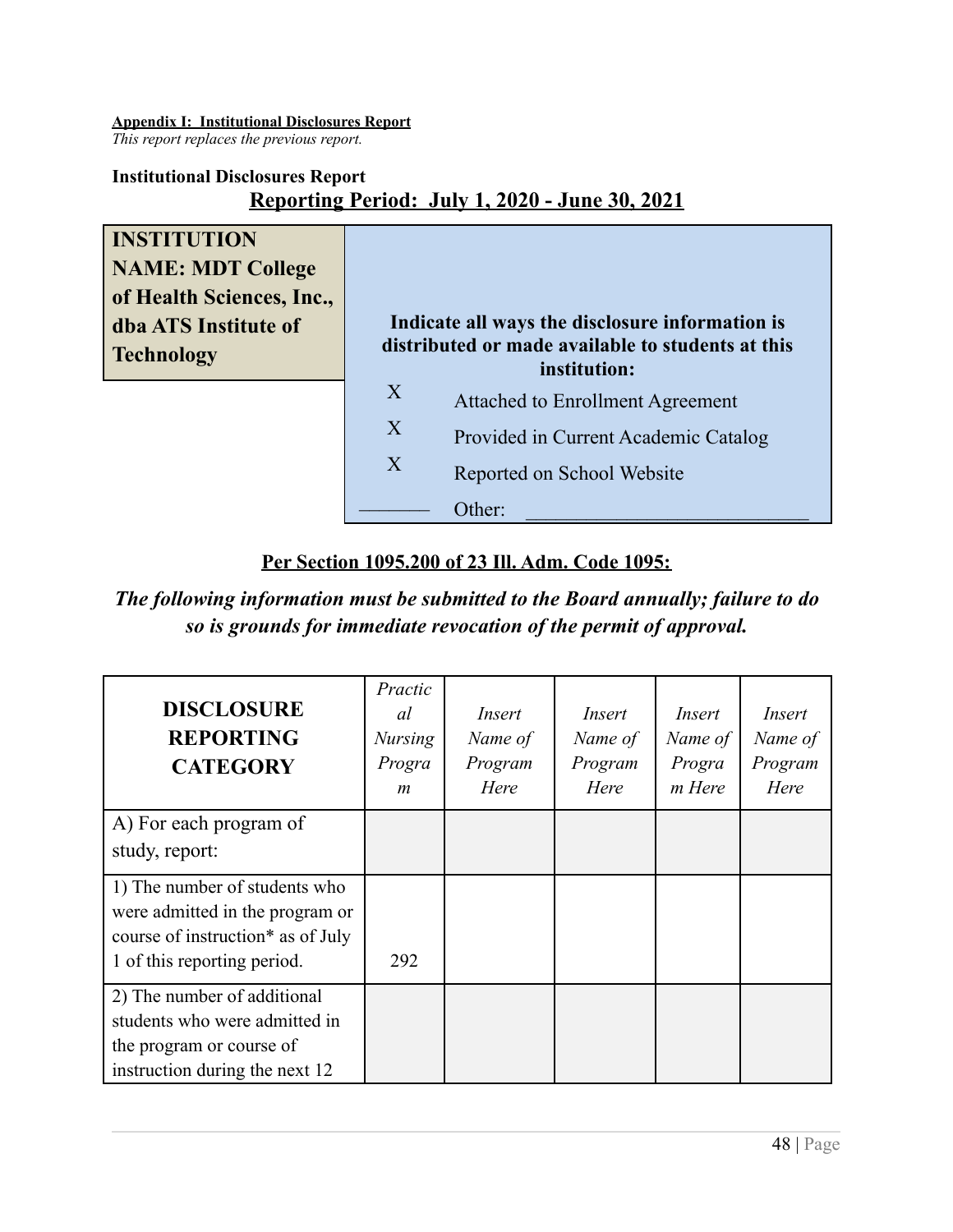### <span id="page-47-0"></span>**Appendix I: Institutional Disclosures Report**

*This report replaces the previous report.*

# **Institutional Disclosures Report**

# **Reporting Period: July 1, 2020 - June 30, 2021**

**INSTITUTION NAME: MDT College of Health Sciences, Inc., dba ATS Institute of Technology**

|                | Indicate all ways the disclosure information is<br>distributed or made available to students at this<br>institution: |
|----------------|----------------------------------------------------------------------------------------------------------------------|
| $\overline{X}$ | <b>Attached to Enrollment Agreement</b>                                                                              |
| X              | Provided in Current Academic Catalog                                                                                 |
| $\mathbf{X}$   | Reported on School Website                                                                                           |
|                | her <sup>.</sup>                                                                                                     |

# **Per Section 1095.200 of 23 Ill. Adm. Code 1095:**

*The following information must be submitted to the Board annually; failure to do so is grounds for immediate revocation of the permit of approval.*

| <b>DISCLOSURE</b><br><b>REPORTING</b><br><b>CATEGORY</b>                                                                             | Practic<br>al<br><b>Nursing</b><br>Progra<br>$\boldsymbol{m}$ | Insert<br>Name of<br>Program<br>Here | Insert<br>Name of<br>Program<br>Here | Insert<br>Name of<br>Progra<br>m Here | Insert<br>Name of<br>Program<br>Here |
|--------------------------------------------------------------------------------------------------------------------------------------|---------------------------------------------------------------|--------------------------------------|--------------------------------------|---------------------------------------|--------------------------------------|
| A) For each program of<br>study, report:                                                                                             |                                                               |                                      |                                      |                                       |                                      |
| 1) The number of students who<br>were admitted in the program or<br>course of instruction* as of July<br>1 of this reporting period. | 292                                                           |                                      |                                      |                                       |                                      |
| 2) The number of additional<br>students who were admitted in<br>the program or course of<br>instruction during the next 12           |                                                               |                                      |                                      |                                       |                                      |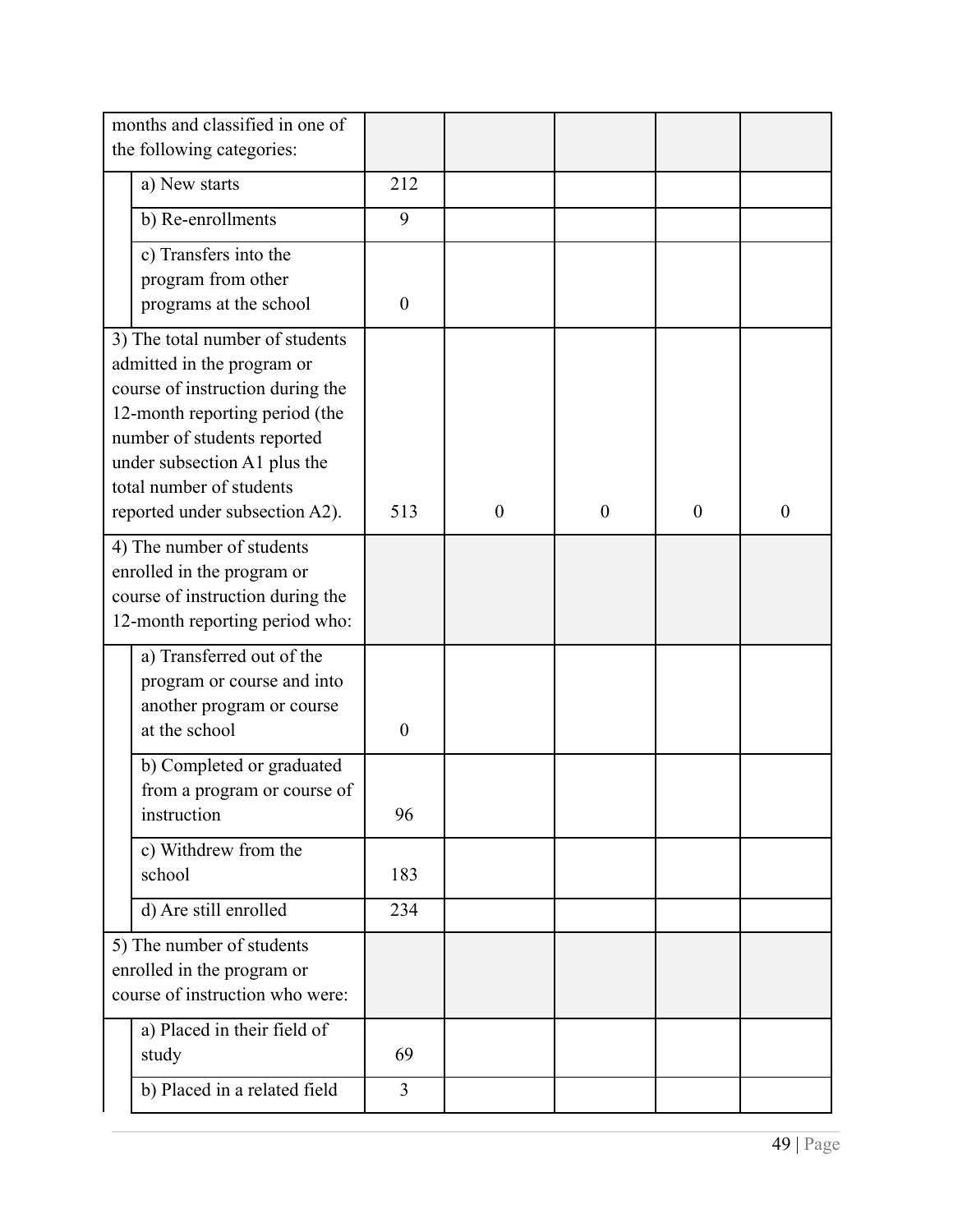| months and classified in one of                                                                                                                                                                                                |                                                                                                       |                |                  |          |          |          |
|--------------------------------------------------------------------------------------------------------------------------------------------------------------------------------------------------------------------------------|-------------------------------------------------------------------------------------------------------|----------------|------------------|----------|----------|----------|
| the following categories:                                                                                                                                                                                                      |                                                                                                       |                |                  |          |          |          |
|                                                                                                                                                                                                                                | a) New starts                                                                                         | 212            |                  |          |          |          |
|                                                                                                                                                                                                                                | b) Re-enrollments                                                                                     | 9              |                  |          |          |          |
|                                                                                                                                                                                                                                | c) Transfers into the                                                                                 |                |                  |          |          |          |
|                                                                                                                                                                                                                                | program from other<br>programs at the school                                                          | $\theta$       |                  |          |          |          |
| 3) The total number of students<br>admitted in the program or<br>course of instruction during the<br>12-month reporting period (the<br>number of students reported<br>under subsection A1 plus the<br>total number of students |                                                                                                       |                |                  |          |          |          |
|                                                                                                                                                                                                                                | reported under subsection A2).                                                                        | 513            | $\boldsymbol{0}$ | $\theta$ | $\theta$ | $\theta$ |
| 4) The number of students<br>enrolled in the program or<br>course of instruction during the<br>12-month reporting period who:                                                                                                  |                                                                                                       |                |                  |          |          |          |
|                                                                                                                                                                                                                                | a) Transferred out of the<br>program or course and into<br>another program or course<br>at the school | $\theta$       |                  |          |          |          |
|                                                                                                                                                                                                                                | b) Completed or graduated<br>from a program or course of<br>instruction                               | 96             |                  |          |          |          |
|                                                                                                                                                                                                                                | c) Withdrew from the<br>school                                                                        | 183            |                  |          |          |          |
|                                                                                                                                                                                                                                | d) Are still enrolled                                                                                 | 234            |                  |          |          |          |
| 5) The number of students<br>enrolled in the program or<br>course of instruction who were:                                                                                                                                     |                                                                                                       |                |                  |          |          |          |
|                                                                                                                                                                                                                                | a) Placed in their field of<br>study                                                                  | 69             |                  |          |          |          |
|                                                                                                                                                                                                                                | b) Placed in a related field                                                                          | $\overline{3}$ |                  |          |          |          |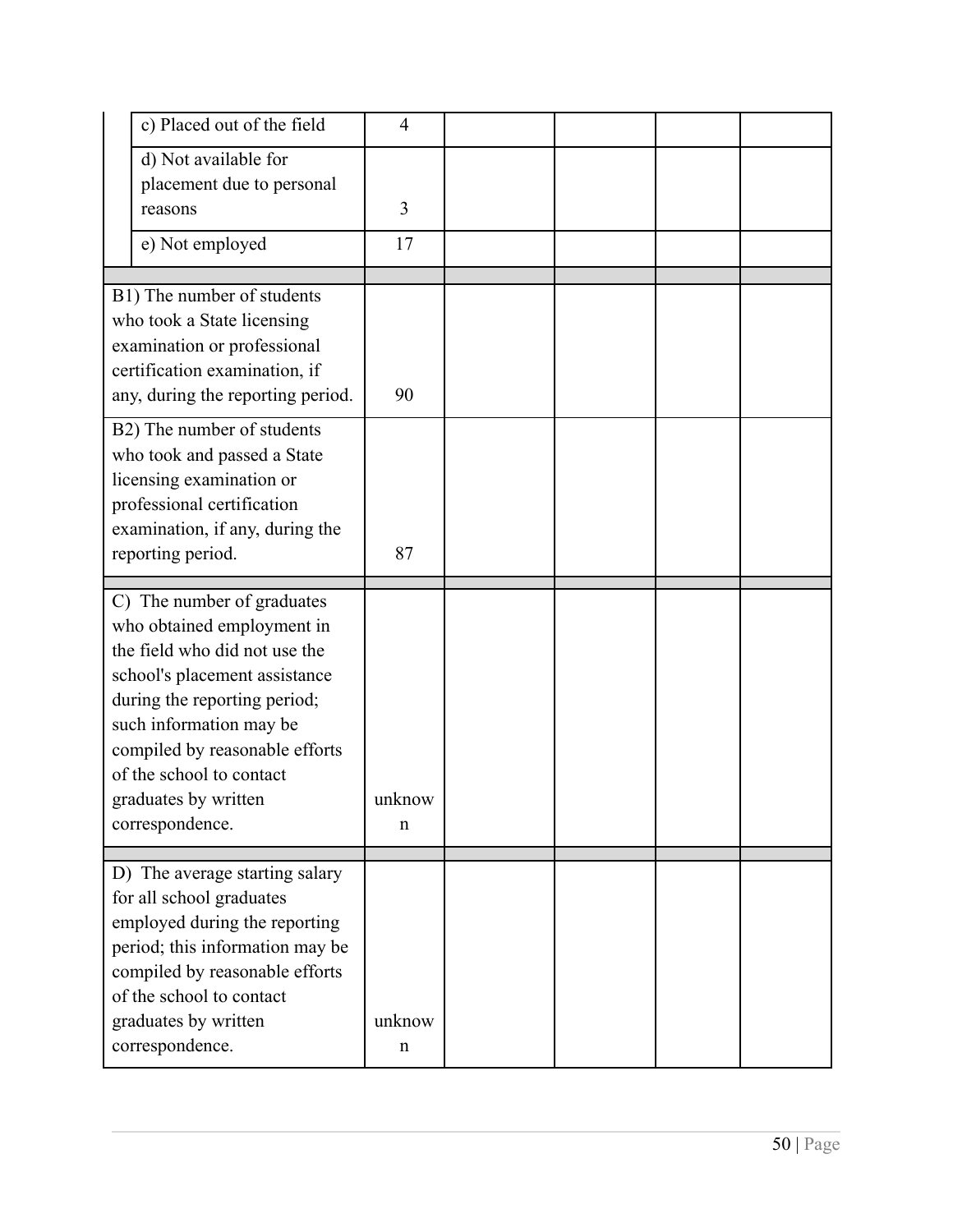|                                                                                                                                               | c) Placed out of the field                                                                                                                                                                                                                                                                     | $\overline{4}$        |  |  |
|-----------------------------------------------------------------------------------------------------------------------------------------------|------------------------------------------------------------------------------------------------------------------------------------------------------------------------------------------------------------------------------------------------------------------------------------------------|-----------------------|--|--|
|                                                                                                                                               | d) Not available for<br>placement due to personal<br>reasons                                                                                                                                                                                                                                   | 3                     |  |  |
|                                                                                                                                               | e) Not employed                                                                                                                                                                                                                                                                                | 17                    |  |  |
|                                                                                                                                               | B1) The number of students<br>who took a State licensing<br>examination or professional<br>certification examination, if<br>any, during the reporting period.<br>B2) The number of students                                                                                                    | 90                    |  |  |
| who took and passed a State<br>licensing examination or<br>professional certification<br>examination, if any, during the<br>reporting period. |                                                                                                                                                                                                                                                                                                | 87                    |  |  |
|                                                                                                                                               | C) The number of graduates<br>who obtained employment in<br>the field who did not use the<br>school's placement assistance<br>during the reporting period;<br>such information may be<br>compiled by reasonable efforts<br>of the school to contact<br>graduates by written<br>correspondence. | unknow<br>n           |  |  |
|                                                                                                                                               | D) The average starting salary<br>for all school graduates<br>employed during the reporting<br>period; this information may be<br>compiled by reasonable efforts<br>of the school to contact<br>graduates by written<br>correspondence.                                                        | unknow<br>$\mathbf n$ |  |  |